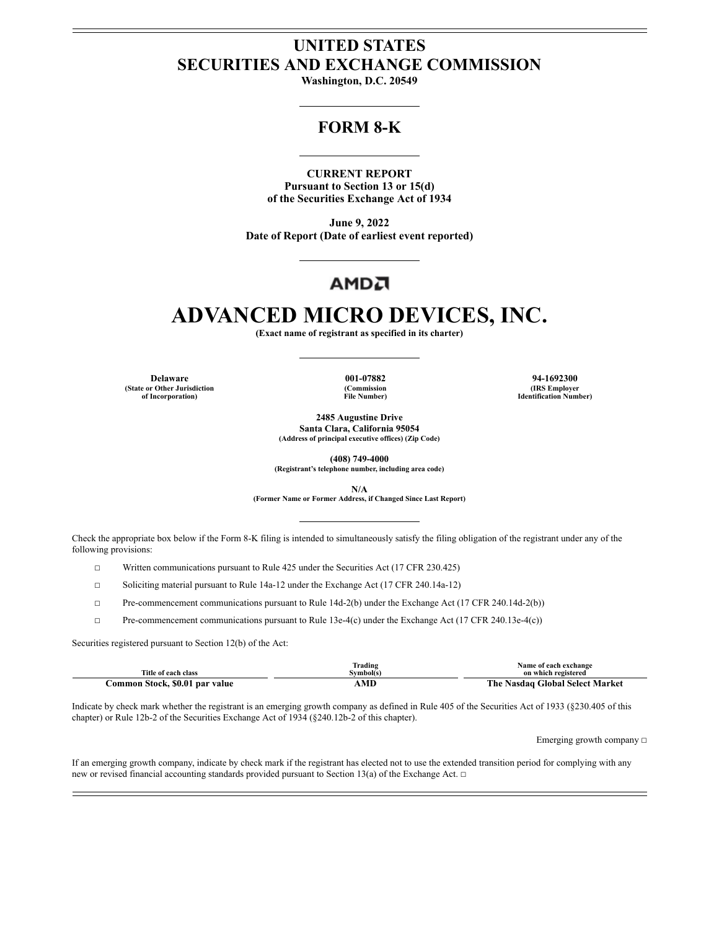## **UNITED STATES SECURITIES AND EXCHANGE COMMISSION**

**Washington, D.C. 20549**

# **FORM 8-K**

#### **CURRENT REPORT**

**Pursuant to Section 13 or 15(d) of the Securities Exchange Act of 1934**

**June 9, 2022 Date of Report (Date of earliest event reported)**

# АМDА

# **ADVANCED MICRO DEVICES, INC.**

**(Exact name of registrant as specified in its charter)**

**Delaware 001-07882 94-1692300 (State or Other Jurisdiction of Incorporation)**

**(Commission File Number)**

**(IRS Employer Identification Number)**

**2485 Augustine Drive Santa Clara, California 95054 (Address of principal executive offices) (Zip Code)**

**(408) 749-4000**

**(Registrant's telephone number, including area code)**

**N/A**

**(Former Name or Former Address, if Changed Since Last Report)**

Check the appropriate box below if the Form 8-K filing is intended to simultaneously satisfy the filing obligation of the registrant under any of the following provisions:

☐ Written communications pursuant to Rule 425 under the Securities Act (17 CFR 230.425)

☐ Soliciting material pursuant to Rule 14a-12 under the Exchange Act (17 CFR 240.14a-12)

☐ Pre-commencement communications pursuant to Rule 14d-2(b) under the Exchange Act (17 CFR 240.14d-2(b))

☐ Pre-commencement communications pursuant to Rule 13e-4(c) under the Exchange Act (17 CFR 240.13e-4(c))

Securities registered pursuant to Section 12(b) of the Act:

| Title of each class            | Frading<br>Svmbol(s) | Name of each exchange<br>on which registered |
|--------------------------------|----------------------|----------------------------------------------|
| Common Stock, \$0.01 par value | A MD                 | The Nasdag Global Select Market              |

Indicate by check mark whether the registrant is an emerging growth company as defined in Rule 405 of the Securities Act of 1933 (§230.405 of this chapter) or Rule 12b-2 of the Securities Exchange Act of 1934 (§240.12b-2 of this chapter).

Emerging growth company  $□$ 

If an emerging growth company, indicate by check mark if the registrant has elected not to use the extended transition period for complying with any new or revised financial accounting standards provided pursuant to Section 13(a) of the Exchange Act. □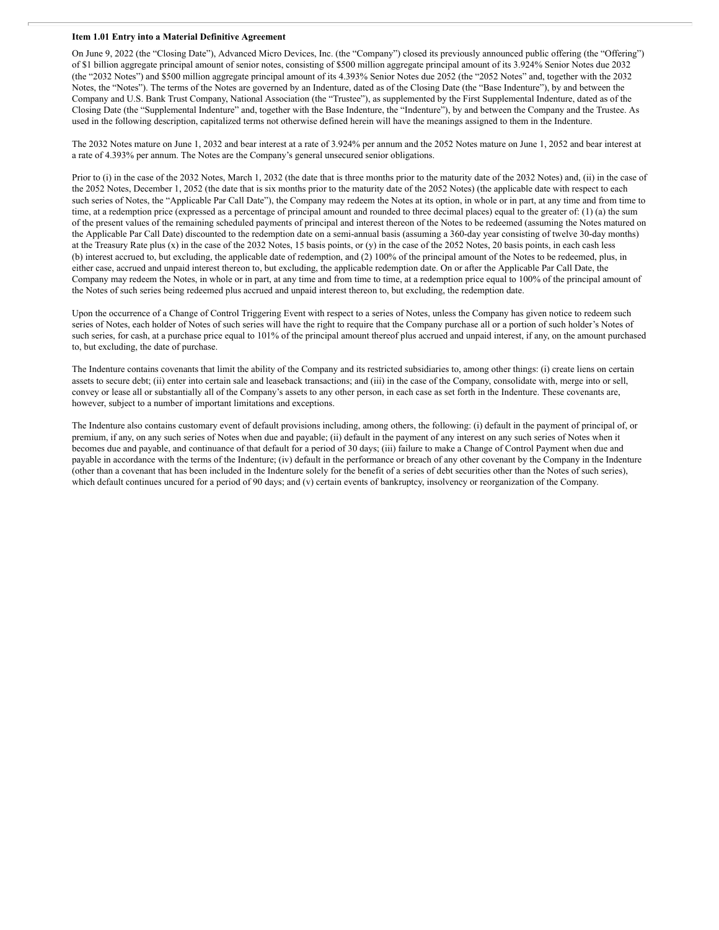#### **Item 1.01 Entry into a Material Definitive Agreement**

On June 9, 2022 (the "Closing Date"), Advanced Micro Devices, Inc. (the "Company") closed its previously announced public offering (the "Offering") of \$1 billion aggregate principal amount of senior notes, consisting of \$500 million aggregate principal amount of its 3.924% Senior Notes due 2032 (the "2032 Notes") and \$500 million aggregate principal amount of its 4.393% Senior Notes due 2052 (the "2052 Notes" and, together with the 2032 Notes, the "Notes"). The terms of the Notes are governed by an Indenture, dated as of the Closing Date (the "Base Indenture"), by and between the Company and U.S. Bank Trust Company, National Association (the "Trustee"), as supplemented by the First Supplemental Indenture, dated as of the Closing Date (the "Supplemental Indenture" and, together with the Base Indenture, the "Indenture"), by and between the Company and the Trustee. As used in the following description, capitalized terms not otherwise defined herein will have the meanings assigned to them in the Indenture.

The 2032 Notes mature on June 1, 2032 and bear interest at a rate of 3.924% per annum and the 2052 Notes mature on June 1, 2052 and bear interest at a rate of 4.393% per annum. The Notes are the Company's general unsecured senior obligations.

Prior to (i) in the case of the 2032 Notes, March 1, 2032 (the date that is three months prior to the maturity date of the 2032 Notes) and, (ii) in the case of the 2052 Notes, December 1, 2052 (the date that is six months prior to the maturity date of the 2052 Notes) (the applicable date with respect to each such series of Notes, the "Applicable Par Call Date"), the Company may redeem the Notes at its option, in whole or in part, at any time and from time to time, at a redemption price (expressed as a percentage of principal amount and rounded to three decimal places) equal to the greater of: (1) (a) the sum of the present values of the remaining scheduled payments of principal and interest thereon of the Notes to be redeemed (assuming the Notes matured on the Applicable Par Call Date) discounted to the redemption date on a semi-annual basis (assuming a 360-day year consisting of twelve 30-day months) at the Treasury Rate plus (x) in the case of the 2032 Notes, 15 basis points, or (y) in the case of the 2052 Notes, 20 basis points, in each cash less (b) interest accrued to, but excluding, the applicable date of redemption, and (2) 100% of the principal amount of the Notes to be redeemed, plus, in either case, accrued and unpaid interest thereon to, but excluding, the applicable redemption date. On or after the Applicable Par Call Date, the Company may redeem the Notes, in whole or in part, at any time and from time to time, at a redemption price equal to 100% of the principal amount of the Notes of such series being redeemed plus accrued and unpaid interest thereon to, but excluding, the redemption date.

Upon the occurrence of a Change of Control Triggering Event with respect to a series of Notes, unless the Company has given notice to redeem such series of Notes, each holder of Notes of such series will have the right to require that the Company purchase all or a portion of such holder's Notes of such series, for cash, at a purchase price equal to 101% of the principal amount thereof plus accrued and unpaid interest, if any, on the amount purchased to, but excluding, the date of purchase.

The Indenture contains covenants that limit the ability of the Company and its restricted subsidiaries to, among other things: (i) create liens on certain assets to secure debt; (ii) enter into certain sale and leaseback transactions; and (iii) in the case of the Company, consolidate with, merge into or sell, convey or lease all or substantially all of the Company's assets to any other person, in each case as set forth in the Indenture. These covenants are, however, subject to a number of important limitations and exceptions.

The Indenture also contains customary event of default provisions including, among others, the following: (i) default in the payment of principal of, or premium, if any, on any such series of Notes when due and payable; (ii) default in the payment of any interest on any such series of Notes when it becomes due and payable, and continuance of that default for a period of 30 days; (iii) failure to make a Change of Control Payment when due and payable in accordance with the terms of the Indenture; (iv) default in the performance or breach of any other covenant by the Company in the Indenture (other than a covenant that has been included in the Indenture solely for the benefit of a series of debt securities other than the Notes of such series), which default continues uncured for a period of 90 days; and (v) certain events of bankruptcy, insolvency or reorganization of the Company.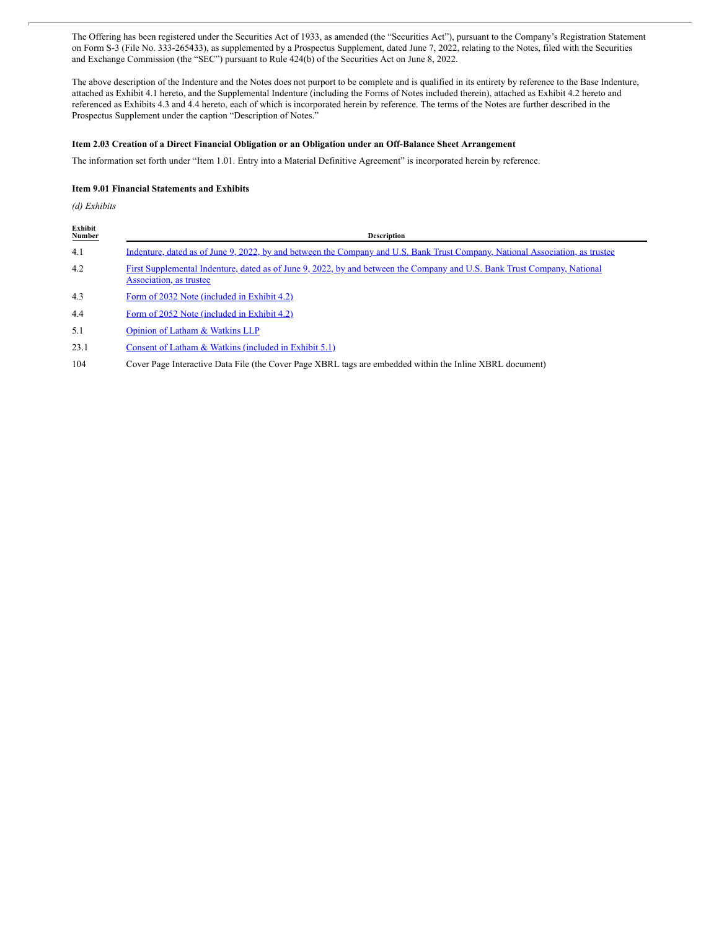The Offering has been registered under the Securities Act of 1933, as amended (the "Securities Act"), pursuant to the Company's Registration Statement on Form S-3 (File No. 333-265433), as supplemented by a Prospectus Supplement, dated June 7, 2022, relating to the Notes, filed with the Securities and Exchange Commission (the "SEC") pursuant to Rule 424(b) of the Securities Act on June 8, 2022.

The above description of the Indenture and the Notes does not purport to be complete and is qualified in its entirety by reference to the Base Indenture, attached as Exhibit 4.1 hereto, and the Supplemental Indenture (including the Forms of Notes included therein), attached as Exhibit 4.2 hereto and referenced as Exhibits 4.3 and 4.4 hereto, each of which is incorporated herein by reference. The terms of the Notes are further described in the Prospectus Supplement under the caption "Description of Notes."

#### **Item 2.03 Creation of a Direct Financial Obligation or an Obligation under an Off-Balance Sheet Arrangement**

The information set forth under "Item 1.01. Entry into a Material Definitive Agreement" is incorporated herein by reference.

#### **Item 9.01 Financial Statements and Exhibits**

*(d) Exhibits*

| Exhibit<br><b>Number</b> | <b>Description</b>                                                                                                                                  |
|--------------------------|-----------------------------------------------------------------------------------------------------------------------------------------------------|
| 4.1                      | Indenture, dated as of June 9, 2022, by and between the Company and U.S. Bank Trust Company, National Association, as trustee                       |
| 4.2                      | First Supplemental Indenture, dated as of June 9, 2022, by and between the Company and U.S. Bank Trust Company, National<br>Association, as trustee |
| 4.3                      | Form of 2032 Note (included in Exhibit 4.2)                                                                                                         |
| 4.4                      | Form of 2052 Note (included in Exhibit 4.2)                                                                                                         |
| 5.1                      | Opinion of Latham & Watkins LLP                                                                                                                     |
| 23.1                     | Consent of Latham & Watkins (included in Exhibit 5.1)                                                                                               |
| 104                      | Cover Page Interactive Data File (the Cover Page XBRL tags are embedded within the Inline XBRL document)                                            |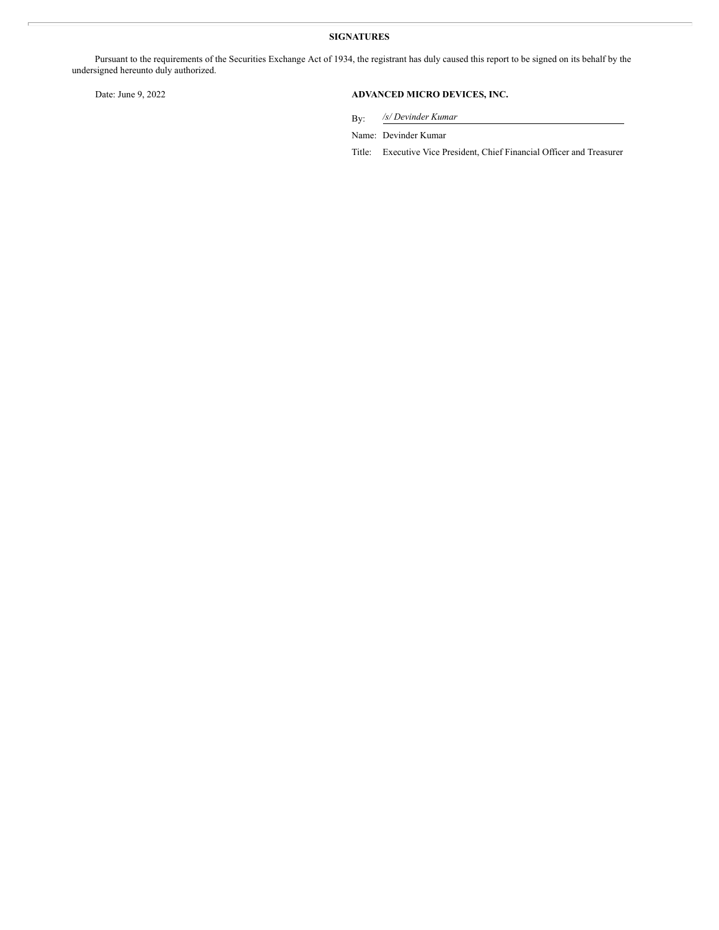### **SIGNATURES**

Pursuant to the requirements of the Securities Exchange Act of 1934, the registrant has duly caused this report to be signed on its behalf by the undersigned hereunto duly authorized.

### Date: June 9, 2022 **ADVANCED MICRO DEVICES, INC.**

By: */s/ Devinder Kumar*

Name: Devinder Kumar

Title: Executive Vice President, Chief Financial Officer and Treasurer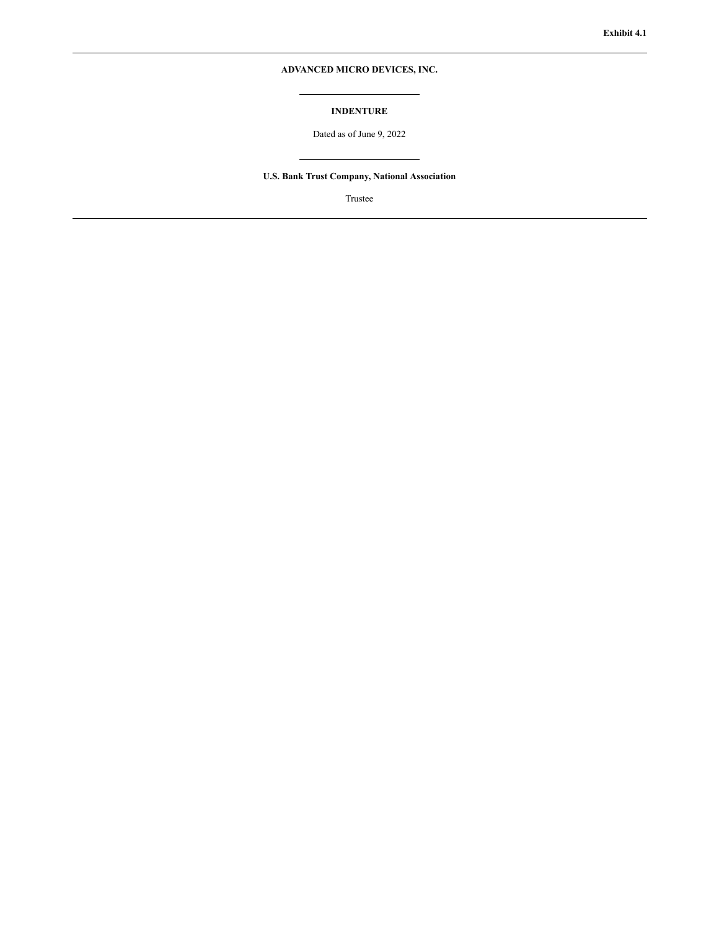### **ADVANCED MICRO DEVICES, INC.**

#### **INDENTURE**

Dated as of June 9, 2022

### **U.S. Bank Trust Company, National Association**

Trustee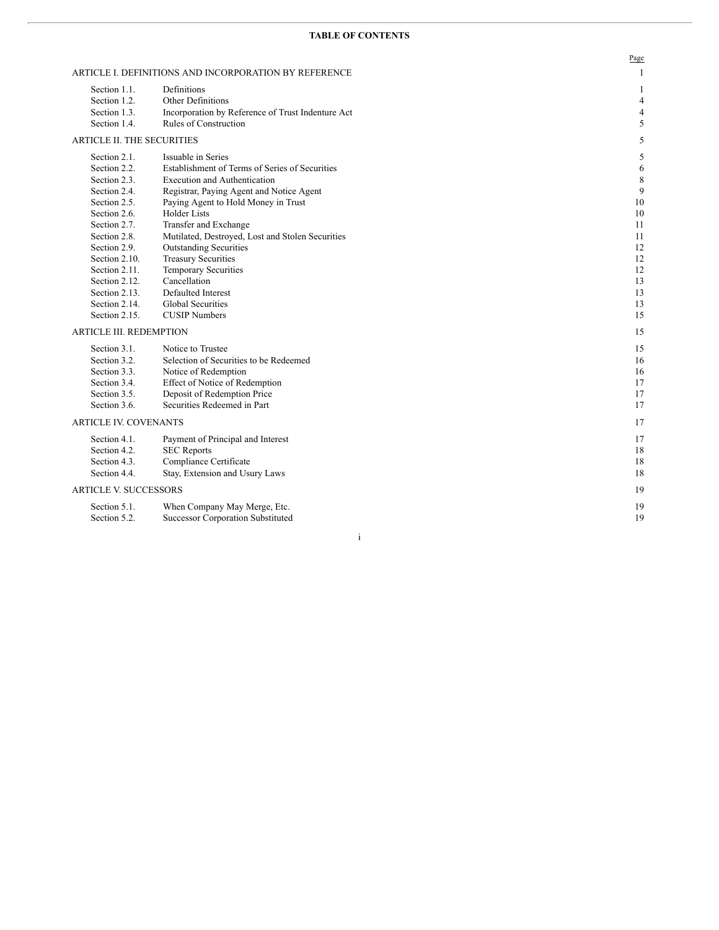#### **TABLE OF CONTENTS**

|                                   |                                                       | Page           |
|-----------------------------------|-------------------------------------------------------|----------------|
|                                   | ARTICLE I. DEFINITIONS AND INCORPORATION BY REFERENCE | 1              |
| Section 1.1.                      | Definitions                                           | 1              |
| Section 1.2.                      | <b>Other Definitions</b>                              | $\overline{4}$ |
| Section 1.3.                      | Incorporation by Reference of Trust Indenture Act     | 4              |
| Section 1.4.                      | Rules of Construction                                 | 5              |
| <b>ARTICLE II. THE SECURITIES</b> |                                                       | 5              |
| Section 2.1.                      | Issuable in Series                                    | 5              |
| Section 2.2.                      | Establishment of Terms of Series of Securities        | 6              |
| Section 2.3.                      | <b>Execution and Authentication</b>                   | 8              |
| Section 2.4.                      | Registrar, Paying Agent and Notice Agent              | 9              |
| Section 2.5.                      | Paying Agent to Hold Money in Trust                   | 10             |
| Section 2.6.                      | <b>Holder Lists</b>                                   | 10             |
| Section 2.7.                      | Transfer and Exchange                                 | 11             |
| Section 2.8.                      | Mutilated, Destroyed, Lost and Stolen Securities      | 11             |
| Section 2.9.                      | <b>Outstanding Securities</b>                         | 12             |
| Section 2.10.                     | <b>Treasury Securities</b>                            | 12             |
| Section 2.11.                     | <b>Temporary Securities</b>                           | 12             |
| Section 2.12.                     | Cancellation                                          | 13             |
| Section 2.13.                     | Defaulted Interest                                    | 13             |
| Section 2.14.                     | <b>Global Securities</b>                              | 13             |
| Section 2.15.                     | <b>CUSIP</b> Numbers                                  | 15             |
| <b>ARTICLE III. REDEMPTION</b>    |                                                       | 15             |
| Section 3.1.                      | Notice to Trustee                                     | 15             |
| Section 3.2.                      | Selection of Securities to be Redeemed                | 16             |
| Section 3.3.                      | Notice of Redemption                                  | 16             |
| Section 3.4.                      | Effect of Notice of Redemption                        | 17             |
| Section 3.5.                      | Deposit of Redemption Price                           | 17             |
| Section 3.6.                      | Securities Redeemed in Part                           | 17             |
| <b>ARTICLE IV. COVENANTS</b>      |                                                       | 17             |
| Section 4.1.                      | Payment of Principal and Interest                     | 17             |
| Section 4.2.                      | <b>SEC Reports</b>                                    | 18             |
| Section 4.3.                      | Compliance Certificate                                | 18             |
| Section 4.4.                      | Stay, Extension and Usury Laws                        | 18             |
| <b>ARTICLE V. SUCCESSORS</b>      |                                                       | 19             |
| Section 5.1.                      | When Company May Merge, Etc.                          | 19             |
| Section 5.2.                      | <b>Successor Corporation Substituted</b>              | 19             |

i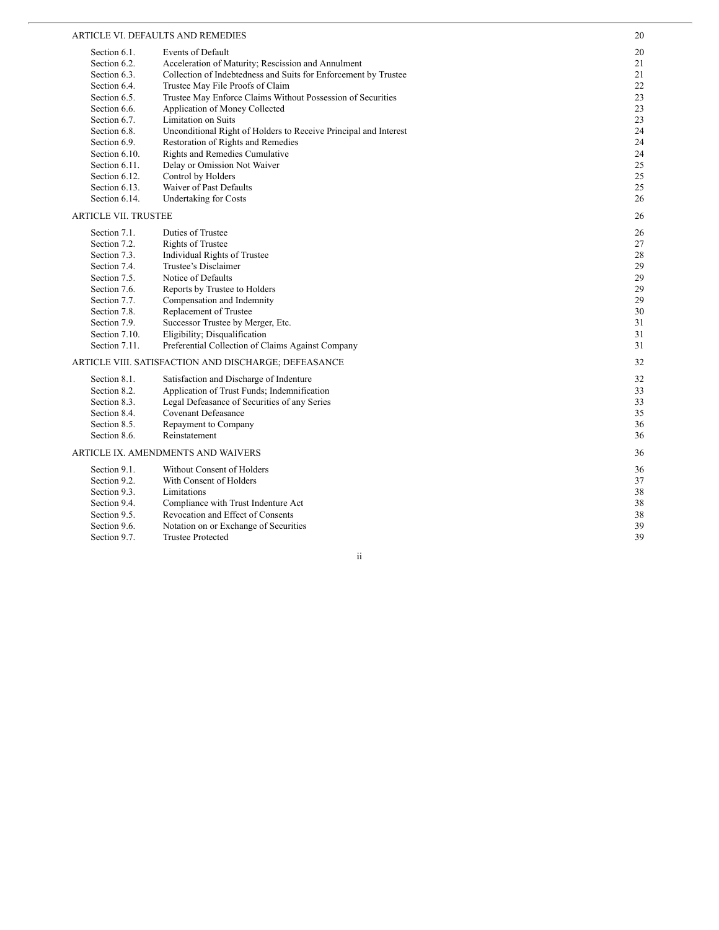#### ARTICLE VI. DEFAULTS AND REMEDIES

|                               | ARTICLE VI. DEFAULTS AND REMEDIES                                                  | 20       |
|-------------------------------|------------------------------------------------------------------------------------|----------|
| Section 6.1.                  | <b>Events of Default</b>                                                           | 20       |
| Section 6.2.                  | Acceleration of Maturity; Rescission and Annulment                                 | 21       |
| Section 6.3.                  | Collection of Indebtedness and Suits for Enforcement by Trustee                    | 21       |
| Section 6.4.                  | Trustee May File Proofs of Claim                                                   | $22\,$   |
| Section 6.5.                  | Trustee May Enforce Claims Without Possession of Securities                        | 23       |
| Section 6.6.                  | Application of Money Collected                                                     | 23       |
| Section 6.7.                  | Limitation on Suits                                                                | 23       |
| Section 6.8.                  | Unconditional Right of Holders to Receive Principal and Interest                   | 24       |
| Section 6.9.                  | Restoration of Rights and Remedies                                                 | 24       |
| Section 6.10.                 | Rights and Remedies Cumulative                                                     | 24       |
| Section 6.11.                 | Delay or Omission Not Waiver                                                       | 25       |
| Section 6.12.                 | Control by Holders                                                                 | 25       |
| Section 6.13.                 | Waiver of Past Defaults                                                            | 25       |
| Section 6.14.                 | Undertaking for Costs                                                              | 26       |
| <b>ARTICLE VII. TRUSTEE</b>   |                                                                                    | 26       |
|                               |                                                                                    |          |
| Section 7.1.                  | Duties of Trustee                                                                  | 26       |
| Section 7.2.                  | <b>Rights of Trustee</b>                                                           | 27       |
| Section 7.3.                  | Individual Rights of Trustee<br>Trustee's Disclaimer                               | 28<br>29 |
| Section 7.4.                  |                                                                                    |          |
| Section 7.5.                  | Notice of Defaults                                                                 | 29<br>29 |
| Section 7.6.<br>Section 7.7.  | Reports by Trustee to Holders                                                      | 29       |
|                               | Compensation and Indemnity                                                         | 30       |
| Section 7.8.                  | Replacement of Trustee                                                             |          |
| Section 7.9.<br>Section 7.10. | Successor Trustee by Merger, Etc.                                                  | 31<br>31 |
| Section 7.11.                 | Eligibility; Disqualification<br>Preferential Collection of Claims Against Company | 31       |
|                               |                                                                                    |          |
|                               | ARTICLE VIII. SATISFACTION AND DISCHARGE; DEFEASANCE                               | 32       |
| Section 8.1.                  | Satisfaction and Discharge of Indenture                                            | 32       |
| Section 8.2.                  | Application of Trust Funds; Indemnification                                        | 33       |
| Section 8.3.                  | Legal Defeasance of Securities of any Series                                       | 33       |
| Section 8.4.                  | <b>Covenant Defeasance</b>                                                         | 35       |
| Section 8.5.                  | Repayment to Company                                                               | 36       |
| Section 8.6.                  | Reinstatement                                                                      | 36       |
|                               | ARTICLE IX. AMENDMENTS AND WAIVERS                                                 | 36       |
| Section 9.1.                  | Without Consent of Holders                                                         | 36       |
| Section 9.2.                  | With Consent of Holders                                                            | 37       |
| Section 9.3.                  | Limitations                                                                        | 38       |
| Section 9.4.                  | Compliance with Trust Indenture Act                                                | 38       |
| Section 9.5.                  | Revocation and Effect of Consents                                                  | 38       |
| Section 9.6.                  | Notation on or Exchange of Securities                                              | 39       |
| Section 9.7.                  | <b>Trustee Protected</b>                                                           | 39       |
|                               |                                                                                    |          |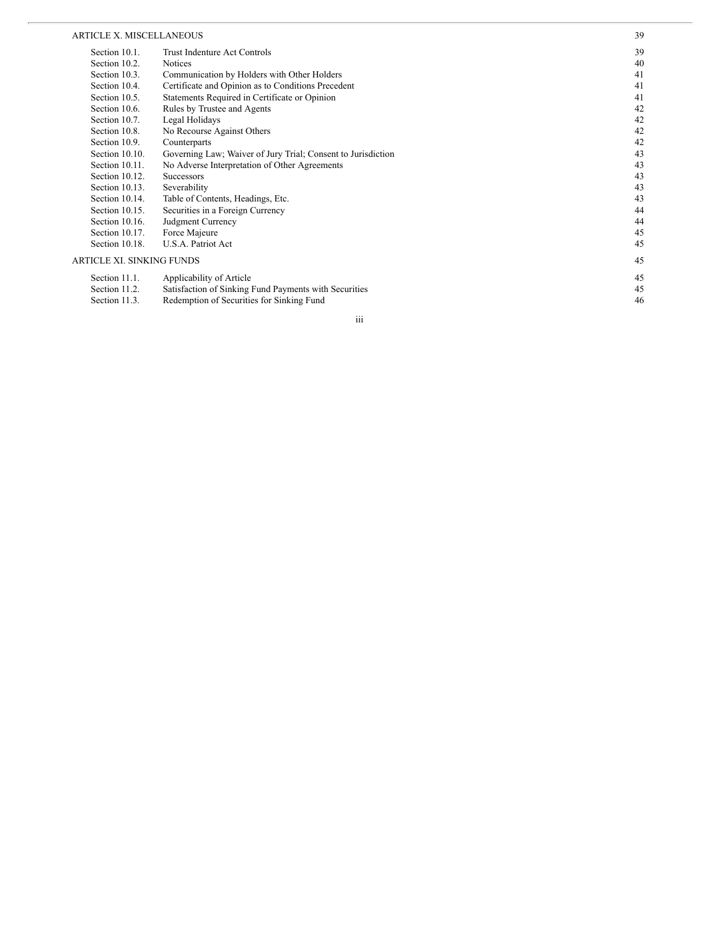#### ARTICLE X. MISCELLANEOUS

| <b>ARTICLE X. MISCELLANEOUS</b>  |                                                              | 39 |
|----------------------------------|--------------------------------------------------------------|----|
| Section 10.1.                    | Trust Indenture Act Controls                                 | 39 |
| Section 10.2.                    | <b>Notices</b>                                               | 40 |
| Section 10.3.                    | Communication by Holders with Other Holders                  | 41 |
| Section 10.4.                    | Certificate and Opinion as to Conditions Precedent           | 41 |
| Section 10.5.                    | Statements Required in Certificate or Opinion                | 41 |
| Section 10.6.                    | Rules by Trustee and Agents                                  | 42 |
| Section 10.7.                    | Legal Holidays                                               | 42 |
| Section 10.8.                    | No Recourse Against Others                                   | 42 |
| Section 10.9.                    | Counterparts                                                 | 42 |
| Section 10.10.                   | Governing Law; Waiver of Jury Trial; Consent to Jurisdiction | 43 |
| Section 10.11.                   | No Adverse Interpretation of Other Agreements                | 43 |
| Section 10.12.                   | <b>Successors</b>                                            | 43 |
| Section 10.13.                   | Severability                                                 | 43 |
| Section 10.14.                   | Table of Contents, Headings, Etc.                            | 43 |
| Section 10.15.                   | Securities in a Foreign Currency                             | 44 |
| Section 10.16.                   | Judgment Currency                                            | 44 |
| Section 10.17.                   | Force Majeure                                                | 45 |
| Section 10.18.                   | U.S.A. Patriot Act                                           | 45 |
| <b>ARTICLE XI. SINKING FUNDS</b> |                                                              | 45 |
| Section 11.1.                    | Applicability of Article                                     | 45 |
| Section 11.2.                    | Satisfaction of Sinking Fund Payments with Securities        | 45 |
| Section 11.3.                    | Redemption of Securities for Sinking Fund                    | 46 |

i i i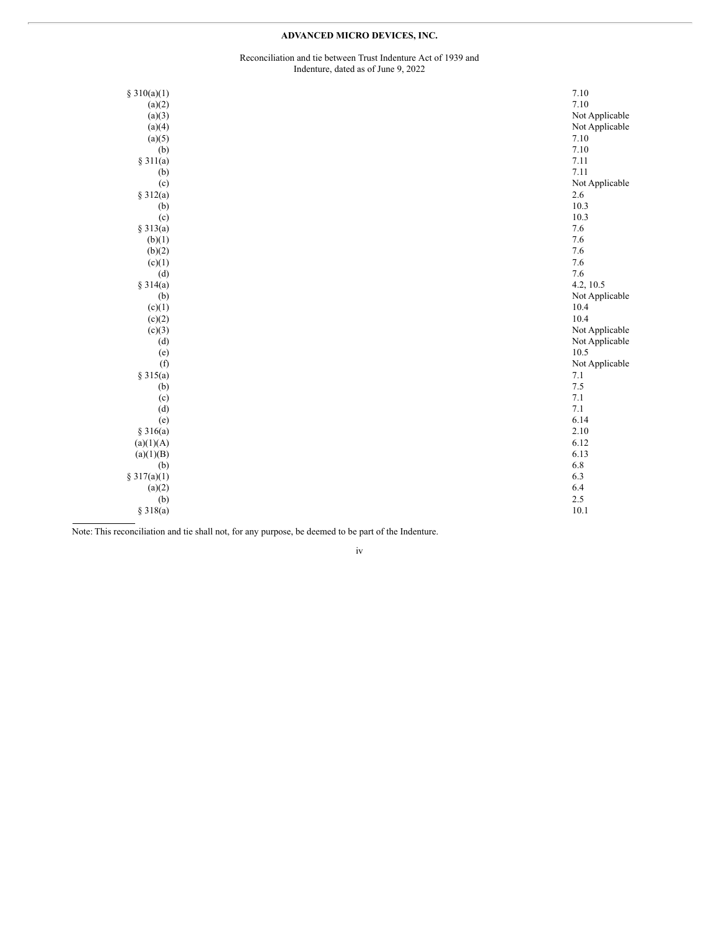### **ADVANCED MICRO DEVICES, INC.**

#### Reconciliation and tie between Trust Indenture Act of 1939 and Indenture, dated as of June 9, 2022

| § $310(a)(1)$                                                                         | 7.10           |
|---------------------------------------------------------------------------------------|----------------|
| (a)(2)                                                                                | 7.10           |
| (a)(3)                                                                                | Not Applicable |
| (a)(4)                                                                                | Not Applicable |
| (a)(5)                                                                                | 7.10           |
| (b)                                                                                   | 7.10           |
| § 311(a)                                                                              | 7.11           |
|                                                                                       | 7.11           |
|                                                                                       | Not Applicable |
|                                                                                       | 2.6            |
|                                                                                       | 10.3           |
| (c)                                                                                   | 10.3           |
|                                                                                       | 7.6            |
| (b)(1)                                                                                | 7.6            |
| (b)(2)                                                                                | 7.6            |
| (c)(1)                                                                                | 7.6            |
| (d)                                                                                   | 7.6            |
| § 314(a)                                                                              | 4.2, 10.5      |
|                                                                                       | Not Applicable |
|                                                                                       | 10.4           |
|                                                                                       | 10.4           |
|                                                                                       | Not Applicable |
| (d)                                                                                   | Not Applicable |
|                                                                                       | 10.5           |
| (f)                                                                                   | Not Applicable |
| § 315(a)                                                                              | 7.1            |
| (b)                                                                                   | $7.5\,$        |
| (c)                                                                                   | 7.1            |
| (d)                                                                                   | 7.1            |
| (e)                                                                                   | 6.14           |
| § 316(a)                                                                              | 2.10           |
| (a)(1)(A)                                                                             | 6.12           |
| (a)(1)(B)                                                                             | 6.13           |
| (b)                                                                                   | 6.8            |
| \$317(a)(1)                                                                           | 6.3            |
| (a)(2)                                                                                | 6.4            |
| (b)                                                                                   | 2.5            |
| § 318(a)                                                                              | 10.1           |
| (b)<br>(c)<br>§ 312(a)<br>(b)<br>§ 313(a)<br>(b)<br>(c)(1)<br>(c)(2)<br>(c)(3)<br>(e) |                |

Note: This reconciliation and tie shall not, for any purpose, be deemed to be part of the Indenture.

iv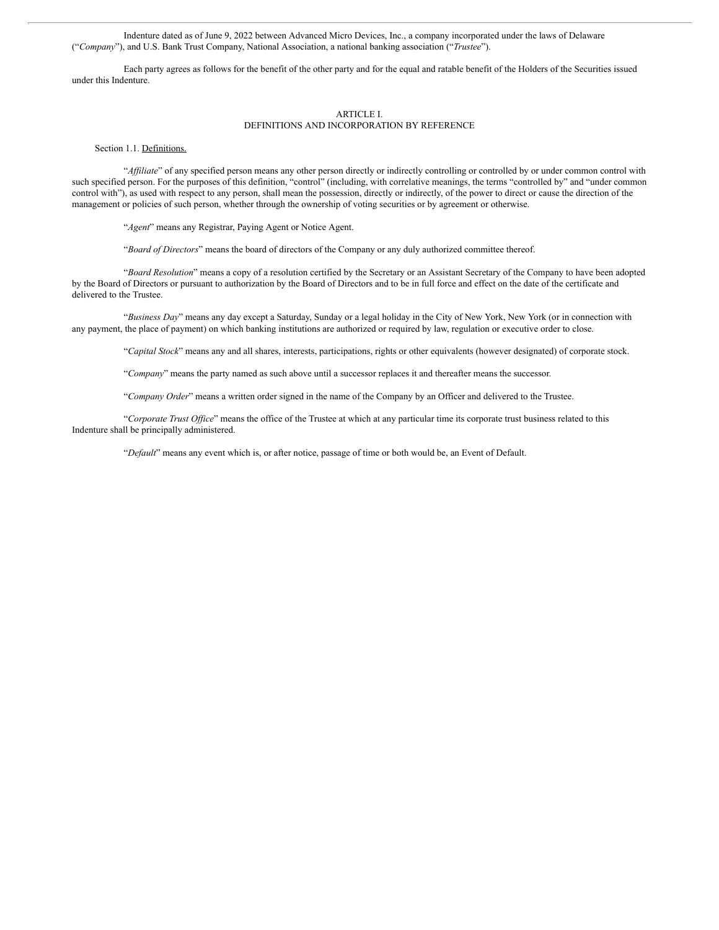Indenture dated as of June 9, 2022 between Advanced Micro Devices, Inc., a company incorporated under the laws of Delaware ("*Company*"), and U.S. Bank Trust Company, National Association, a national banking association ("*Trustee*").

Each party agrees as follows for the benefit of the other party and for the equal and ratable benefit of the Holders of the Securities issued under this Indenture.

#### ARTICLE I.

#### DEFINITIONS AND INCORPORATION BY REFERENCE

Section 1.1. Definitions.

"*Af iliate*" of any specified person means any other person directly or indirectly controlling or controlled by or under common control with such specified person. For the purposes of this definition, "control" (including, with correlative meanings, the terms "controlled by" and "under common control with"), as used with respect to any person, shall mean the possession, directly or indirectly, of the power to direct or cause the direction of the management or policies of such person, whether through the ownership of voting securities or by agreement or otherwise.

"*Agent*" means any Registrar, Paying Agent or Notice Agent.

"*Board of Directors*" means the board of directors of the Company or any duly authorized committee thereof.

"*Board Resolution*" means a copy of a resolution certified by the Secretary or an Assistant Secretary of the Company to have been adopted by the Board of Directors or pursuant to authorization by the Board of Directors and to be in full force and effect on the date of the certificate and delivered to the Trustee.

"*Business Day*" means any day except a Saturday, Sunday or a legal holiday in the City of New York, New York (or in connection with any payment, the place of payment) on which banking institutions are authorized or required by law, regulation or executive order to close.

"*Capital Stock*" means any and all shares, interests, participations, rights or other equivalents (however designated) of corporate stock.

"*Company*" means the party named as such above until a successor replaces it and thereafter means the successor.

"*Company Order*" means a written order signed in the name of the Company by an Officer and delivered to the Trustee.

"Corporate Trust Office" means the office of the Trustee at which at any particular time its corporate trust business related to this Indenture shall be principally administered.

"*Default*" means any event which is, or after notice, passage of time or both would be, an Event of Default.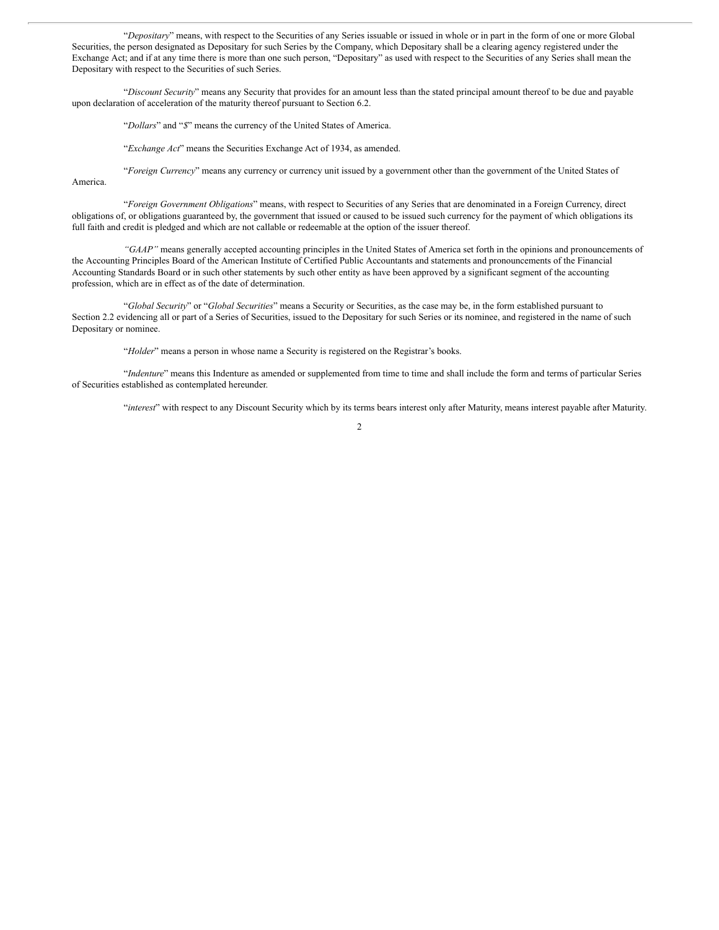"*Depositary*" means, with respect to the Securities of any Series issuable or issued in whole or in part in the form of one or more Global Securities, the person designated as Depositary for such Series by the Company, which Depositary shall be a clearing agency registered under the Exchange Act; and if at any time there is more than one such person, "Depositary" as used with respect to the Securities of any Series shall mean the Depositary with respect to the Securities of such Series.

"*Discount Security*" means any Security that provides for an amount less than the stated principal amount thereof to be due and payable upon declaration of acceleration of the maturity thereof pursuant to Section 6.2.

"*Dollars*" and "*\$*" means the currency of the United States of America.

"*Exchange Act*" means the Securities Exchange Act of 1934, as amended.

"*Foreign Currency*" means any currency or currency unit issued by a government other than the government of the United States of America.

"*Foreign Government Obligations*" means, with respect to Securities of any Series that are denominated in a Foreign Currency, direct obligations of, or obligations guaranteed by, the government that issued or caused to be issued such currency for the payment of which obligations its full faith and credit is pledged and which are not callable or redeemable at the option of the issuer thereof.

*"GAAP"* means generally accepted accounting principles in the United States of America set forth in the opinions and pronouncements of the Accounting Principles Board of the American Institute of Certified Public Accountants and statements and pronouncements of the Financial Accounting Standards Board or in such other statements by such other entity as have been approved by a significant segment of the accounting profession, which are in effect as of the date of determination.

"*Global Security*" or "*Global Securities*" means a Security or Securities, as the case may be, in the form established pursuant to Section 2.2 evidencing all or part of a Series of Securities, issued to the Depositary for such Series or its nominee, and registered in the name of such Depositary or nominee.

"*Holder*" means a person in whose name a Security is registered on the Registrar's books.

"*Indenture*" means this Indenture as amended or supplemented from time to time and shall include the form and terms of particular Series of Securities established as contemplated hereunder.

"*interest*" with respect to any Discount Security which by its terms bears interest only after Maturity, means interest payable after Maturity.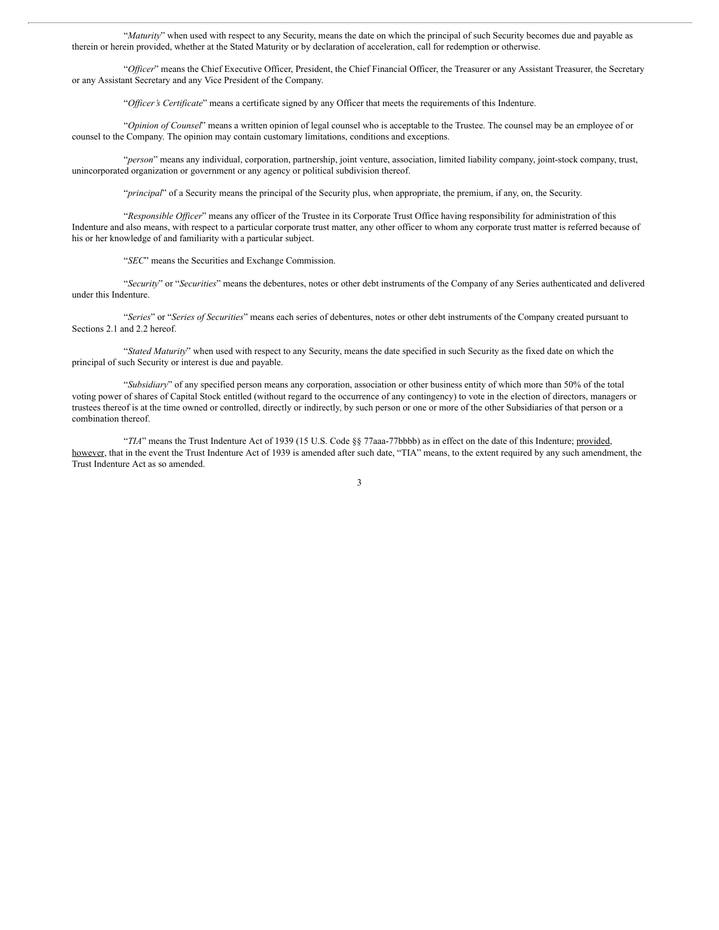"*Maturity*" when used with respect to any Security, means the date on which the principal of such Security becomes due and payable as therein or herein provided, whether at the Stated Maturity or by declaration of acceleration, call for redemption or otherwise.

"*Of icer*" means the Chief Executive Officer, President, the Chief Financial Officer, the Treasurer or any Assistant Treasurer, the Secretary or any Assistant Secretary and any Vice President of the Company.

"*Of icer's Certificate*" means a certificate signed by any Officer that meets the requirements of this Indenture.

"*Opinion of Counsel*" means a written opinion of legal counsel who is acceptable to the Trustee. The counsel may be an employee of or counsel to the Company. The opinion may contain customary limitations, conditions and exceptions.

"*person*" means any individual, corporation, partnership, joint venture, association, limited liability company, joint-stock company, trust, unincorporated organization or government or any agency or political subdivision thereof.

"*principal*" of a Security means the principal of the Security plus, when appropriate, the premium, if any, on, the Security.

"Responsible Officer" means any officer of the Trustee in its Corporate Trust Office having responsibility for administration of this Indenture and also means, with respect to a particular corporate trust matter, any other officer to whom any corporate trust matter is referred because of his or her knowledge of and familiarity with a particular subject.

"*SEC*" means the Securities and Exchange Commission.

"*Security*" or "*Securities*" means the debentures, notes or other debt instruments of the Company of any Series authenticated and delivered under this Indenture.

"*Series*" or "*Series of Securities*" means each series of debentures, notes or other debt instruments of the Company created pursuant to Sections 2.1 and 2.2 hereof.

"*Stated Maturity*" when used with respect to any Security, means the date specified in such Security as the fixed date on which the principal of such Security or interest is due and payable.

"*Subsidiary*" of any specified person means any corporation, association or other business entity of which more than 50% of the total voting power of shares of Capital Stock entitled (without regard to the occurrence of any contingency) to vote in the election of directors, managers or trustees thereof is at the time owned or controlled, directly or indirectly, by such person or one or more of the other Subsidiaries of that person or a combination thereof.

"*TIA*" means the Trust Indenture Act of 1939 (15 U.S. Code §§ 77aaa-77bbbb) as in effect on the date of this Indenture; provided, however, that in the event the Trust Indenture Act of 1939 is amended after such date, "TIA" means, to the extent required by any such amendment, the Trust Indenture Act as so amended.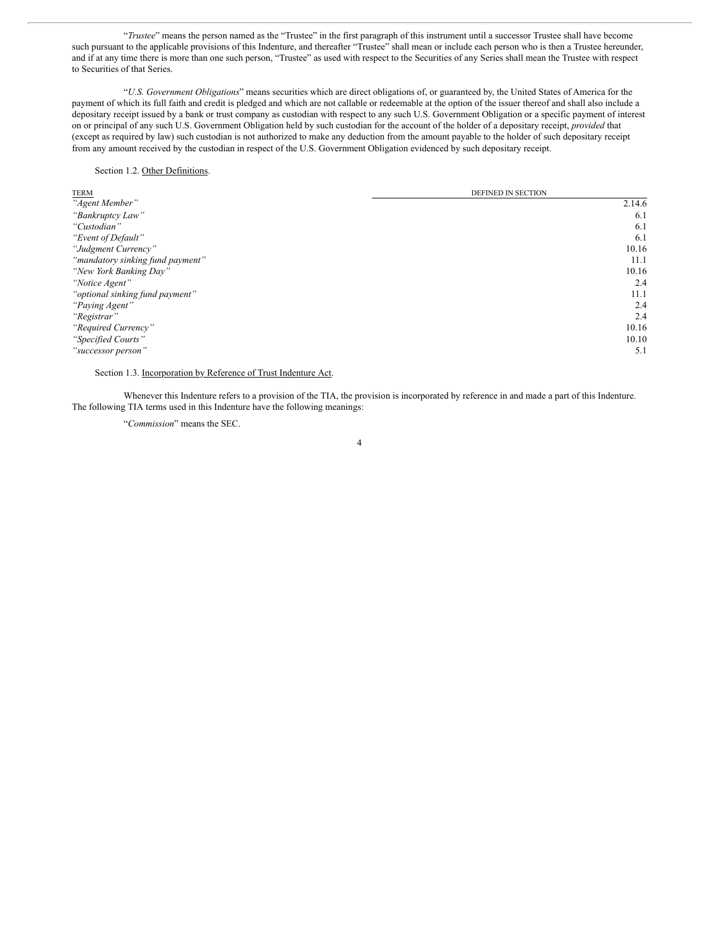"*Trustee*" means the person named as the "Trustee" in the first paragraph of this instrument until a successor Trustee shall have become such pursuant to the applicable provisions of this Indenture, and thereafter "Trustee" shall mean or include each person who is then a Trustee hereunder, and if at any time there is more than one such person, "Trustee" as used with respect to the Securities of any Series shall mean the Trustee with respect to Securities of that Series.

"*U.S. Government Obligations*" means securities which are direct obligations of, or guaranteed by, the United States of America for the payment of which its full faith and credit is pledged and which are not callable or redeemable at the option of the issuer thereof and shall also include a depositary receipt issued by a bank or trust company as custodian with respect to any such U.S. Government Obligation or a specific payment of interest on or principal of any such U.S. Government Obligation held by such custodian for the account of the holder of a depositary receipt, *provided* that (except as required by law) such custodian is not authorized to make any deduction from the amount payable to the holder of such depositary receipt from any amount received by the custodian in respect of the U.S. Government Obligation evidenced by such depositary receipt.

#### Section 1.2. Other Definitions.

| <b>TERM</b>                      | DEFINED IN SECTION |
|----------------------------------|--------------------|
| "Agent Member"                   | 2.14.6             |
| "Bankruptcy Law"                 | 6.1                |
| "Custodian"                      | 6.1                |
| "Event of Default"               | 6.1                |
| "Judgment Currency"              | 10.16              |
| "mandatory sinking fund payment" | 11.1               |
| "New York Banking Day"           | 10.16              |
| "Notice Agent"                   | 2.4                |
| "optional sinking fund payment"  | 11.1               |
| "Paying Agent"                   | 2.4                |
| "Registrar"                      | 2.4                |
| "Required Currency"              | 10.16              |
| "Specified Courts"               | 10.10              |
| "successor person"               | 5.1                |

Section 1.3. Incorporation by Reference of Trust Indenture Act.

Whenever this Indenture refers to a provision of the TIA, the provision is incorporated by reference in and made a part of this Indenture. The following TIA terms used in this Indenture have the following meanings:

"*Commission*" means the SEC.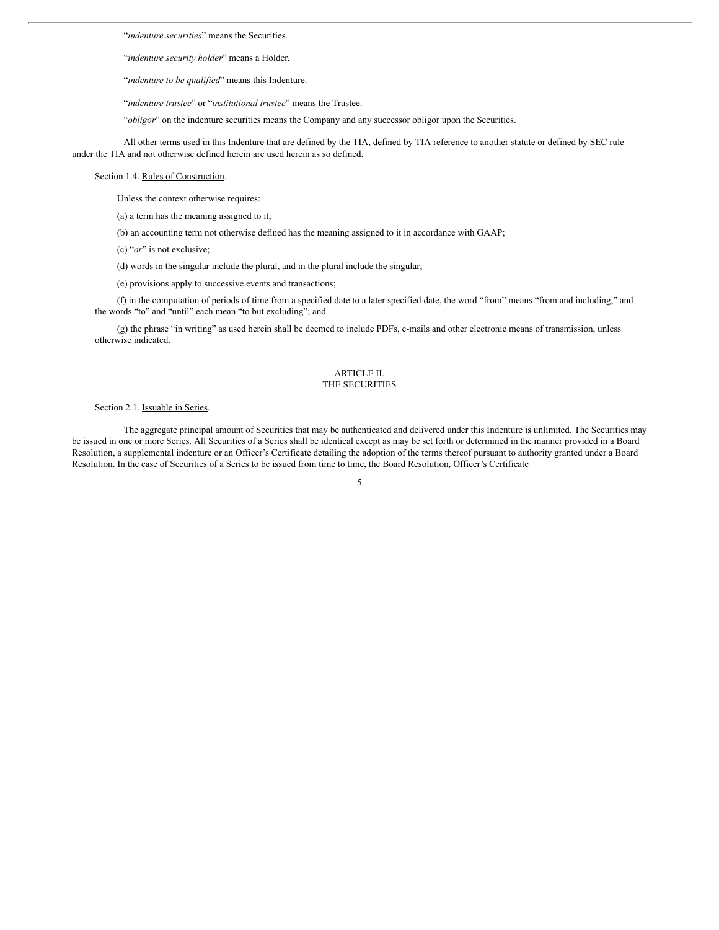"*indenture securities*" means the Securities.

"*indenture security holder*" means a Holder.

"*indenture to be qualified*" means this Indenture.

"*indenture trustee*" or "*institutional trustee*" means the Trustee.

"*obligor*" on the indenture securities means the Company and any successor obligor upon the Securities.

All other terms used in this Indenture that are defined by the TIA, defined by TIA reference to another statute or defined by SEC rule under the TIA and not otherwise defined herein are used herein as so defined.

Section 1.4. Rules of Construction.

Unless the context otherwise requires:

(a) a term has the meaning assigned to it;

(b) an accounting term not otherwise defined has the meaning assigned to it in accordance with GAAP;

(c) "*or*" is not exclusive;

(d) words in the singular include the plural, and in the plural include the singular;

(e) provisions apply to successive events and transactions;

(f) in the computation of periods of time from a specified date to a later specified date, the word "from" means "from and including," and the words "to" and "until" each mean "to but excluding"; and

(g) the phrase "in writing" as used herein shall be deemed to include PDFs, e-mails and other electronic means of transmission, unless otherwise indicated.

#### ARTICLE II. THE SECURITIES

#### Section 2.1. Issuable in Series.

The aggregate principal amount of Securities that may be authenticated and delivered under this Indenture is unlimited. The Securities may be issued in one or more Series. All Securities of a Series shall be identical except as may be set forth or determined in the manner provided in a Board Resolution, a supplemental indenture or an Officer's Certificate detailing the adoption of the terms thereof pursuant to authority granted under a Board Resolution. In the case of Securities of a Series to be issued from time to time, the Board Resolution, Officer's Certificate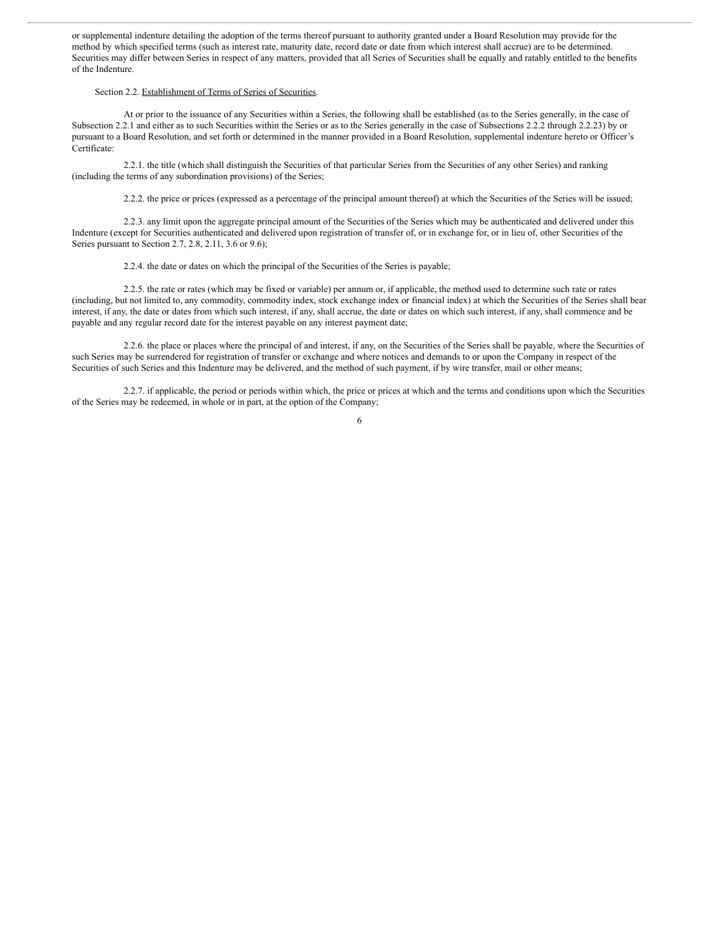or supplemental indenture detailing the adoption of the terms thereof pursuant to authority granted under a Board Resolution may provide for the method by which specified terms (such as interest rate, maturity date, record date or date from which interest shall accrue) are to be determined. Securities may differ between Series in respect of any matters, provided that all Series of Securities shall be equally and ratably entitled to the benefits of the Indenture.

#### Section 2.2. Establishment of Terms of Series of Securities.

At or prior to the issuance of any Securities within a Series, the following shall be established (as to the Series generally, in the case of Subsection 2.2.1 and either as to such Securities within the Series or as to the Series generally in the case of Subsections 2.2.2 through 2.2.23) by or pursuant to a Board Resolution, and set forth or determined in the manner provided in a Board Resolution, supplemental indenture hereto or Officer's Certificate:

2.2.1. the title (which shall distinguish the Securities of that particular Series from the Securities of any other Series) and ranking (including the terms of any subordination provisions) of the Series;

2.2.2. the price or prices (expressed as a percentage of the principal amount thereof) at which the Securities of the Series will be issued;

2.2.3. any limit upon the aggregate principal amount of the Securities of the Series which may be authenticated and delivered under this Indenture (except for Securities authenticated and delivered upon registration of transfer of, or in exchange for, or in lieu of, other Securities of the Series pursuant to Section 2.7, 2.8, 2.11, 3.6 or 9.6);

2.2.4. the date or dates on which the principal of the Securities of the Series is payable;

2.2.5. the rate or rates (which may be fixed or variable) per annum or, if applicable, the method used to determine such rate or rates (including, but not limited to, any commodity, commodity index, stock exchange index or financial index) at which the Securities of the Series shall bear interest, if any, the date or dates from which such interest, if any, shall accrue, the date or dates on which such interest, if any, shall commence and be payable and any regular record date for the interest payable on any interest payment date;

2.2.6. the place or places where the principal of and interest, if any, on the Securities of the Series shall be payable, where the Securities of such Series may be surrendered for registration of transfer or exchange and where notices and demands to or upon the Company in respect of the Securities of such Series and this Indenture may be delivered, and the method of such payment, if by wire transfer, mail or other means;

2.2.7. if applicable, the period or periods within which, the price or prices at which and the terms and conditions upon which the Securities of the Series may be redeemed, in whole or in part, at the option of the Company;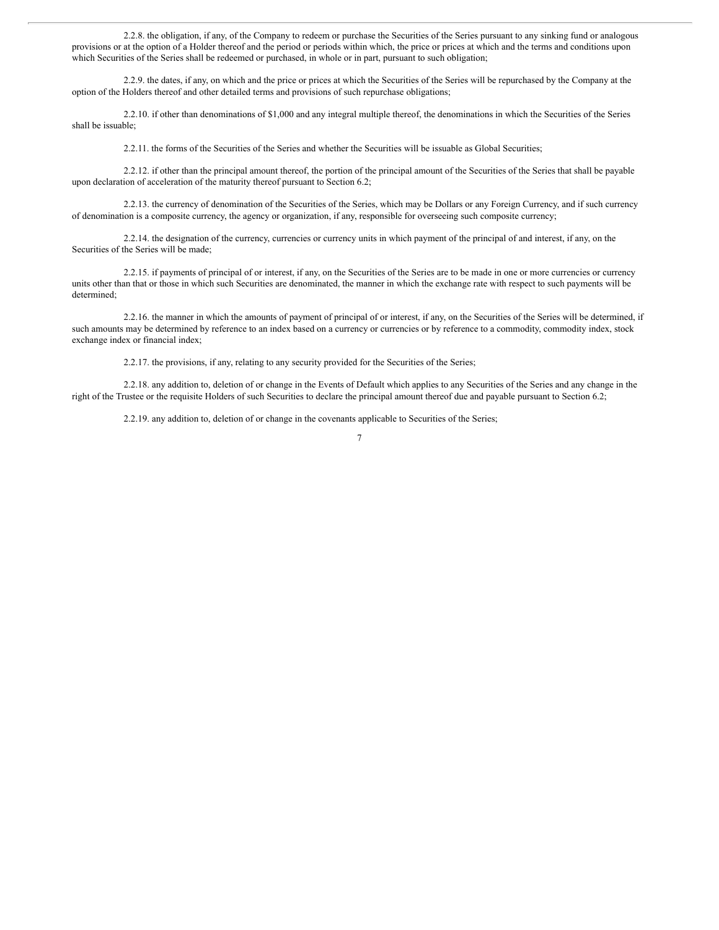2.2.8. the obligation, if any, of the Company to redeem or purchase the Securities of the Series pursuant to any sinking fund or analogous provisions or at the option of a Holder thereof and the period or periods within which, the price or prices at which and the terms and conditions upon which Securities of the Series shall be redeemed or purchased, in whole or in part, pursuant to such obligation;

2.2.9. the dates, if any, on which and the price or prices at which the Securities of the Series will be repurchased by the Company at the option of the Holders thereof and other detailed terms and provisions of such repurchase obligations;

2.2.10. if other than denominations of \$1,000 and any integral multiple thereof, the denominations in which the Securities of the Series shall be issuable;

2.2.11. the forms of the Securities of the Series and whether the Securities will be issuable as Global Securities;

2.2.12. if other than the principal amount thereof, the portion of the principal amount of the Securities of the Series that shall be payable upon declaration of acceleration of the maturity thereof pursuant to Section 6.2;

2.2.13. the currency of denomination of the Securities of the Series, which may be Dollars or any Foreign Currency, and if such currency of denomination is a composite currency, the agency or organization, if any, responsible for overseeing such composite currency;

2.2.14. the designation of the currency, currencies or currency units in which payment of the principal of and interest, if any, on the Securities of the Series will be made;

2.2.15. if payments of principal of or interest, if any, on the Securities of the Series are to be made in one or more currencies or currency units other than that or those in which such Securities are denominated, the manner in which the exchange rate with respect to such payments will be determined;

2.2.16. the manner in which the amounts of payment of principal of or interest, if any, on the Securities of the Series will be determined, if such amounts may be determined by reference to an index based on a currency or currencies or by reference to a commodity, commodity index, stock exchange index or financial index;

2.2.17. the provisions, if any, relating to any security provided for the Securities of the Series;

2.2.18. any addition to, deletion of or change in the Events of Default which applies to any Securities of the Series and any change in the right of the Trustee or the requisite Holders of such Securities to declare the principal amount thereof due and payable pursuant to Section 6.2;

2.2.19. any addition to, deletion of or change in the covenants applicable to Securities of the Series;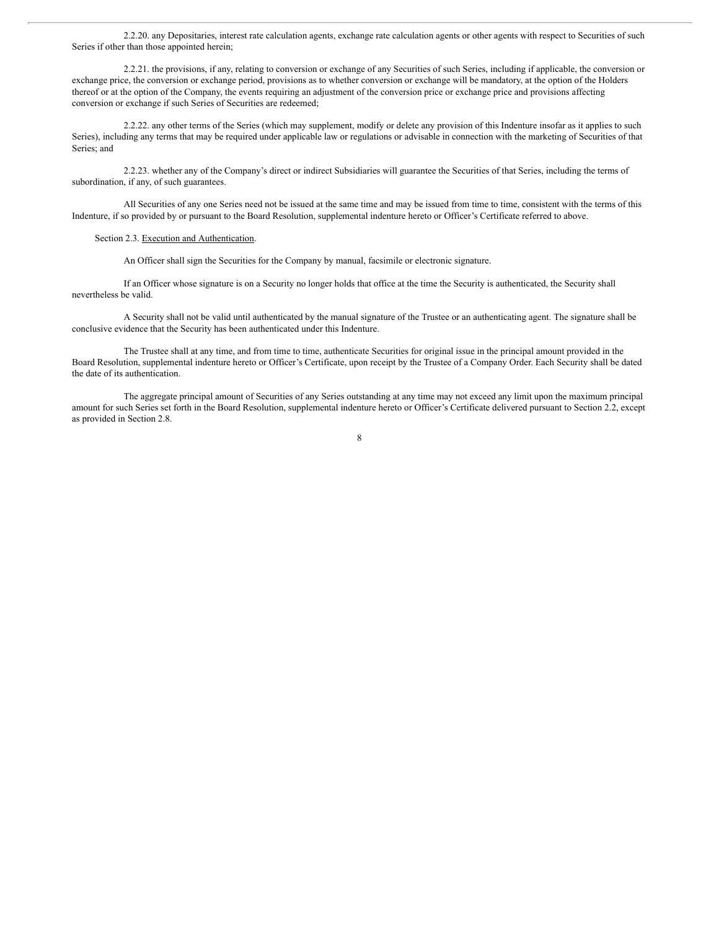2.2.20. any Depositaries, interest rate calculation agents, exchange rate calculation agents or other agents with respect to Securities of such Series if other than those appointed herein;

2.2.21. the provisions, if any, relating to conversion or exchange of any Securities of such Series, including if applicable, the conversion or exchange price, the conversion or exchange period, provisions as to whether conversion or exchange will be mandatory, at the option of the Holders thereof or at the option of the Company, the events requiring an adjustment of the conversion price or exchange price and provisions affecting conversion or exchange if such Series of Securities are redeemed;

2.2.22. any other terms of the Series (which may supplement, modify or delete any provision of this Indenture insofar as it applies to such Series), including any terms that may be required under applicable law or regulations or advisable in connection with the marketing of Securities of that Series; and

2.2.23. whether any of the Company's direct or indirect Subsidiaries will guarantee the Securities of that Series, including the terms of subordination, if any, of such guarantees.

All Securities of any one Series need not be issued at the same time and may be issued from time to time, consistent with the terms of this Indenture, if so provided by or pursuant to the Board Resolution, supplemental indenture hereto or Officer's Certificate referred to above.

Section 2.3. Execution and Authentication.

An Officer shall sign the Securities for the Company by manual, facsimile or electronic signature.

If an Officer whose signature is on a Security no longer holds that office at the time the Security is authenticated, the Security shall nevertheless be valid.

A Security shall not be valid until authenticated by the manual signature of the Trustee or an authenticating agent. The signature shall be conclusive evidence that the Security has been authenticated under this Indenture.

The Trustee shall at any time, and from time to time, authenticate Securities for original issue in the principal amount provided in the Board Resolution, supplemental indenture hereto or Officer's Certificate, upon receipt by the Trustee of a Company Order. Each Security shall be dated the date of its authentication.

The aggregate principal amount of Securities of any Series outstanding at any time may not exceed any limit upon the maximum principal amount for such Series set forth in the Board Resolution, supplemental indenture hereto or Officer's Certificate delivered pursuant to Section 2.2, except as provided in Section 2.8.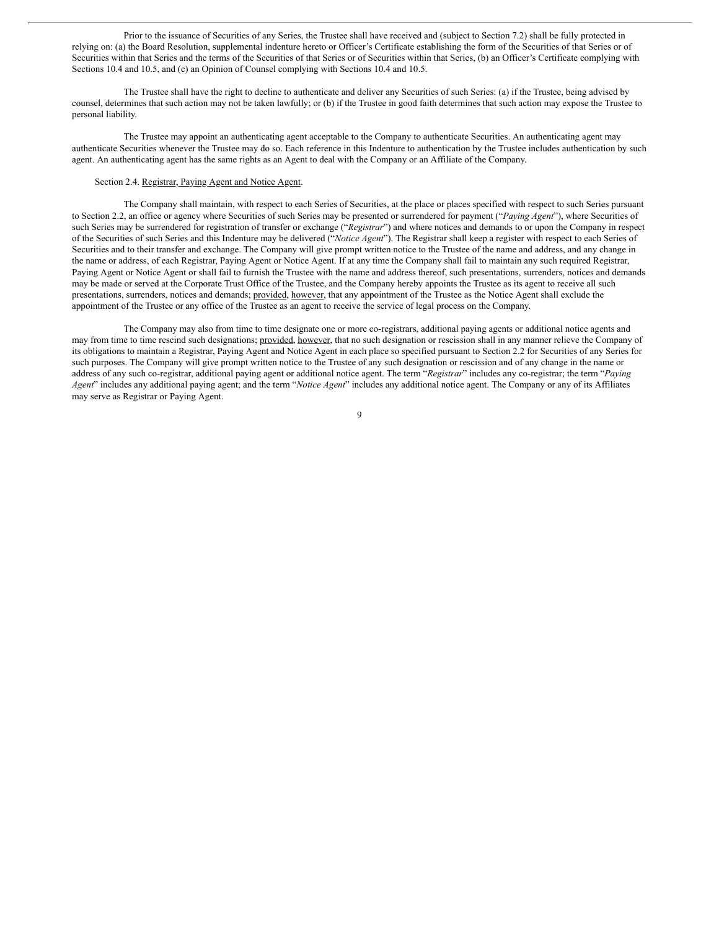Prior to the issuance of Securities of any Series, the Trustee shall have received and (subject to Section 7.2) shall be fully protected in relying on: (a) the Board Resolution, supplemental indenture hereto or Officer's Certificate establishing the form of the Securities of that Series or of Securities within that Series and the terms of the Securities of that Series or of Securities within that Series, (b) an Officer's Certificate complying with Sections 10.4 and 10.5, and (c) an Opinion of Counsel complying with Sections 10.4 and 10.5.

The Trustee shall have the right to decline to authenticate and deliver any Securities of such Series: (a) if the Trustee, being advised by counsel, determines that such action may not be taken lawfully; or (b) if the Trustee in good faith determines that such action may expose the Trustee to personal liability.

The Trustee may appoint an authenticating agent acceptable to the Company to authenticate Securities. An authenticating agent may authenticate Securities whenever the Trustee may do so. Each reference in this Indenture to authentication by the Trustee includes authentication by such agent. An authenticating agent has the same rights as an Agent to deal with the Company or an Affiliate of the Company.

#### Section 2.4. Registrar, Paying Agent and Notice Agent.

The Company shall maintain, with respect to each Series of Securities, at the place or places specified with respect to such Series pursuant to Section 2.2, an office or agency where Securities of such Series may be presented or surrendered for payment ("*Paying Agent*"), where Securities of such Series may be surrendered for registration of transfer or exchange ("*Registrar*") and where notices and demands to or upon the Company in respect of the Securities of such Series and this Indenture may be delivered ("*Notice Agent*"). The Registrar shall keep a register with respect to each Series of Securities and to their transfer and exchange. The Company will give prompt written notice to the Trustee of the name and address, and any change in the name or address, of each Registrar, Paying Agent or Notice Agent. If at any time the Company shall fail to maintain any such required Registrar, Paying Agent or Notice Agent or shall fail to furnish the Trustee with the name and address thereof, such presentations, surrenders, notices and demands may be made or served at the Corporate Trust Office of the Trustee, and the Company hereby appoints the Trustee as its agent to receive all such presentations, surrenders, notices and demands; provided, however, that any appointment of the Trustee as the Notice Agent shall exclude the appointment of the Trustee or any office of the Trustee as an agent to receive the service of legal process on the Company.

The Company may also from time to time designate one or more co-registrars, additional paying agents or additional notice agents and may from time to time rescind such designations; provided, however, that no such designation or rescission shall in any manner relieve the Company of its obligations to maintain a Registrar, Paying Agent and Notice Agent in each place so specified pursuant to Section 2.2 for Securities of any Series for such purposes. The Company will give prompt written notice to the Trustee of any such designation or rescission and of any change in the name or address of any such co-registrar, additional paying agent or additional notice agent. The term "*Registrar*" includes any co-registrar; the term "*Paying Agent*" includes any additional paying agent; and the term "*Notice Agent*" includes any additional notice agent. The Company or any of its Affiliates may serve as Registrar or Paying Agent.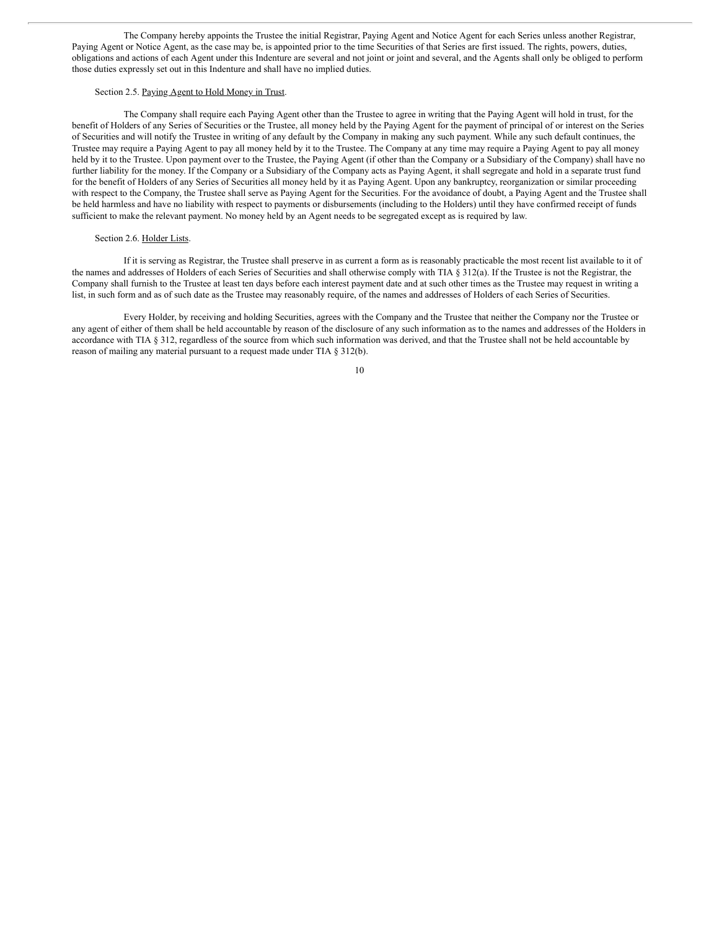The Company hereby appoints the Trustee the initial Registrar, Paying Agent and Notice Agent for each Series unless another Registrar, Paying Agent or Notice Agent, as the case may be, is appointed prior to the time Securities of that Series are first issued. The rights, powers, duties, obligations and actions of each Agent under this Indenture are several and not joint or joint and several, and the Agents shall only be obliged to perform those duties expressly set out in this Indenture and shall have no implied duties.

#### Section 2.5. Paying Agent to Hold Money in Trust.

The Company shall require each Paying Agent other than the Trustee to agree in writing that the Paying Agent will hold in trust, for the benefit of Holders of any Series of Securities or the Trustee, all money held by the Paying Agent for the payment of principal of or interest on the Series of Securities and will notify the Trustee in writing of any default by the Company in making any such payment. While any such default continues, the Trustee may require a Paying Agent to pay all money held by it to the Trustee. The Company at any time may require a Paying Agent to pay all money held by it to the Trustee. Upon payment over to the Trustee, the Paying Agent (if other than the Company or a Subsidiary of the Company) shall have no further liability for the money. If the Company or a Subsidiary of the Company acts as Paying Agent, it shall segregate and hold in a separate trust fund for the benefit of Holders of any Series of Securities all money held by it as Paying Agent. Upon any bankruptcy, reorganization or similar proceeding with respect to the Company, the Trustee shall serve as Paying Agent for the Securities. For the avoidance of doubt, a Paying Agent and the Trustee shall be held harmless and have no liability with respect to payments or disbursements (including to the Holders) until they have confirmed receipt of funds sufficient to make the relevant payment. No money held by an Agent needs to be segregated except as is required by law.

#### Section 2.6. Holder Lists.

If it is serving as Registrar, the Trustee shall preserve in as current a form as is reasonably practicable the most recent list available to it of the names and addresses of Holders of each Series of Securities and shall otherwise comply with TIA § 312(a). If the Trustee is not the Registrar, the Company shall furnish to the Trustee at least ten days before each interest payment date and at such other times as the Trustee may request in writing a list, in such form and as of such date as the Trustee may reasonably require, of the names and addresses of Holders of each Series of Securities.

Every Holder, by receiving and holding Securities, agrees with the Company and the Trustee that neither the Company nor the Trustee or any agent of either of them shall be held accountable by reason of the disclosure of any such information as to the names and addresses of the Holders in accordance with TIA § 312, regardless of the source from which such information was derived, and that the Trustee shall not be held accountable by reason of mailing any material pursuant to a request made under TIA § 312(b).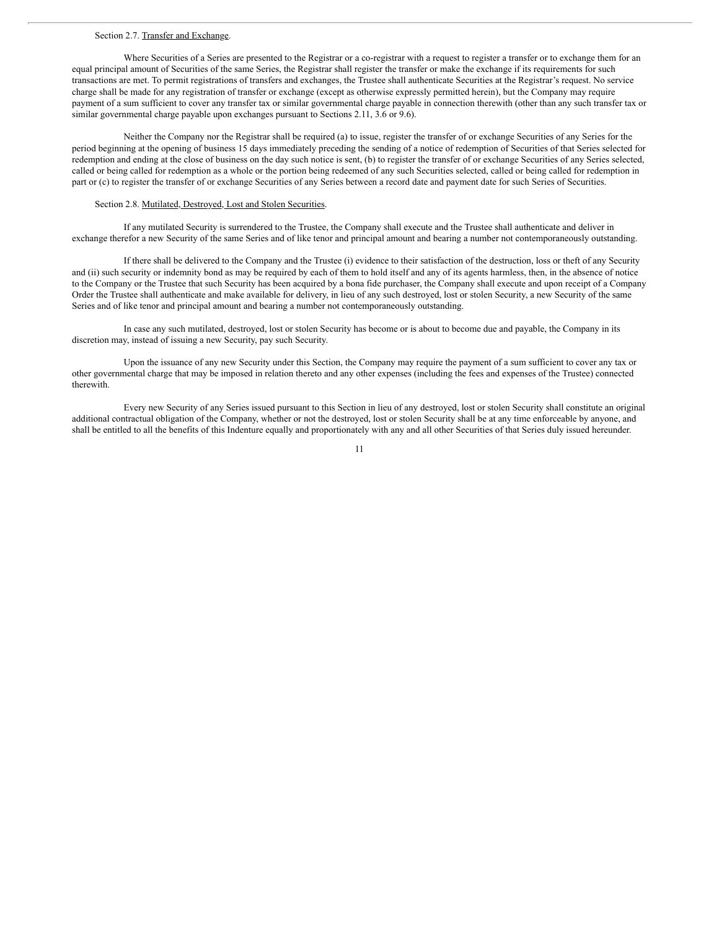#### Section 2.7. Transfer and Exchange.

Where Securities of a Series are presented to the Registrar or a co-registrar with a request to register a transfer or to exchange them for an equal principal amount of Securities of the same Series, the Registrar shall register the transfer or make the exchange if its requirements for such transactions are met. To permit registrations of transfers and exchanges, the Trustee shall authenticate Securities at the Registrar's request. No service charge shall be made for any registration of transfer or exchange (except as otherwise expressly permitted herein), but the Company may require payment of a sum sufficient to cover any transfer tax or similar governmental charge payable in connection therewith (other than any such transfer tax or similar governmental charge payable upon exchanges pursuant to Sections 2.11, 3.6 or 9.6).

Neither the Company nor the Registrar shall be required (a) to issue, register the transfer of or exchange Securities of any Series for the period beginning at the opening of business 15 days immediately preceding the sending of a notice of redemption of Securities of that Series selected for redemption and ending at the close of business on the day such notice is sent, (b) to register the transfer of or exchange Securities of any Series selected, called or being called for redemption as a whole or the portion being redeemed of any such Securities selected, called or being called for redemption in part or (c) to register the transfer of or exchange Securities of any Series between a record date and payment date for such Series of Securities.

#### Section 2.8. Mutilated, Destroyed, Lost and Stolen Securities.

If any mutilated Security is surrendered to the Trustee, the Company shall execute and the Trustee shall authenticate and deliver in exchange therefor a new Security of the same Series and of like tenor and principal amount and bearing a number not contemporaneously outstanding.

If there shall be delivered to the Company and the Trustee (i) evidence to their satisfaction of the destruction, loss or theft of any Security and (ii) such security or indemnity bond as may be required by each of them to hold itself and any of its agents harmless, then, in the absence of notice to the Company or the Trustee that such Security has been acquired by a bona fide purchaser, the Company shall execute and upon receipt of a Company Order the Trustee shall authenticate and make available for delivery, in lieu of any such destroyed, lost or stolen Security, a new Security of the same Series and of like tenor and principal amount and bearing a number not contemporaneously outstanding.

In case any such mutilated, destroyed, lost or stolen Security has become or is about to become due and payable, the Company in its discretion may, instead of issuing a new Security, pay such Security.

Upon the issuance of any new Security under this Section, the Company may require the payment of a sum sufficient to cover any tax or other governmental charge that may be imposed in relation thereto and any other expenses (including the fees and expenses of the Trustee) connected therewith.

Every new Security of any Series issued pursuant to this Section in lieu of any destroyed, lost or stolen Security shall constitute an original additional contractual obligation of the Company, whether or not the destroyed, lost or stolen Security shall be at any time enforceable by anyone, and shall be entitled to all the benefits of this Indenture equally and proportionately with any and all other Securities of that Series duly issued hereunder.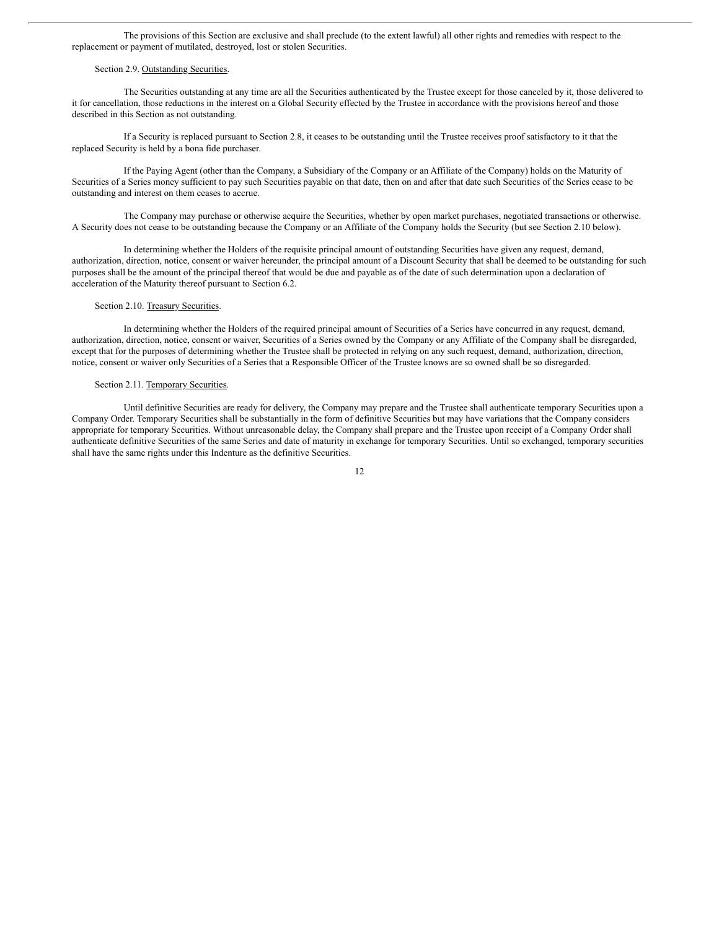The provisions of this Section are exclusive and shall preclude (to the extent lawful) all other rights and remedies with respect to the replacement or payment of mutilated, destroyed, lost or stolen Securities.

#### Section 2.9. Outstanding Securities.

The Securities outstanding at any time are all the Securities authenticated by the Trustee except for those canceled by it, those delivered to it for cancellation, those reductions in the interest on a Global Security effected by the Trustee in accordance with the provisions hereof and those described in this Section as not outstanding.

If a Security is replaced pursuant to Section 2.8, it ceases to be outstanding until the Trustee receives proof satisfactory to it that the replaced Security is held by a bona fide purchaser.

If the Paying Agent (other than the Company, a Subsidiary of the Company or an Affiliate of the Company) holds on the Maturity of Securities of a Series money sufficient to pay such Securities payable on that date, then on and after that date such Securities of the Series cease to be outstanding and interest on them ceases to accrue.

The Company may purchase or otherwise acquire the Securities, whether by open market purchases, negotiated transactions or otherwise. A Security does not cease to be outstanding because the Company or an Affiliate of the Company holds the Security (but see Section 2.10 below).

In determining whether the Holders of the requisite principal amount of outstanding Securities have given any request, demand, authorization, direction, notice, consent or waiver hereunder, the principal amount of a Discount Security that shall be deemed to be outstanding for such purposes shall be the amount of the principal thereof that would be due and payable as of the date of such determination upon a declaration of acceleration of the Maturity thereof pursuant to Section 6.2.

#### Section 2.10. Treasury Securities.

In determining whether the Holders of the required principal amount of Securities of a Series have concurred in any request, demand, authorization, direction, notice, consent or waiver, Securities of a Series owned by the Company or any Affiliate of the Company shall be disregarded, except that for the purposes of determining whether the Trustee shall be protected in relying on any such request, demand, authorization, direction, notice, consent or waiver only Securities of a Series that a Responsible Officer of the Trustee knows are so owned shall be so disregarded.

#### Section 2.11. Temporary Securities.

Until definitive Securities are ready for delivery, the Company may prepare and the Trustee shall authenticate temporary Securities upon a Company Order. Temporary Securities shall be substantially in the form of definitive Securities but may have variations that the Company considers appropriate for temporary Securities. Without unreasonable delay, the Company shall prepare and the Trustee upon receipt of a Company Order shall authenticate definitive Securities of the same Series and date of maturity in exchange for temporary Securities. Until so exchanged, temporary securities shall have the same rights under this Indenture as the definitive Securities.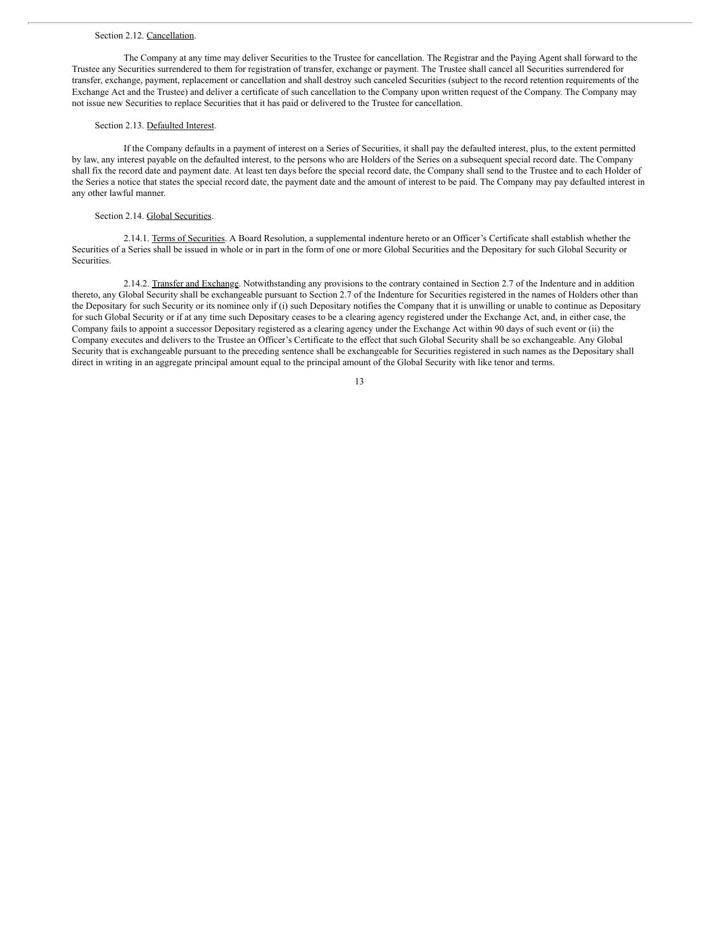#### Section 2.12. Cancellation.

The Company at any time may deliver Securities to the Trustee for cancellation. The Registrar and the Paying Agent shall forward to the Trustee any Securities surrendered to them for registration of transfer, exchange or payment. The Trustee shall cancel all Securities surrendered for transfer, exchange, payment, replacement or cancellation and shall destroy such canceled Securities (subject to the record retention requirements of the Exchange Act and the Trustee) and deliver a certificate of such cancellation to the Company upon written request of the Company. The Company may not issue new Securities to replace Securities that it has paid or delivered to the Trustee for cancellation.

#### Section 2.13. Defaulted Interest.

If the Company defaults in a payment of interest on a Series of Securities, it shall pay the defaulted interest, plus, to the extent permitted by law, any interest payable on the defaulted interest, to the persons who are Holders of the Series on a subsequent special record date. The Company shall fix the record date and payment date. At least ten days before the special record date, the Company shall send to the Trustee and to each Holder of the Series a notice that states the special record date, the payment date and the amount of interest to be paid. The Company may pay defaulted interest in any other lawful manner.

#### Section 2.14. Global Securities.

2.14.1. Terms of Securities. A Board Resolution, a supplemental indenture hereto or an Officer's Certificate shall establish whether the Securities of a Series shall be issued in whole or in part in the form of one or more Global Securities and the Depositary for such Global Security or Securities.

2.14.2. Transfer and Exchange. Notwithstanding any provisions to the contrary contained in Section 2.7 of the Indenture and in addition thereto, any Global Security shall be exchangeable pursuant to Section 2.7 of the Indenture for Securities registered in the names of Holders other than the Depositary for such Security or its nominee only if (i) such Depositary notifies the Company that it is unwilling or unable to continue as Depositary for such Global Security or if at any time such Depositary ceases to be a clearing agency registered under the Exchange Act, and, in either case, the Company fails to appoint a successor Depositary registered as a clearing agency under the Exchange Act within 90 days of such event or (ii) the Company executes and delivers to the Trustee an Officer's Certificate to the effect that such Global Security shall be so exchangeable. Any Global Security that is exchangeable pursuant to the preceding sentence shall be exchangeable for Securities registered in such names as the Depositary shall direct in writing in an aggregate principal amount equal to the principal amount of the Global Security with like tenor and terms.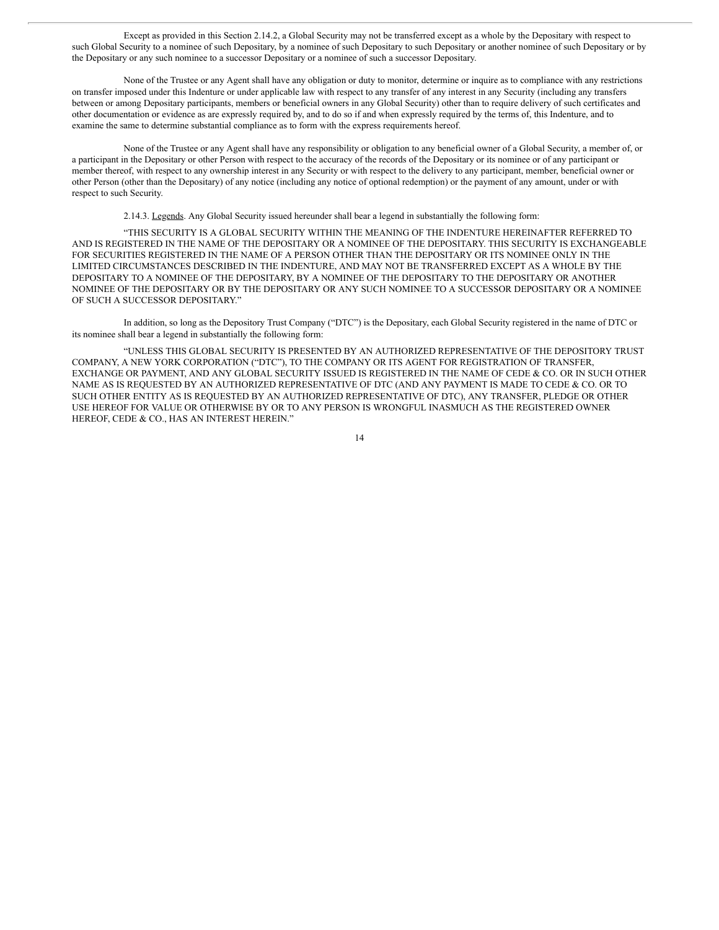Except as provided in this Section 2.14.2, a Global Security may not be transferred except as a whole by the Depositary with respect to such Global Security to a nominee of such Depositary, by a nominee of such Depositary to such Depositary or another nominee of such Depositary or by the Depositary or any such nominee to a successor Depositary or a nominee of such a successor Depositary.

None of the Trustee or any Agent shall have any obligation or duty to monitor, determine or inquire as to compliance with any restrictions on transfer imposed under this Indenture or under applicable law with respect to any transfer of any interest in any Security (including any transfers between or among Depositary participants, members or beneficial owners in any Global Security) other than to require delivery of such certificates and other documentation or evidence as are expressly required by, and to do so if and when expressly required by the terms of, this Indenture, and to examine the same to determine substantial compliance as to form with the express requirements hereof.

None of the Trustee or any Agent shall have any responsibility or obligation to any beneficial owner of a Global Security, a member of, or a participant in the Depositary or other Person with respect to the accuracy of the records of the Depositary or its nominee or of any participant or member thereof, with respect to any ownership interest in any Security or with respect to the delivery to any participant, member, beneficial owner or other Person (other than the Depositary) of any notice (including any notice of optional redemption) or the payment of any amount, under or with respect to such Security.

2.14.3. Legends. Any Global Security issued hereunder shall bear a legend in substantially the following form:

"THIS SECURITY IS A GLOBAL SECURITY WITHIN THE MEANING OF THE INDENTURE HEREINAFTER REFERRED TO AND IS REGISTERED IN THE NAME OF THE DEPOSITARY OR A NOMINEE OF THE DEPOSITARY. THIS SECURITY IS EXCHANGEABLE FOR SECURITIES REGISTERED IN THE NAME OF A PERSON OTHER THAN THE DEPOSITARY OR ITS NOMINEE ONLY IN THE LIMITED CIRCUMSTANCES DESCRIBED IN THE INDENTURE, AND MAY NOT BE TRANSFERRED EXCEPT AS A WHOLE BY THE DEPOSITARY TO A NOMINEE OF THE DEPOSITARY, BY A NOMINEE OF THE DEPOSITARY TO THE DEPOSITARY OR ANOTHER NOMINEE OF THE DEPOSITARY OR BY THE DEPOSITARY OR ANY SUCH NOMINEE TO A SUCCESSOR DEPOSITARY OR A NOMINEE OF SUCH A SUCCESSOR DEPOSITARY."

In addition, so long as the Depository Trust Company ("DTC") is the Depositary, each Global Security registered in the name of DTC or its nominee shall bear a legend in substantially the following form:

"UNLESS THIS GLOBAL SECURITY IS PRESENTED BY AN AUTHORIZED REPRESENTATIVE OF THE DEPOSITORY TRUST COMPANY, A NEW YORK CORPORATION ("DTC"), TO THE COMPANY OR ITS AGENT FOR REGISTRATION OF TRANSFER, EXCHANGE OR PAYMENT, AND ANY GLOBAL SECURITY ISSUED IS REGISTERED IN THE NAME OF CEDE & CO. OR IN SUCH OTHER NAME AS IS REQUESTED BY AN AUTHORIZED REPRESENTATIVE OF DTC (AND ANY PAYMENT IS MADE TO CEDE & CO. OR TO SUCH OTHER ENTITY AS IS REQUESTED BY AN AUTHORIZED REPRESENTATIVE OF DTC), ANY TRANSFER, PLEDGE OR OTHER USE HEREOF FOR VALUE OR OTHERWISE BY OR TO ANY PERSON IS WRONGFUL INASMUCH AS THE REGISTERED OWNER HEREOF, CEDE & CO., HAS AN INTEREST HEREIN."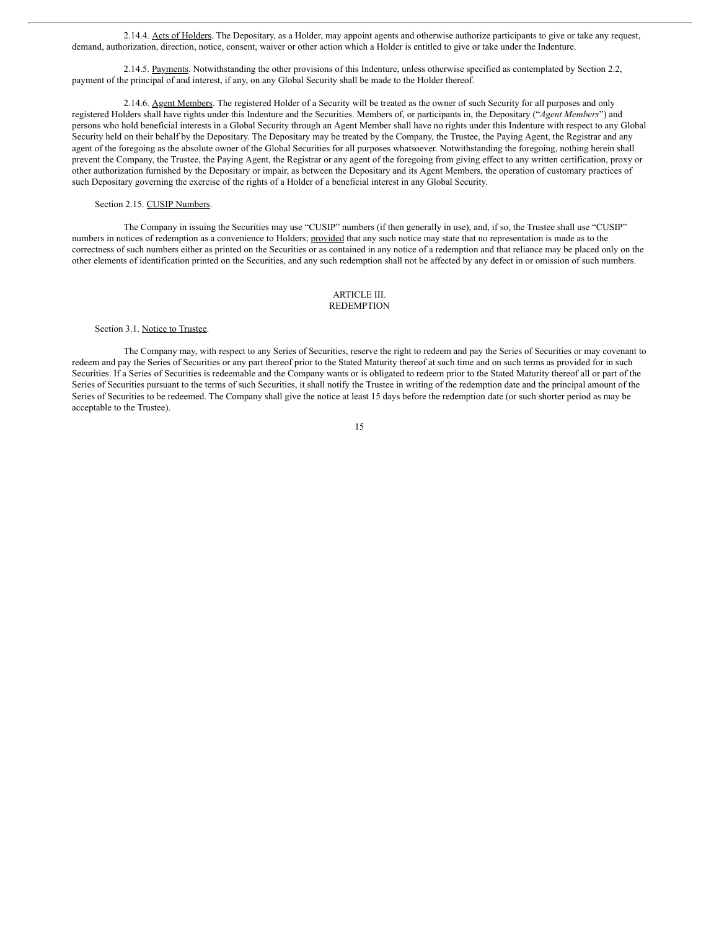2.14.4. Acts of Holders. The Depositary, as a Holder, may appoint agents and otherwise authorize participants to give or take any request, demand, authorization, direction, notice, consent, waiver or other action which a Holder is entitled to give or take under the Indenture.

2.14.5. Payments. Notwithstanding the other provisions of this Indenture, unless otherwise specified as contemplated by Section 2.2, payment of the principal of and interest, if any, on any Global Security shall be made to the Holder thereof.

2.14.6. Agent Members. The registered Holder of a Security will be treated as the owner of such Security for all purposes and only registered Holders shall have rights under this Indenture and the Securities. Members of, or participants in, the Depositary ("*Agent Members*") and persons who hold beneficial interests in a Global Security through an Agent Member shall have no rights under this Indenture with respect to any Global Security held on their behalf by the Depositary. The Depositary may be treated by the Company, the Trustee, the Paying Agent, the Registrar and any agent of the foregoing as the absolute owner of the Global Securities for all purposes whatsoever. Notwithstanding the foregoing, nothing herein shall prevent the Company, the Trustee, the Paying Agent, the Registrar or any agent of the foregoing from giving effect to any written certification, proxy or other authorization furnished by the Depositary or impair, as between the Depositary and its Agent Members, the operation of customary practices of such Depositary governing the exercise of the rights of a Holder of a beneficial interest in any Global Security.

Section 2.15. CUSIP Numbers.

The Company in issuing the Securities may use "CUSIP" numbers (if then generally in use), and, if so, the Trustee shall use "CUSIP" numbers in notices of redemption as a convenience to Holders; provided that any such notice may state that no representation is made as to the correctness of such numbers either as printed on the Securities or as contained in any notice of a redemption and that reliance may be placed only on the other elements of identification printed on the Securities, and any such redemption shall not be affected by any defect in or omission of such numbers.

#### ARTICLE III. REDEMPTION

Section 3.1. Notice to Trustee.

The Company may, with respect to any Series of Securities, reserve the right to redeem and pay the Series of Securities or may covenant to redeem and pay the Series of Securities or any part thereof prior to the Stated Maturity thereof at such time and on such terms as provided for in such Securities. If a Series of Securities is redeemable and the Company wants or is obligated to redeem prior to the Stated Maturity thereof all or part of the Series of Securities pursuant to the terms of such Securities, it shall notify the Trustee in writing of the redemption date and the principal amount of the Series of Securities to be redeemed. The Company shall give the notice at least 15 days before the redemption date (or such shorter period as may be acceptable to the Trustee).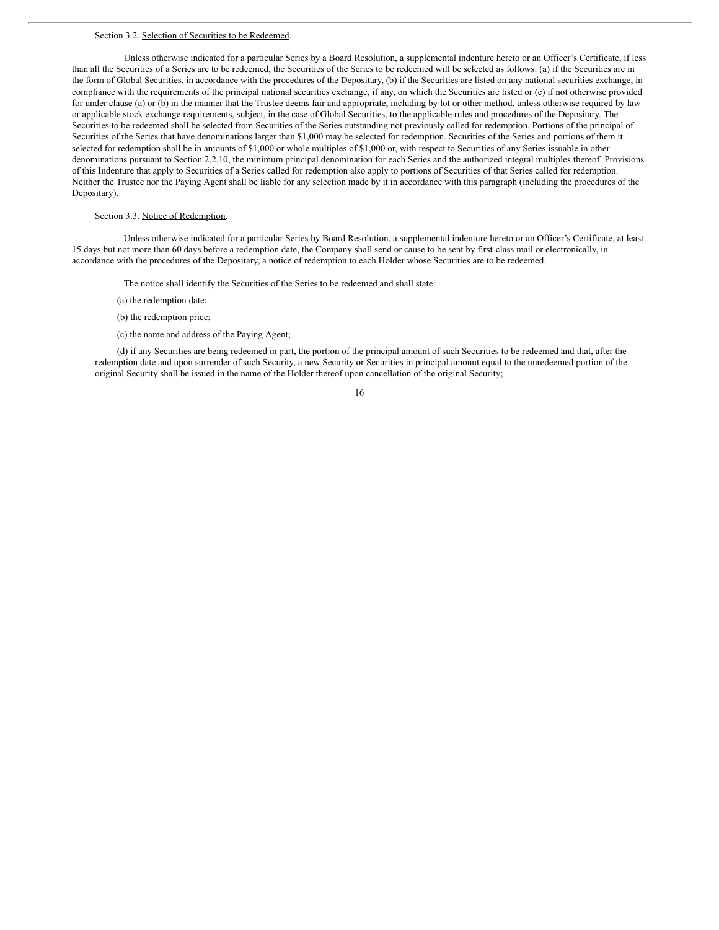#### Section 3.2. Selection of Securities to be Redeemed.

Unless otherwise indicated for a particular Series by a Board Resolution, a supplemental indenture hereto or an Officer's Certificate, if less than all the Securities of a Series are to be redeemed, the Securities of the Series to be redeemed will be selected as follows: (a) if the Securities are in the form of Global Securities, in accordance with the procedures of the Depositary, (b) if the Securities are listed on any national securities exchange, in compliance with the requirements of the principal national securities exchange, if any, on which the Securities are listed or (c) if not otherwise provided for under clause (a) or (b) in the manner that the Trustee deems fair and appropriate, including by lot or other method, unless otherwise required by law or applicable stock exchange requirements, subject, in the case of Global Securities, to the applicable rules and procedures of the Depositary. The Securities to be redeemed shall be selected from Securities of the Series outstanding not previously called for redemption. Portions of the principal of Securities of the Series that have denominations larger than \$1,000 may be selected for redemption. Securities of the Series and portions of them it selected for redemption shall be in amounts of \$1,000 or whole multiples of \$1,000 or, with respect to Securities of any Series issuable in other denominations pursuant to Section 2.2.10, the minimum principal denomination for each Series and the authorized integral multiples thereof. Provisions of this Indenture that apply to Securities of a Series called for redemption also apply to portions of Securities of that Series called for redemption. Neither the Trustee nor the Paying Agent shall be liable for any selection made by it in accordance with this paragraph (including the procedures of the Depositary).

#### Section 3.3. Notice of Redemption.

Unless otherwise indicated for a particular Series by Board Resolution, a supplemental indenture hereto or an Officer's Certificate, at least 15 days but not more than 60 days before a redemption date, the Company shall send or cause to be sent by first-class mail or electronically, in accordance with the procedures of the Depositary, a notice of redemption to each Holder whose Securities are to be redeemed.

- The notice shall identify the Securities of the Series to be redeemed and shall state:
- (a) the redemption date;
- (b) the redemption price;
- (c) the name and address of the Paying Agent;

(d) if any Securities are being redeemed in part, the portion of the principal amount of such Securities to be redeemed and that, after the redemption date and upon surrender of such Security, a new Security or Securities in principal amount equal to the unredeemed portion of the original Security shall be issued in the name of the Holder thereof upon cancellation of the original Security;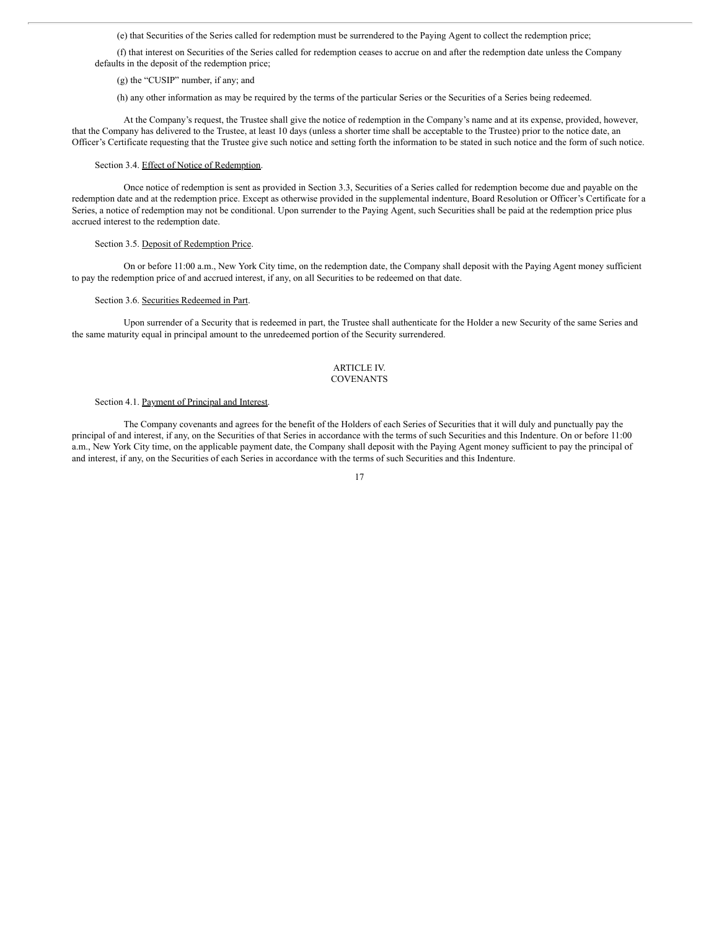(e) that Securities of the Series called for redemption must be surrendered to the Paying Agent to collect the redemption price;

(f) that interest on Securities of the Series called for redemption ceases to accrue on and after the redemption date unless the Company defaults in the deposit of the redemption price;

(g) the "CUSIP" number, if any; and

(h) any other information as may be required by the terms of the particular Series or the Securities of a Series being redeemed.

At the Company's request, the Trustee shall give the notice of redemption in the Company's name and at its expense, provided, however, that the Company has delivered to the Trustee, at least 10 days (unless a shorter time shall be acceptable to the Trustee) prior to the notice date, an Officer's Certificate requesting that the Trustee give such notice and setting forth the information to be stated in such notice and the form of such notice.

#### Section 3.4. Effect of Notice of Redemption.

Once notice of redemption is sent as provided in Section 3.3, Securities of a Series called for redemption become due and payable on the redemption date and at the redemption price. Except as otherwise provided in the supplemental indenture, Board Resolution or Officer's Certificate for a Series, a notice of redemption may not be conditional. Upon surrender to the Paying Agent, such Securities shall be paid at the redemption price plus accrued interest to the redemption date.

#### Section 3.5. Deposit of Redemption Price.

On or before 11:00 a.m., New York City time, on the redemption date, the Company shall deposit with the Paying Agent money sufficient to pay the redemption price of and accrued interest, if any, on all Securities to be redeemed on that date.

#### Section 3.6. Securities Redeemed in Part.

Upon surrender of a Security that is redeemed in part, the Trustee shall authenticate for the Holder a new Security of the same Series and the same maturity equal in principal amount to the unredeemed portion of the Security surrendered.

#### ARTICLE IV. **COVENANTS**

#### Section 4.1. Payment of Principal and Interest.

The Company covenants and agrees for the benefit of the Holders of each Series of Securities that it will duly and punctually pay the principal of and interest, if any, on the Securities of that Series in accordance with the terms of such Securities and this Indenture. On or before 11:00 a.m., New York City time, on the applicable payment date, the Company shall deposit with the Paying Agent money sufficient to pay the principal of and interest, if any, on the Securities of each Series in accordance with the terms of such Securities and this Indenture.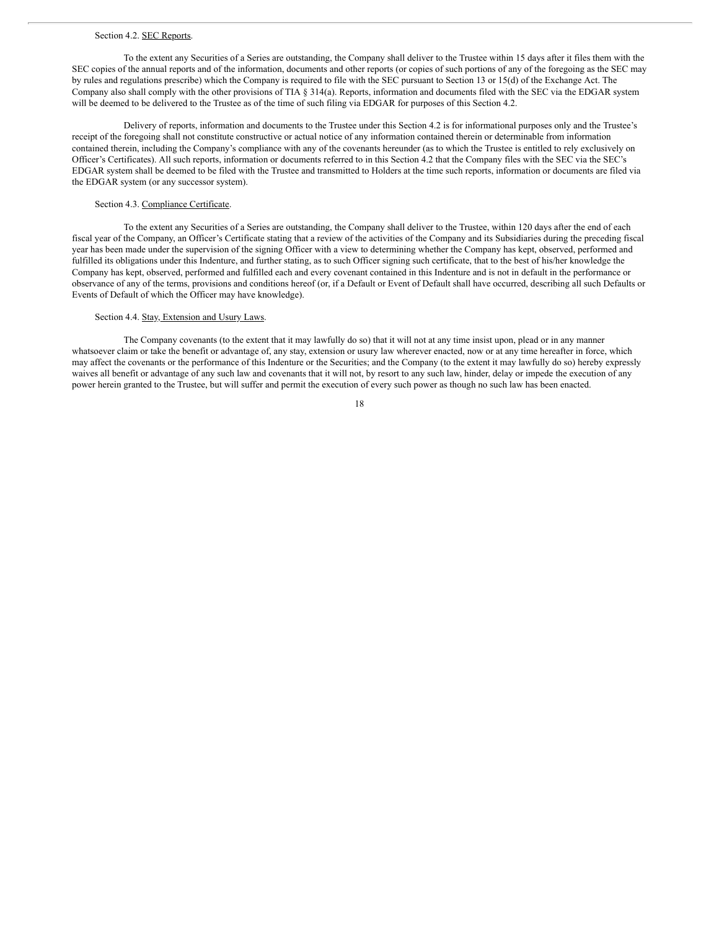#### Section 4.2. SEC Reports.

To the extent any Securities of a Series are outstanding, the Company shall deliver to the Trustee within 15 days after it files them with the SEC copies of the annual reports and of the information, documents and other reports (or copies of such portions of any of the foregoing as the SEC may by rules and regulations prescribe) which the Company is required to file with the SEC pursuant to Section 13 or 15(d) of the Exchange Act. The Company also shall comply with the other provisions of TIA § 314(a). Reports, information and documents filed with the SEC via the EDGAR system will be deemed to be delivered to the Trustee as of the time of such filing via EDGAR for purposes of this Section 4.2.

Delivery of reports, information and documents to the Trustee under this Section 4.2 is for informational purposes only and the Trustee's receipt of the foregoing shall not constitute constructive or actual notice of any information contained therein or determinable from information contained therein, including the Company's compliance with any of the covenants hereunder (as to which the Trustee is entitled to rely exclusively on Officer's Certificates). All such reports, information or documents referred to in this Section 4.2 that the Company files with the SEC via the SEC's EDGAR system shall be deemed to be filed with the Trustee and transmitted to Holders at the time such reports, information or documents are filed via the EDGAR system (or any successor system).

#### Section 4.3. Compliance Certificate.

To the extent any Securities of a Series are outstanding, the Company shall deliver to the Trustee, within 120 days after the end of each fiscal year of the Company, an Officer's Certificate stating that a review of the activities of the Company and its Subsidiaries during the preceding fiscal year has been made under the supervision of the signing Officer with a view to determining whether the Company has kept, observed, performed and fulfilled its obligations under this Indenture, and further stating, as to such Officer signing such certificate, that to the best of his/her knowledge the Company has kept, observed, performed and fulfilled each and every covenant contained in this Indenture and is not in default in the performance or observance of any of the terms, provisions and conditions hereof (or, if a Default or Event of Default shall have occurred, describing all such Defaults or Events of Default of which the Officer may have knowledge).

#### Section 4.4. Stay, Extension and Usury Laws.

The Company covenants (to the extent that it may lawfully do so) that it will not at any time insist upon, plead or in any manner whatsoever claim or take the benefit or advantage of, any stay, extension or usury law wherever enacted, now or at any time hereafter in force, which may affect the covenants or the performance of this Indenture or the Securities; and the Company (to the extent it may lawfully do so) hereby expressly waives all benefit or advantage of any such law and covenants that it will not, by resort to any such law, hinder, delay or impede the execution of any power herein granted to the Trustee, but will suffer and permit the execution of every such power as though no such law has been enacted.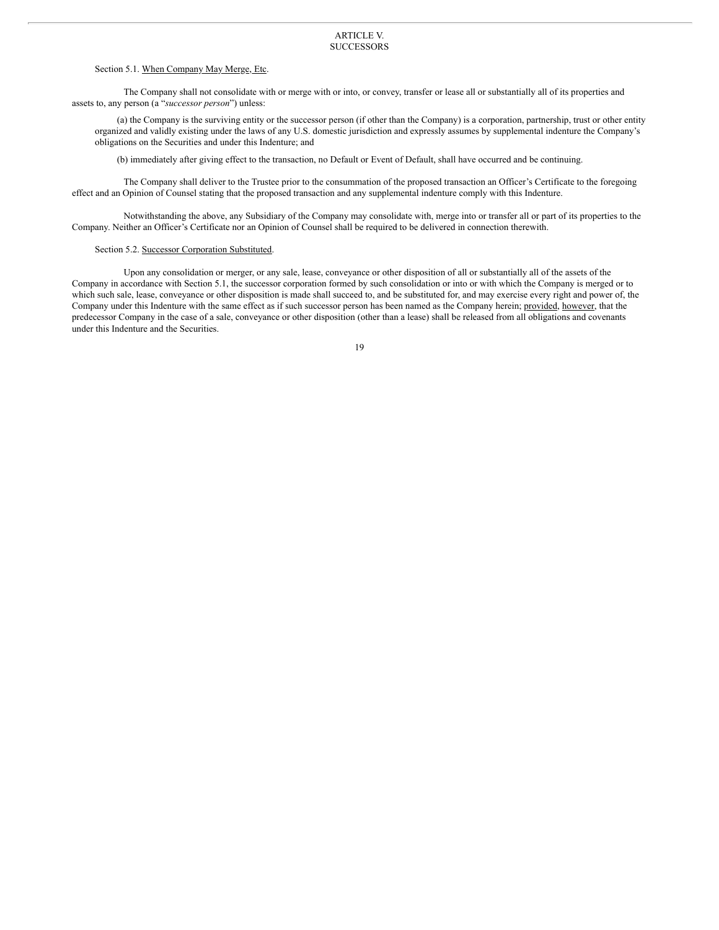#### ARTICLE V. **SUCCESSORS**

#### Section 5.1. When Company May Merge, Etc.

The Company shall not consolidate with or merge with or into, or convey, transfer or lease all or substantially all of its properties and assets to, any person (a "*successor person*") unless:

(a) the Company is the surviving entity or the successor person (if other than the Company) is a corporation, partnership, trust or other entity organized and validly existing under the laws of any U.S. domestic jurisdiction and expressly assumes by supplemental indenture the Company's obligations on the Securities and under this Indenture; and

(b) immediately after giving effect to the transaction, no Default or Event of Default, shall have occurred and be continuing.

The Company shall deliver to the Trustee prior to the consummation of the proposed transaction an Officer's Certificate to the foregoing effect and an Opinion of Counsel stating that the proposed transaction and any supplemental indenture comply with this Indenture.

Notwithstanding the above, any Subsidiary of the Company may consolidate with, merge into or transfer all or part of its properties to the Company. Neither an Officer's Certificate nor an Opinion of Counsel shall be required to be delivered in connection therewith.

#### Section 5.2. Successor Corporation Substituted.

Upon any consolidation or merger, or any sale, lease, conveyance or other disposition of all or substantially all of the assets of the Company in accordance with Section 5.1, the successor corporation formed by such consolidation or into or with which the Company is merged or to which such sale, lease, conveyance or other disposition is made shall succeed to, and be substituted for, and may exercise every right and power of, the Company under this Indenture with the same effect as if such successor person has been named as the Company herein; provided, however, that the predecessor Company in the case of a sale, conveyance or other disposition (other than a lease) shall be released from all obligations and covenants under this Indenture and the Securities.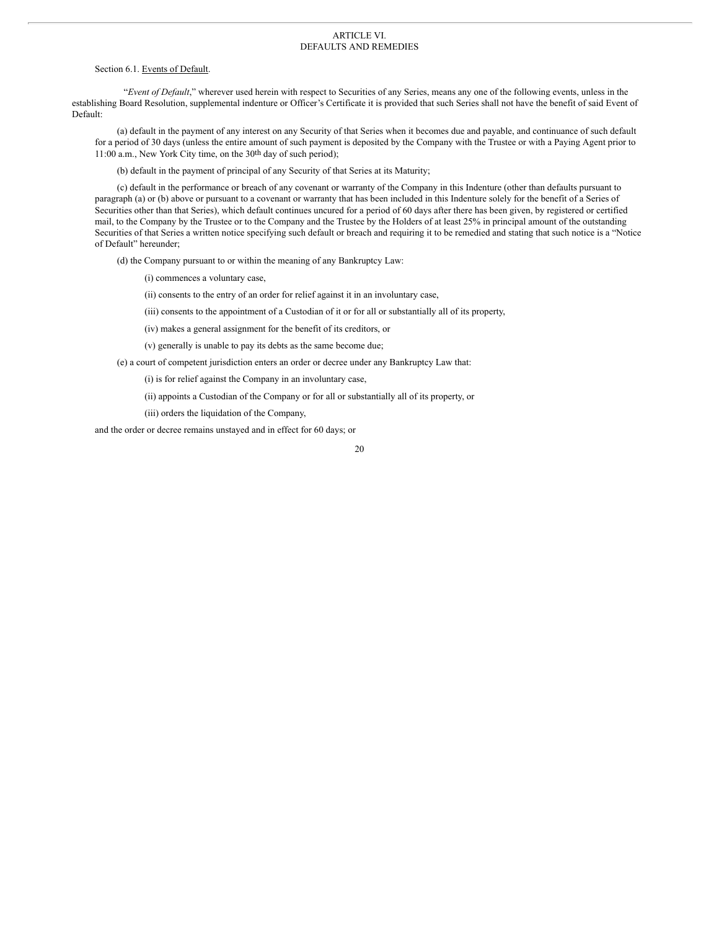#### ARTICLE VI. DEFAULTS AND REMEDIES

Section 6.1. Events of Default.

"*Event of Default*," wherever used herein with respect to Securities of any Series, means any one of the following events, unless in the establishing Board Resolution, supplemental indenture or Officer's Certificate it is provided that such Series shall not have the benefit of said Event of Default:

(a) default in the payment of any interest on any Security of that Series when it becomes due and payable, and continuance of such default for a period of 30 days (unless the entire amount of such payment is deposited by the Company with the Trustee or with a Paying Agent prior to 11:00 a.m., New York City time, on the 30th day of such period);

(b) default in the payment of principal of any Security of that Series at its Maturity;

(c) default in the performance or breach of any covenant or warranty of the Company in this Indenture (other than defaults pursuant to paragraph (a) or (b) above or pursuant to a covenant or warranty that has been included in this Indenture solely for the benefit of a Series of Securities other than that Series), which default continues uncured for a period of 60 days after there has been given, by registered or certified mail, to the Company by the Trustee or to the Company and the Trustee by the Holders of at least 25% in principal amount of the outstanding Securities of that Series a written notice specifying such default or breach and requiring it to be remedied and stating that such notice is a "Notice of Default" hereunder;

(d) the Company pursuant to or within the meaning of any Bankruptcy Law:

(i) commences a voluntary case,

(ii) consents to the entry of an order for relief against it in an involuntary case,

(iii) consents to the appointment of a Custodian of it or for all or substantially all of its property,

(iv) makes a general assignment for the benefit of its creditors, or

(v) generally is unable to pay its debts as the same become due;

(e) a court of competent jurisdiction enters an order or decree under any Bankruptcy Law that:

(i) is for relief against the Company in an involuntary case,

(ii) appoints a Custodian of the Company or for all or substantially all of its property, or

(iii) orders the liquidation of the Company,

and the order or decree remains unstayed and in effect for 60 days; or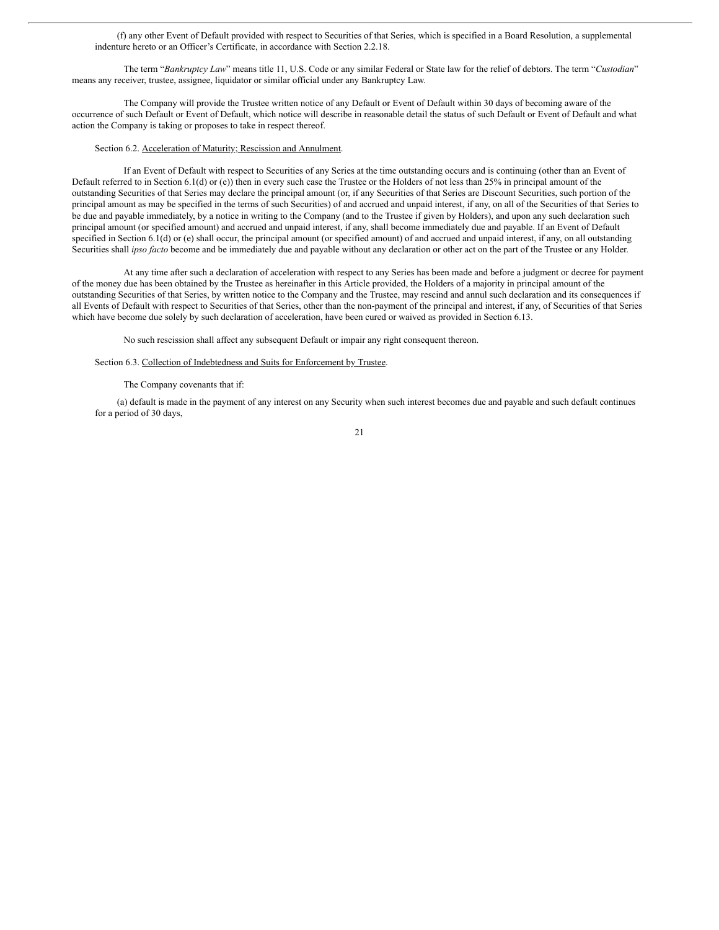(f) any other Event of Default provided with respect to Securities of that Series, which is specified in a Board Resolution, a supplemental indenture hereto or an Officer's Certificate, in accordance with Section 2.2.18.

The term "*Bankruptcy Law*" means title 11, U.S. Code or any similar Federal or State law for the relief of debtors. The term "*Custodian*" means any receiver, trustee, assignee, liquidator or similar official under any Bankruptcy Law.

The Company will provide the Trustee written notice of any Default or Event of Default within 30 days of becoming aware of the occurrence of such Default or Event of Default, which notice will describe in reasonable detail the status of such Default or Event of Default and what action the Company is taking or proposes to take in respect thereof.

#### Section 6.2. Acceleration of Maturity; Rescission and Annulment.

If an Event of Default with respect to Securities of any Series at the time outstanding occurs and is continuing (other than an Event of Default referred to in Section 6.1(d) or (e)) then in every such case the Trustee or the Holders of not less than 25% in principal amount of the outstanding Securities of that Series may declare the principal amount (or, if any Securities of that Series are Discount Securities, such portion of the principal amount as may be specified in the terms of such Securities) of and accrued and unpaid interest, if any, on all of the Securities of that Series to be due and payable immediately, by a notice in writing to the Company (and to the Trustee if given by Holders), and upon any such declaration such principal amount (or specified amount) and accrued and unpaid interest, if any, shall become immediately due and payable. If an Event of Default specified in Section 6.1(d) or (e) shall occur, the principal amount (or specified amount) of and accrued and unpaid interest, if any, on all outstanding Securities shall *ipso facto* become and be immediately due and payable without any declaration or other act on the part of the Trustee or any Holder.

At any time after such a declaration of acceleration with respect to any Series has been made and before a judgment or decree for payment of the money due has been obtained by the Trustee as hereinafter in this Article provided, the Holders of a majority in principal amount of the outstanding Securities of that Series, by written notice to the Company and the Trustee, may rescind and annul such declaration and its consequences if all Events of Default with respect to Securities of that Series, other than the non-payment of the principal and interest, if any, of Securities of that Series which have become due solely by such declaration of acceleration, have been cured or waived as provided in Section 6.13.

No such rescission shall affect any subsequent Default or impair any right consequent thereon.

Section 6.3. Collection of Indebtedness and Suits for Enforcement by Trustee.

#### The Company covenants that if:

(a) default is made in the payment of any interest on any Security when such interest becomes due and payable and such default continues for a period of 30 days,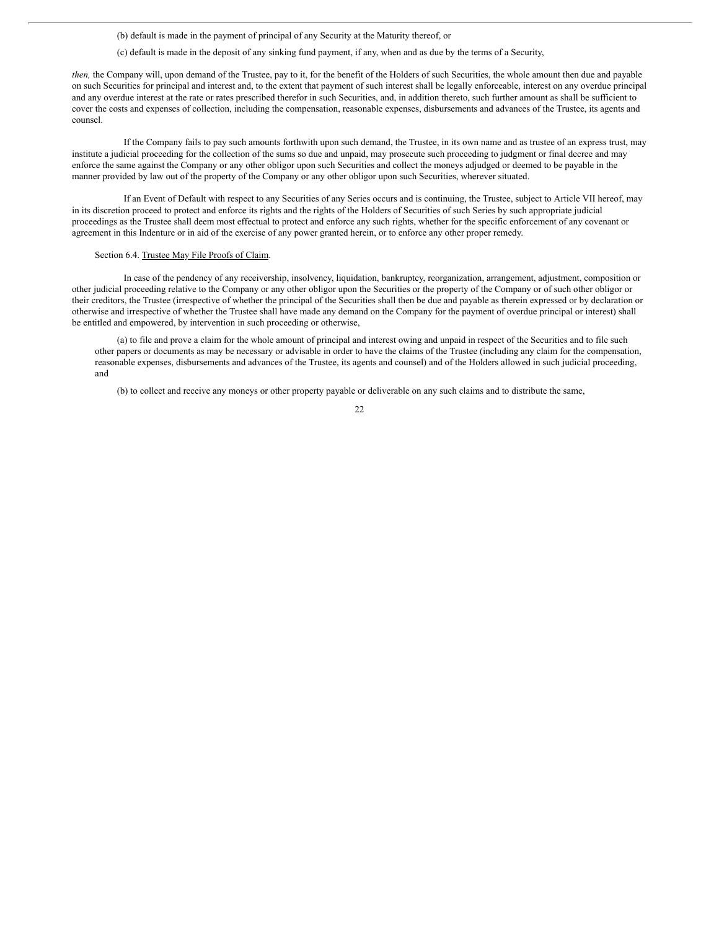(b) default is made in the payment of principal of any Security at the Maturity thereof, or

(c) default is made in the deposit of any sinking fund payment, if any, when and as due by the terms of a Security,

*then,* the Company will, upon demand of the Trustee, pay to it, for the benefit of the Holders of such Securities, the whole amount then due and payable on such Securities for principal and interest and, to the extent that payment of such interest shall be legally enforceable, interest on any overdue principal and any overdue interest at the rate or rates prescribed therefor in such Securities, and, in addition thereto, such further amount as shall be sufficient to cover the costs and expenses of collection, including the compensation, reasonable expenses, disbursements and advances of the Trustee, its agents and counsel.

If the Company fails to pay such amounts forthwith upon such demand, the Trustee, in its own name and as trustee of an express trust, may institute a judicial proceeding for the collection of the sums so due and unpaid, may prosecute such proceeding to judgment or final decree and may enforce the same against the Company or any other obligor upon such Securities and collect the moneys adjudged or deemed to be payable in the manner provided by law out of the property of the Company or any other obligor upon such Securities, wherever situated.

If an Event of Default with respect to any Securities of any Series occurs and is continuing, the Trustee, subject to Article VII hereof, may in its discretion proceed to protect and enforce its rights and the rights of the Holders of Securities of such Series by such appropriate judicial proceedings as the Trustee shall deem most effectual to protect and enforce any such rights, whether for the specific enforcement of any covenant or agreement in this Indenture or in aid of the exercise of any power granted herein, or to enforce any other proper remedy.

#### Section 6.4. Trustee May File Proofs of Claim.

In case of the pendency of any receivership, insolvency, liquidation, bankruptcy, reorganization, arrangement, adjustment, composition or other judicial proceeding relative to the Company or any other obligor upon the Securities or the property of the Company or of such other obligor or their creditors, the Trustee (irrespective of whether the principal of the Securities shall then be due and payable as therein expressed or by declaration or otherwise and irrespective of whether the Trustee shall have made any demand on the Company for the payment of overdue principal or interest) shall be entitled and empowered, by intervention in such proceeding or otherwise,

(a) to file and prove a claim for the whole amount of principal and interest owing and unpaid in respect of the Securities and to file such other papers or documents as may be necessary or advisable in order to have the claims of the Trustee (including any claim for the compensation, reasonable expenses, disbursements and advances of the Trustee, its agents and counsel) and of the Holders allowed in such judicial proceeding, and

(b) to collect and receive any moneys or other property payable or deliverable on any such claims and to distribute the same,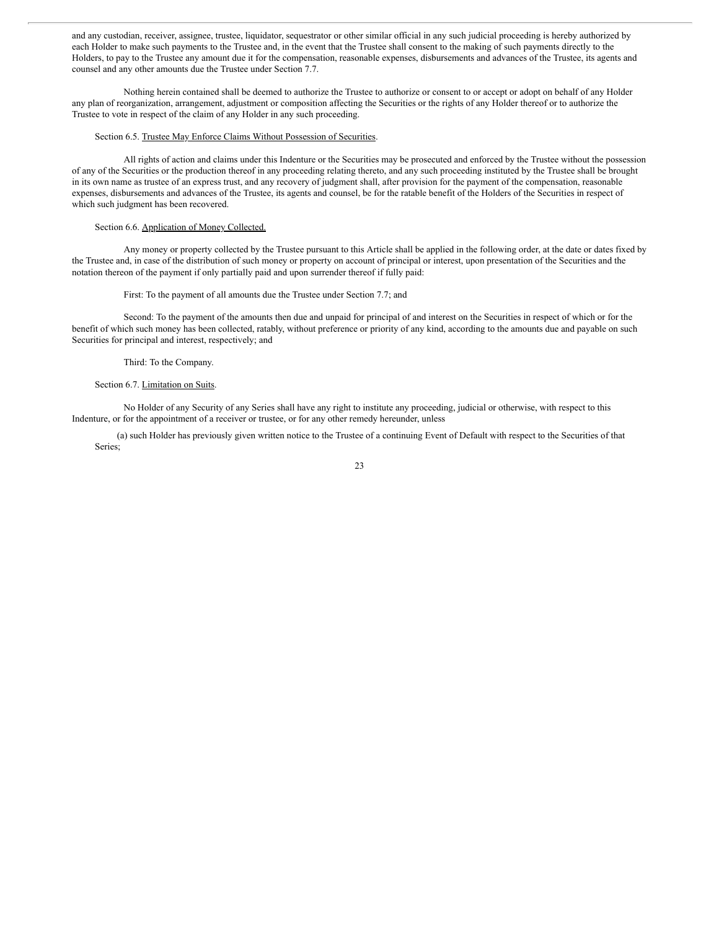and any custodian, receiver, assignee, trustee, liquidator, sequestrator or other similar official in any such judicial proceeding is hereby authorized by each Holder to make such payments to the Trustee and, in the event that the Trustee shall consent to the making of such payments directly to the Holders, to pay to the Trustee any amount due it for the compensation, reasonable expenses, disbursements and advances of the Trustee, its agents and counsel and any other amounts due the Trustee under Section 7.7.

Nothing herein contained shall be deemed to authorize the Trustee to authorize or consent to or accept or adopt on behalf of any Holder any plan of reorganization, arrangement, adjustment or composition affecting the Securities or the rights of any Holder thereof or to authorize the Trustee to vote in respect of the claim of any Holder in any such proceeding.

#### Section 6.5. Trustee May Enforce Claims Without Possession of Securities.

All rights of action and claims under this Indenture or the Securities may be prosecuted and enforced by the Trustee without the possession of any of the Securities or the production thereof in any proceeding relating thereto, and any such proceeding instituted by the Trustee shall be brought in its own name as trustee of an express trust, and any recovery of judgment shall, after provision for the payment of the compensation, reasonable expenses, disbursements and advances of the Trustee, its agents and counsel, be for the ratable benefit of the Holders of the Securities in respect of which such judgment has been recovered.

#### Section 6.6. Application of Money Collected.

Any money or property collected by the Trustee pursuant to this Article shall be applied in the following order, at the date or dates fixed by the Trustee and, in case of the distribution of such money or property on account of principal or interest, upon presentation of the Securities and the notation thereon of the payment if only partially paid and upon surrender thereof if fully paid:

#### First: To the payment of all amounts due the Trustee under Section 7.7; and

Second: To the payment of the amounts then due and unpaid for principal of and interest on the Securities in respect of which or for the benefit of which such money has been collected, ratably, without preference or priority of any kind, according to the amounts due and payable on such Securities for principal and interest, respectively; and

#### Third: To the Company.

#### Section 6.7. Limitation on Suits.

No Holder of any Security of any Series shall have any right to institute any proceeding, judicial or otherwise, with respect to this Indenture, or for the appointment of a receiver or trustee, or for any other remedy hereunder, unless

(a) such Holder has previously given written notice to the Trustee of a continuing Event of Default with respect to the Securities of that Series;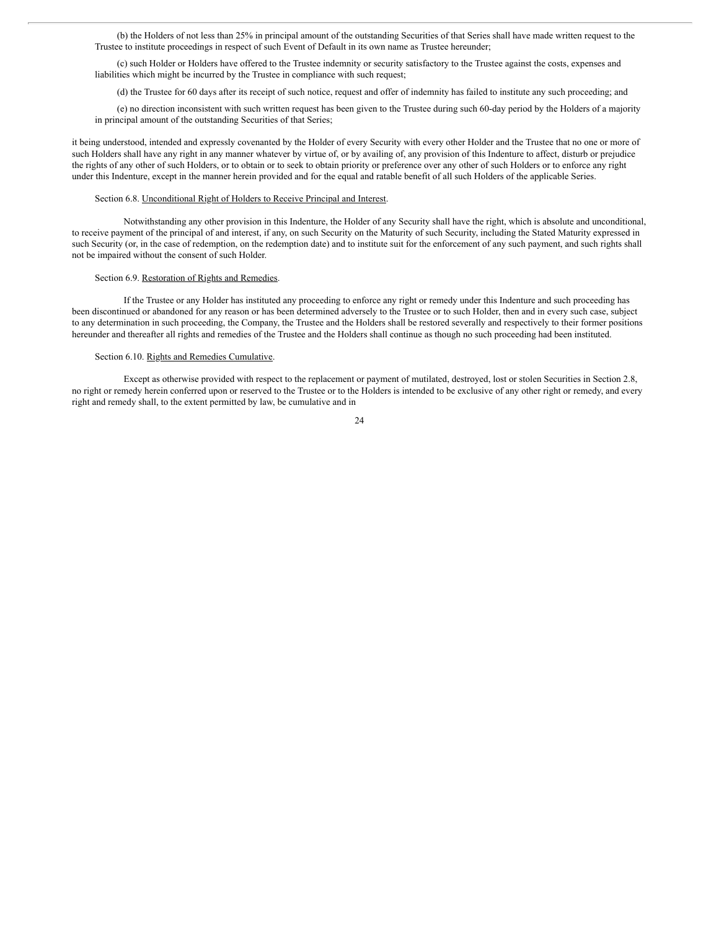(b) the Holders of not less than 25% in principal amount of the outstanding Securities of that Series shall have made written request to the Trustee to institute proceedings in respect of such Event of Default in its own name as Trustee hereunder;

(c) such Holder or Holders have offered to the Trustee indemnity or security satisfactory to the Trustee against the costs, expenses and liabilities which might be incurred by the Trustee in compliance with such request;

(d) the Trustee for 60 days after its receipt of such notice, request and offer of indemnity has failed to institute any such proceeding; and

(e) no direction inconsistent with such written request has been given to the Trustee during such 60-day period by the Holders of a majority in principal amount of the outstanding Securities of that Series;

it being understood, intended and expressly covenanted by the Holder of every Security with every other Holder and the Trustee that no one or more of such Holders shall have any right in any manner whatever by virtue of, or by availing of, any provision of this Indenture to affect, disturb or prejudice the rights of any other of such Holders, or to obtain or to seek to obtain priority or preference over any other of such Holders or to enforce any right under this Indenture, except in the manner herein provided and for the equal and ratable benefit of all such Holders of the applicable Series.

#### Section 6.8. Unconditional Right of Holders to Receive Principal and Interest.

Notwithstanding any other provision in this Indenture, the Holder of any Security shall have the right, which is absolute and unconditional, to receive payment of the principal of and interest, if any, on such Security on the Maturity of such Security, including the Stated Maturity expressed in such Security (or, in the case of redemption, on the redemption date) and to institute suit for the enforcement of any such payment, and such rights shall not be impaired without the consent of such Holder.

#### Section 6.9. Restoration of Rights and Remedies.

If the Trustee or any Holder has instituted any proceeding to enforce any right or remedy under this Indenture and such proceeding has been discontinued or abandoned for any reason or has been determined adversely to the Trustee or to such Holder, then and in every such case, subject to any determination in such proceeding, the Company, the Trustee and the Holders shall be restored severally and respectively to their former positions hereunder and thereafter all rights and remedies of the Trustee and the Holders shall continue as though no such proceeding had been instituted.

#### Section 6.10. Rights and Remedies Cumulative.

Except as otherwise provided with respect to the replacement or payment of mutilated, destroyed, lost or stolen Securities in Section 2.8, no right or remedy herein conferred upon or reserved to the Trustee or to the Holders is intended to be exclusive of any other right or remedy, and every right and remedy shall, to the extent permitted by law, be cumulative and in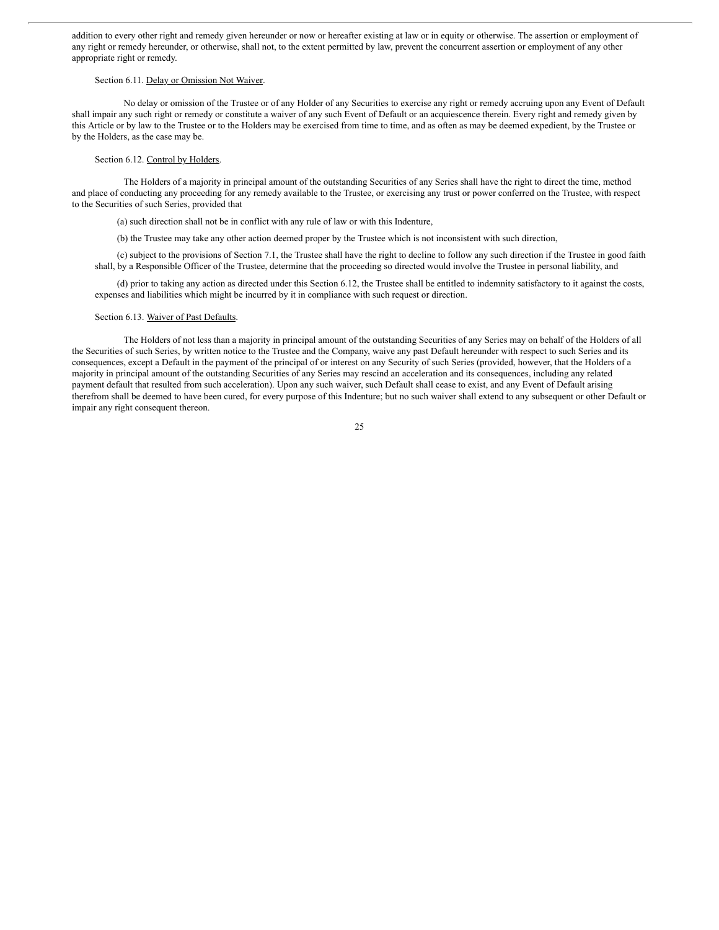addition to every other right and remedy given hereunder or now or hereafter existing at law or in equity or otherwise. The assertion or employment of any right or remedy hereunder, or otherwise, shall not, to the extent permitted by law, prevent the concurrent assertion or employment of any other appropriate right or remedy.

#### Section 6.11. Delay or Omission Not Waiver.

No delay or omission of the Trustee or of any Holder of any Securities to exercise any right or remedy accruing upon any Event of Default shall impair any such right or remedy or constitute a waiver of any such Event of Default or an acquiescence therein. Every right and remedy given by this Article or by law to the Trustee or to the Holders may be exercised from time to time, and as often as may be deemed expedient, by the Trustee or by the Holders, as the case may be.

#### Section 6.12. Control by Holders.

The Holders of a majority in principal amount of the outstanding Securities of any Series shall have the right to direct the time, method and place of conducting any proceeding for any remedy available to the Trustee, or exercising any trust or power conferred on the Trustee, with respect to the Securities of such Series, provided that

(a) such direction shall not be in conflict with any rule of law or with this Indenture,

(b) the Trustee may take any other action deemed proper by the Trustee which is not inconsistent with such direction,

(c) subject to the provisions of Section 7.1, the Trustee shall have the right to decline to follow any such direction if the Trustee in good faith shall, by a Responsible Officer of the Trustee, determine that the proceeding so directed would involve the Trustee in personal liability, and

(d) prior to taking any action as directed under this Section 6.12, the Trustee shall be entitled to indemnity satisfactory to it against the costs, expenses and liabilities which might be incurred by it in compliance with such request or direction.

#### Section 6.13. Waiver of Past Defaults.

The Holders of not less than a majority in principal amount of the outstanding Securities of any Series may on behalf of the Holders of all the Securities of such Series, by written notice to the Trustee and the Company, waive any past Default hereunder with respect to such Series and its consequences, except a Default in the payment of the principal of or interest on any Security of such Series (provided, however, that the Holders of a majority in principal amount of the outstanding Securities of any Series may rescind an acceleration and its consequences, including any related payment default that resulted from such acceleration). Upon any such waiver, such Default shall cease to exist, and any Event of Default arising therefrom shall be deemed to have been cured, for every purpose of this Indenture; but no such waiver shall extend to any subsequent or other Default or impair any right consequent thereon.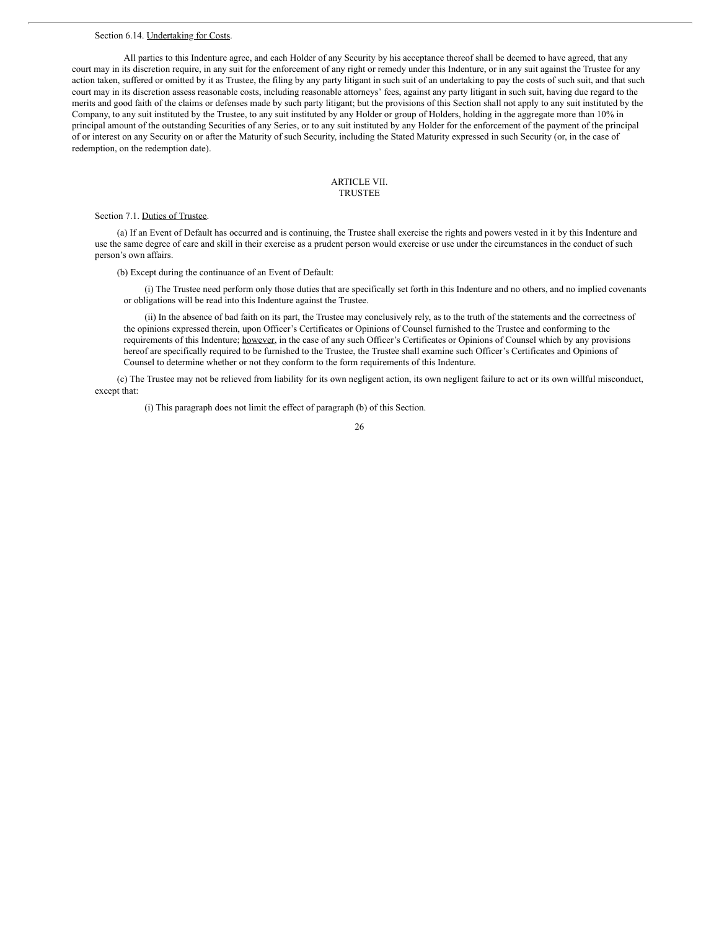#### Section 6.14. Undertaking for Costs.

All parties to this Indenture agree, and each Holder of any Security by his acceptance thereof shall be deemed to have agreed, that any court may in its discretion require, in any suit for the enforcement of any right or remedy under this Indenture, or in any suit against the Trustee for any action taken, suffered or omitted by it as Trustee, the filing by any party litigant in such suit of an undertaking to pay the costs of such suit, and that such court may in its discretion assess reasonable costs, including reasonable attorneys' fees, against any party litigant in such suit, having due regard to the merits and good faith of the claims or defenses made by such party litigant; but the provisions of this Section shall not apply to any suit instituted by the Company, to any suit instituted by the Trustee, to any suit instituted by any Holder or group of Holders, holding in the aggregate more than 10% in principal amount of the outstanding Securities of any Series, or to any suit instituted by any Holder for the enforcement of the payment of the principal of or interest on any Security on or after the Maturity of such Security, including the Stated Maturity expressed in such Security (or, in the case of redemption, on the redemption date).

#### ARTICLE VII. TRUSTEE

Section 7.1. Duties of Trustee.

(a) If an Event of Default has occurred and is continuing, the Trustee shall exercise the rights and powers vested in it by this Indenture and use the same degree of care and skill in their exercise as a prudent person would exercise or use under the circumstances in the conduct of such person's own affairs.

(b) Except during the continuance of an Event of Default:

(i) The Trustee need perform only those duties that are specifically set forth in this Indenture and no others, and no implied covenants or obligations will be read into this Indenture against the Trustee.

(ii) In the absence of bad faith on its part, the Trustee may conclusively rely, as to the truth of the statements and the correctness of the opinions expressed therein, upon Officer's Certificates or Opinions of Counsel furnished to the Trustee and conforming to the requirements of this Indenture; however, in the case of any such Officer's Certificates or Opinions of Counsel which by any provisions hereof are specifically required to be furnished to the Trustee, the Trustee shall examine such Officer's Certificates and Opinions of Counsel to determine whether or not they conform to the form requirements of this Indenture.

(c) The Trustee may not be relieved from liability for its own negligent action, its own negligent failure to act or its own willful misconduct, except that:

(i) This paragraph does not limit the effect of paragraph (b) of this Section.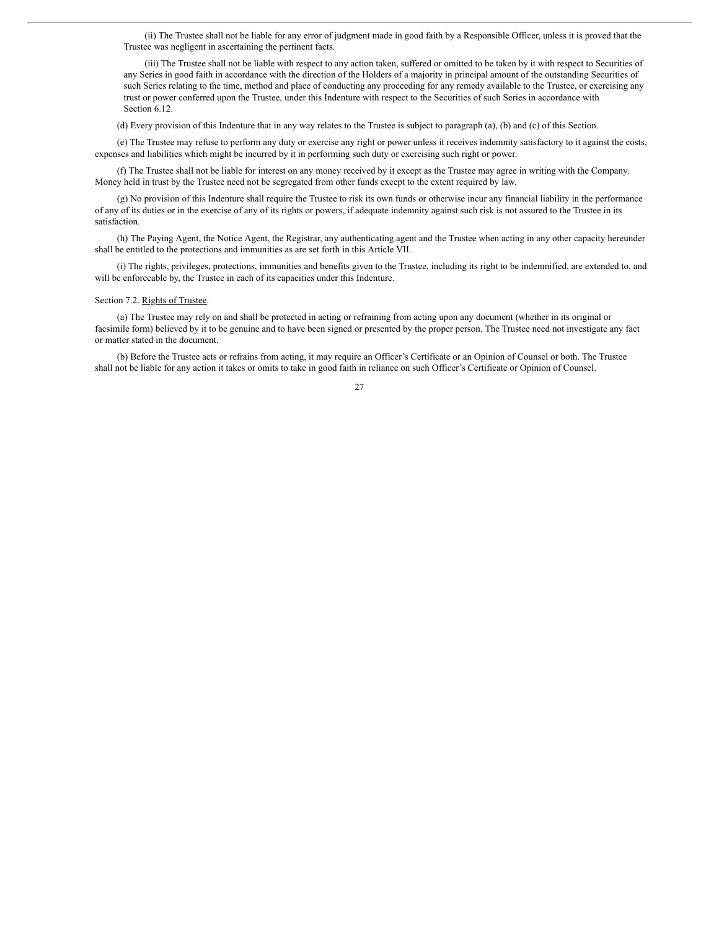(ii) The Trustee shall not be liable for any error of judgment made in good faith by a Responsible Officer, unless it is proved that the Trustee was negligent in ascertaining the pertinent facts.

(iii) The Trustee shall not be liable with respect to any action taken, suffered or omitted to be taken by it with respect to Securities of any Series in good faith in accordance with the direction of the Holders of a majority in principal amount of the outstanding Securities of such Series relating to the time, method and place of conducting any proceeding for any remedy available to the Trustee, or exercising any trust or power conferred upon the Trustee, under this Indenture with respect to the Securities of such Series in accordance with Section 6.12.

(d) Every provision of this Indenture that in any way relates to the Trustee is subject to paragraph (a), (b) and (c) of this Section.

(e) The Trustee may refuse to perform any duty or exercise any right or power unless it receives indemnity satisfactory to it against the costs, expenses and liabilities which might be incurred by it in performing such duty or exercising such right or power.

(f) The Trustee shall not be liable for interest on any money received by it except as the Trustee may agree in writing with the Company. Money held in trust by the Trustee need not be segregated from other funds except to the extent required by law.

(g) No provision of this Indenture shall require the Trustee to risk its own funds or otherwise incur any financial liability in the performance of any of its duties or in the exercise of any of its rights or powers, if adequate indemnity against such risk is not assured to the Trustee in its satisfaction.

(h) The Paying Agent, the Notice Agent, the Registrar, any authenticating agent and the Trustee when acting in any other capacity hereunder shall be entitled to the protections and immunities as are set forth in this Article VII.

(i) The rights, privileges, protections, immunities and benefits given to the Trustee, including its right to be indemnified, are extended to, and will be enforceable by, the Trustee in each of its capacities under this Indenture.

#### Section 7.2. Rights of Trustee.

(a) The Trustee may rely on and shall be protected in acting or refraining from acting upon any document (whether in its original or facsimile form) believed by it to be genuine and to have been signed or presented by the proper person. The Trustee need not investigate any fact or matter stated in the document.

(b) Before the Trustee acts or refrains from acting, it may require an Officer's Certificate or an Opinion of Counsel or both. The Trustee shall not be liable for any action it takes or omits to take in good faith in reliance on such Officer's Certificate or Opinion of Counsel.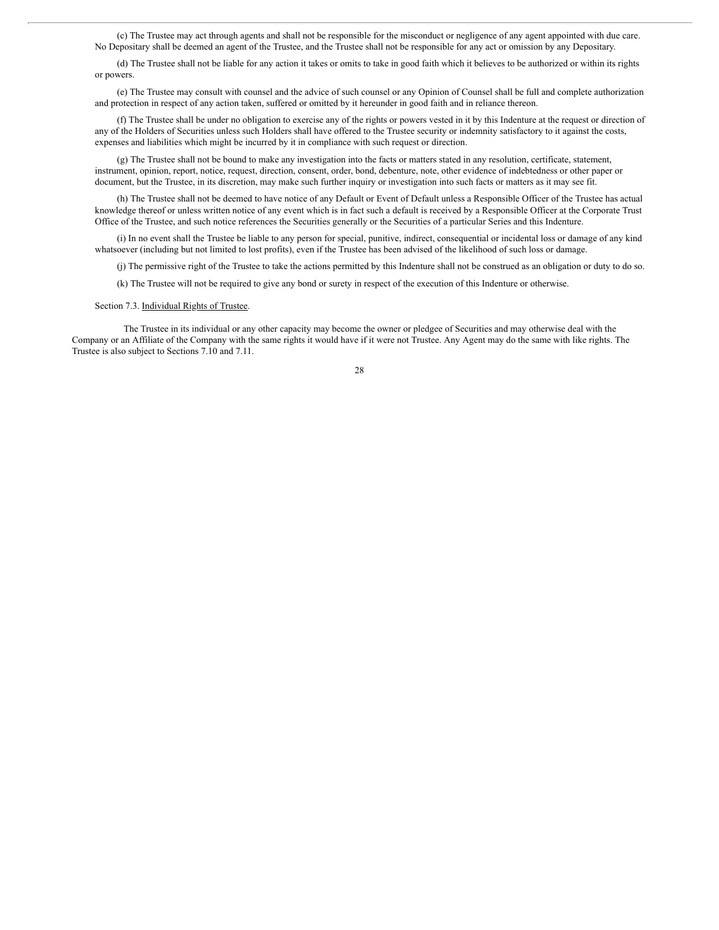(c) The Trustee may act through agents and shall not be responsible for the misconduct or negligence of any agent appointed with due care. No Depositary shall be deemed an agent of the Trustee, and the Trustee shall not be responsible for any act or omission by any Depositary.

(d) The Trustee shall not be liable for any action it takes or omits to take in good faith which it believes to be authorized or within its rights or powers.

(e) The Trustee may consult with counsel and the advice of such counsel or any Opinion of Counsel shall be full and complete authorization and protection in respect of any action taken, suffered or omitted by it hereunder in good faith and in reliance thereon.

(f) The Trustee shall be under no obligation to exercise any of the rights or powers vested in it by this Indenture at the request or direction of any of the Holders of Securities unless such Holders shall have offered to the Trustee security or indemnity satisfactory to it against the costs, expenses and liabilities which might be incurred by it in compliance with such request or direction.

(g) The Trustee shall not be bound to make any investigation into the facts or matters stated in any resolution, certificate, statement, instrument, opinion, report, notice, request, direction, consent, order, bond, debenture, note, other evidence of indebtedness or other paper or document, but the Trustee, in its discretion, may make such further inquiry or investigation into such facts or matters as it may see fit.

(h) The Trustee shall not be deemed to have notice of any Default or Event of Default unless a Responsible Officer of the Trustee has actual knowledge thereof or unless written notice of any event which is in fact such a default is received by a Responsible Officer at the Corporate Trust Office of the Trustee, and such notice references the Securities generally or the Securities of a particular Series and this Indenture.

(i) In no event shall the Trustee be liable to any person for special, punitive, indirect, consequential or incidental loss or damage of any kind whatsoever (including but not limited to lost profits), even if the Trustee has been advised of the likelihood of such loss or damage.

(j) The permissive right of the Trustee to take the actions permitted by this Indenture shall not be construed as an obligation or duty to do so.

(k) The Trustee will not be required to give any bond or surety in respect of the execution of this Indenture or otherwise.

Section 7.3. Individual Rights of Trustee.

The Trustee in its individual or any other capacity may become the owner or pledgee of Securities and may otherwise deal with the Company or an Affiliate of the Company with the same rights it would have if it were not Trustee. Any Agent may do the same with like rights. The Trustee is also subject to Sections 7.10 and 7.11.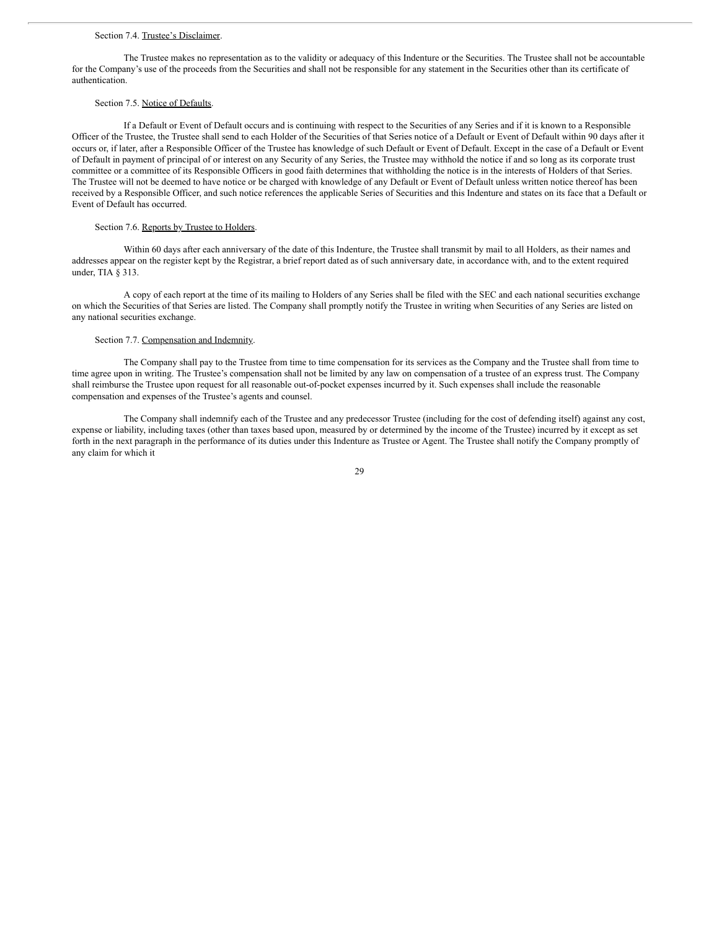#### Section 7.4. Trustee's Disclaimer.

The Trustee makes no representation as to the validity or adequacy of this Indenture or the Securities. The Trustee shall not be accountable for the Company's use of the proceeds from the Securities and shall not be responsible for any statement in the Securities other than its certificate of authentication.

# Section 7.5. Notice of Defaults.

If a Default or Event of Default occurs and is continuing with respect to the Securities of any Series and if it is known to a Responsible Officer of the Trustee, the Trustee shall send to each Holder of the Securities of that Series notice of a Default or Event of Default within 90 days after it occurs or, if later, after a Responsible Officer of the Trustee has knowledge of such Default or Event of Default. Except in the case of a Default or Event of Default in payment of principal of or interest on any Security of any Series, the Trustee may withhold the notice if and so long as its corporate trust committee or a committee of its Responsible Officers in good faith determines that withholding the notice is in the interests of Holders of that Series. The Trustee will not be deemed to have notice or be charged with knowledge of any Default or Event of Default unless written notice thereof has been received by a Responsible Officer, and such notice references the applicable Series of Securities and this Indenture and states on its face that a Default or Event of Default has occurred.

## Section 7.6. Reports by Trustee to Holders.

Within 60 days after each anniversary of the date of this Indenture, the Trustee shall transmit by mail to all Holders, as their names and addresses appear on the register kept by the Registrar, a brief report dated as of such anniversary date, in accordance with, and to the extent required under, TIA § 313.

A copy of each report at the time of its mailing to Holders of any Series shall be filed with the SEC and each national securities exchange on which the Securities of that Series are listed. The Company shall promptly notify the Trustee in writing when Securities of any Series are listed on any national securities exchange.

### Section 7.7. Compensation and Indemnity.

The Company shall pay to the Trustee from time to time compensation for its services as the Company and the Trustee shall from time to time agree upon in writing. The Trustee's compensation shall not be limited by any law on compensation of a trustee of an express trust. The Company shall reimburse the Trustee upon request for all reasonable out-of-pocket expenses incurred by it. Such expenses shall include the reasonable compensation and expenses of the Trustee's agents and counsel.

The Company shall indemnify each of the Trustee and any predecessor Trustee (including for the cost of defending itself) against any cost, expense or liability, including taxes (other than taxes based upon, measured by or determined by the income of the Trustee) incurred by it except as set forth in the next paragraph in the performance of its duties under this Indenture as Trustee or Agent. The Trustee shall notify the Company promptly of any claim for which it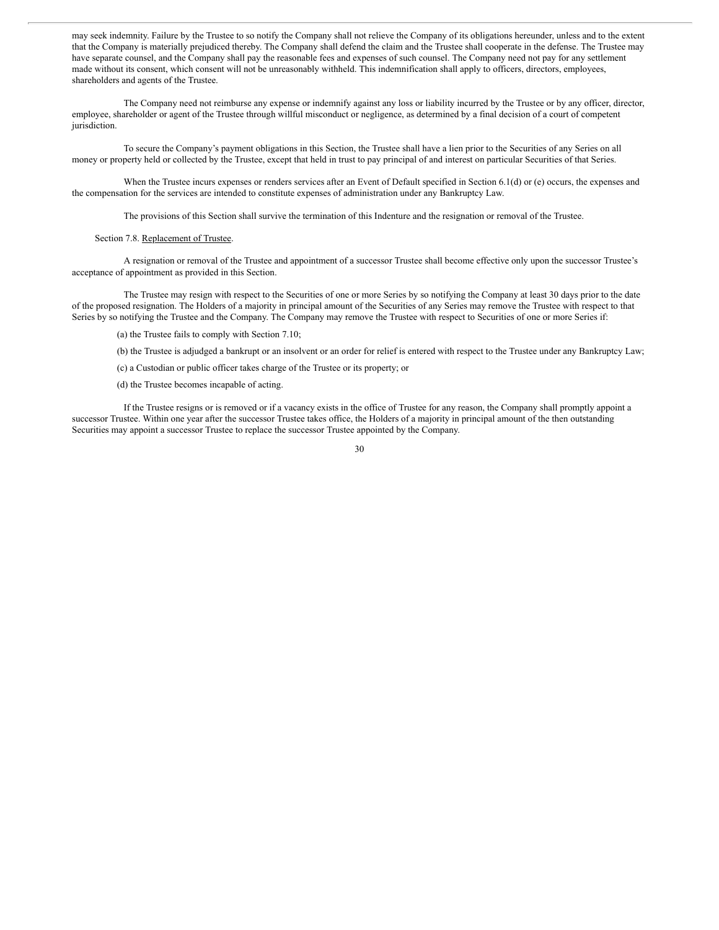may seek indemnity. Failure by the Trustee to so notify the Company shall not relieve the Company of its obligations hereunder, unless and to the extent that the Company is materially prejudiced thereby. The Company shall defend the claim and the Trustee shall cooperate in the defense. The Trustee may have separate counsel, and the Company shall pay the reasonable fees and expenses of such counsel. The Company need not pay for any settlement made without its consent, which consent will not be unreasonably withheld. This indemnification shall apply to officers, directors, employees, shareholders and agents of the Trustee.

The Company need not reimburse any expense or indemnify against any loss or liability incurred by the Trustee or by any officer, director, employee, shareholder or agent of the Trustee through willful misconduct or negligence, as determined by a final decision of a court of competent jurisdiction.

To secure the Company's payment obligations in this Section, the Trustee shall have a lien prior to the Securities of any Series on all money or property held or collected by the Trustee, except that held in trust to pay principal of and interest on particular Securities of that Series.

When the Trustee incurs expenses or renders services after an Event of Default specified in Section 6.1(d) or (e) occurs, the expenses and the compensation for the services are intended to constitute expenses of administration under any Bankruptcy Law.

The provisions of this Section shall survive the termination of this Indenture and the resignation or removal of the Trustee.

### Section 7.8. Replacement of Trustee.

A resignation or removal of the Trustee and appointment of a successor Trustee shall become effective only upon the successor Trustee's acceptance of appointment as provided in this Section.

The Trustee may resign with respect to the Securities of one or more Series by so notifying the Company at least 30 days prior to the date of the proposed resignation. The Holders of a majority in principal amount of the Securities of any Series may remove the Trustee with respect to that Series by so notifying the Trustee and the Company. The Company may remove the Trustee with respect to Securities of one or more Series if:

(a) the Trustee fails to comply with Section 7.10;

(b) the Trustee is adjudged a bankrupt or an insolvent or an order for relief is entered with respect to the Trustee under any Bankruptcy Law;

(c) a Custodian or public officer takes charge of the Trustee or its property; or

(d) the Trustee becomes incapable of acting.

If the Trustee resigns or is removed or if a vacancy exists in the office of Trustee for any reason, the Company shall promptly appoint a successor Trustee. Within one year after the successor Trustee takes office, the Holders of a majority in principal amount of the then outstanding Securities may appoint a successor Trustee to replace the successor Trustee appointed by the Company.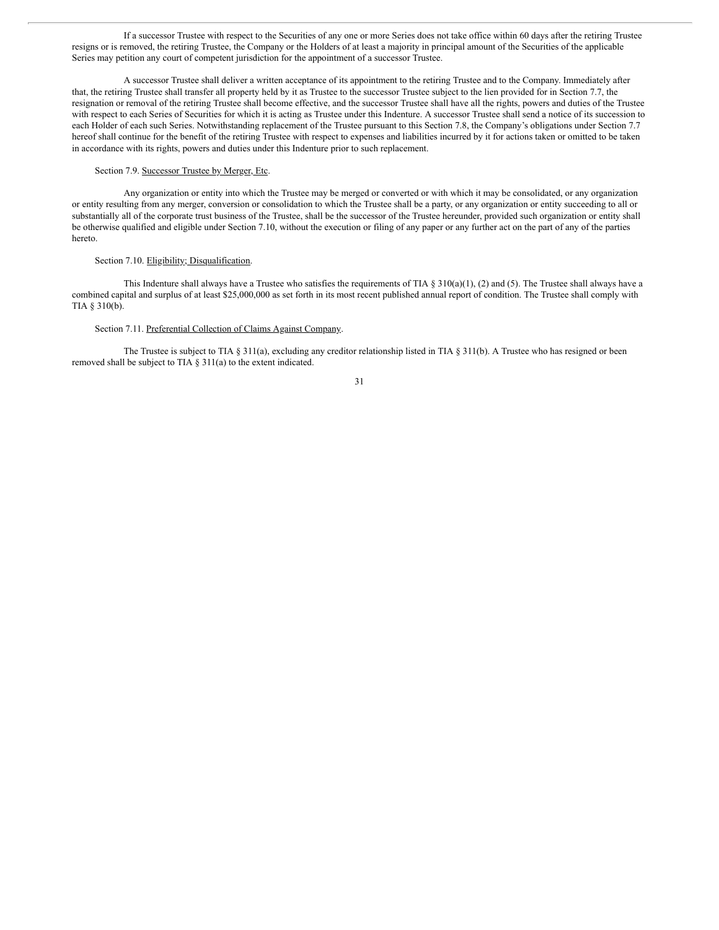If a successor Trustee with respect to the Securities of any one or more Series does not take office within 60 days after the retiring Trustee resigns or is removed, the retiring Trustee, the Company or the Holders of at least a majority in principal amount of the Securities of the applicable Series may petition any court of competent jurisdiction for the appointment of a successor Trustee.

A successor Trustee shall deliver a written acceptance of its appointment to the retiring Trustee and to the Company. Immediately after that, the retiring Trustee shall transfer all property held by it as Trustee to the successor Trustee subject to the lien provided for in Section 7.7, the resignation or removal of the retiring Trustee shall become effective, and the successor Trustee shall have all the rights, powers and duties of the Trustee with respect to each Series of Securities for which it is acting as Trustee under this Indenture. A successor Trustee shall send a notice of its succession to each Holder of each such Series. Notwithstanding replacement of the Trustee pursuant to this Section 7.8, the Company's obligations under Section 7.7 hereof shall continue for the benefit of the retiring Trustee with respect to expenses and liabilities incurred by it for actions taken or omitted to be taken in accordance with its rights, powers and duties under this Indenture prior to such replacement.

## Section 7.9. Successor Trustee by Merger, Etc.

Any organization or entity into which the Trustee may be merged or converted or with which it may be consolidated, or any organization or entity resulting from any merger, conversion or consolidation to which the Trustee shall be a party, or any organization or entity succeeding to all or substantially all of the corporate trust business of the Trustee, shall be the successor of the Trustee hereunder, provided such organization or entity shall be otherwise qualified and eligible under Section 7.10, without the execution or filing of any paper or any further act on the part of any of the parties hereto.

#### Section 7.10. Eligibility; Disqualification.

This Indenture shall always have a Trustee who satisfies the requirements of TIA § 310(a)(1), (2) and (5). The Trustee shall always have a combined capital and surplus of at least \$25,000,000 as set forth in its most recent published annual report of condition. The Trustee shall comply with TIA § 310(b).

# Section 7.11. Preferential Collection of Claims Against Company.

The Trustee is subject to TIA § 311(a), excluding any creditor relationship listed in TIA § 311(b). A Trustee who has resigned or been removed shall be subject to TIA § 311(a) to the extent indicated.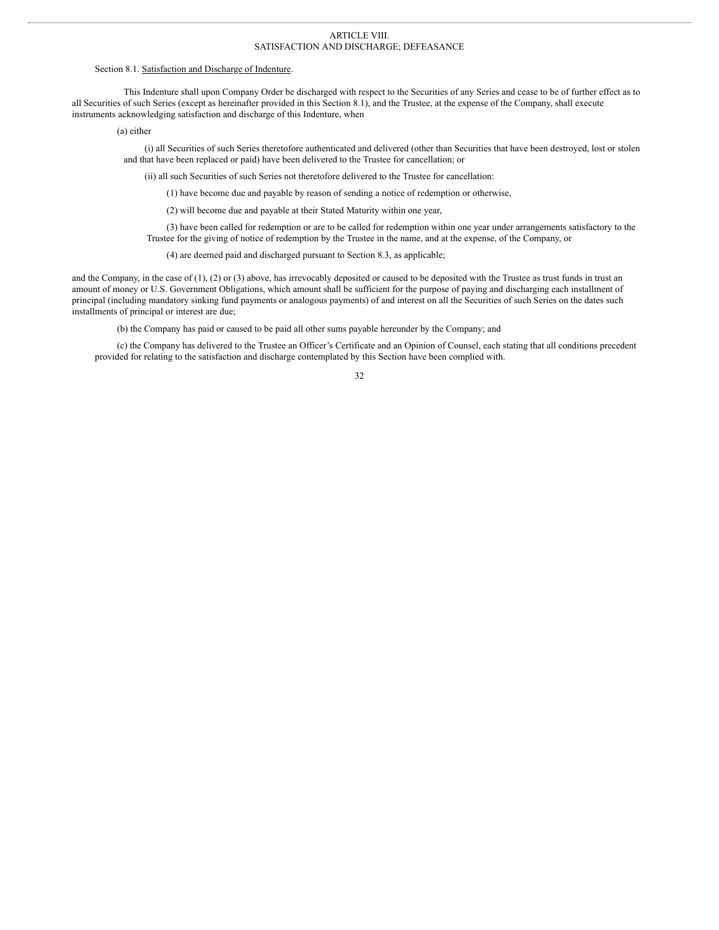#### ARTICLE VIII. SATISFACTION AND DISCHARGE; DEFEASANCE

#### Section 8.1. Satisfaction and Discharge of Indenture.

This Indenture shall upon Company Order be discharged with respect to the Securities of any Series and cease to be of further effect as to all Securities of such Series (except as hereinafter provided in this Section 8.1), and the Trustee, at the expense of the Company, shall execute instruments acknowledging satisfaction and discharge of this Indenture, when

(a) either

(i) all Securities of such Series theretofore authenticated and delivered (other than Securities that have been destroyed, lost or stolen and that have been replaced or paid) have been delivered to the Trustee for cancellation; or

(ii) all such Securities of such Series not theretofore delivered to the Trustee for cancellation:

(1) have become due and payable by reason of sending a notice of redemption or otherwise,

(2) will become due and payable at their Stated Maturity within one year,

(3) have been called for redemption or are to be called for redemption within one year under arrangements satisfactory to the Trustee for the giving of notice of redemption by the Trustee in the name, and at the expense, of the Company, or

(4) are deemed paid and discharged pursuant to Section 8.3, as applicable;

and the Company, in the case of  $(1)$ ,  $(2)$  or  $(3)$  above, has irrevocably deposited or caused to be deposited with the Trustee as trust funds in trust an amount of money or U.S. Government Obligations, which amount shall be sufficient for the purpose of paying and discharging each installment of principal (including mandatory sinking fund payments or analogous payments) of and interest on all the Securities of such Series on the dates such installments of principal or interest are due;

(b) the Company has paid or caused to be paid all other sums payable hereunder by the Company; and

(c) the Company has delivered to the Trustee an Officer's Certificate and an Opinion of Counsel, each stating that all conditions precedent provided for relating to the satisfaction and discharge contemplated by this Section have been complied with.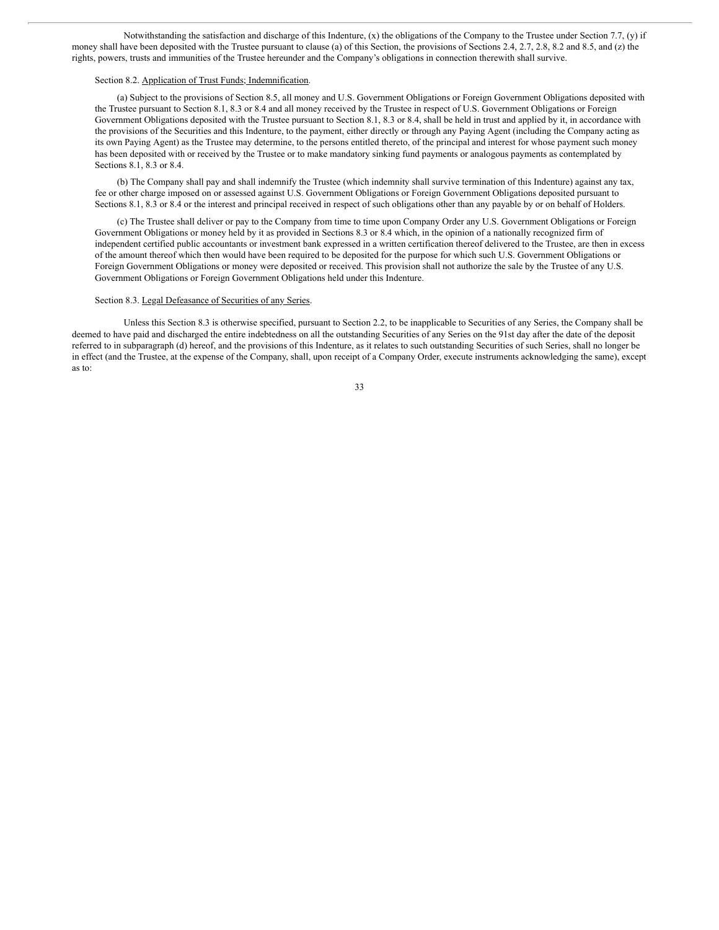Notwithstanding the satisfaction and discharge of this Indenture, (x) the obligations of the Company to the Trustee under Section 7.7, (y) if money shall have been deposited with the Trustee pursuant to clause (a) of this Section, the provisions of Sections 2.4, 2.7, 2.8, 8.2 and 8.5, and (z) the rights, powers, trusts and immunities of the Trustee hereunder and the Company's obligations in connection therewith shall survive.

#### Section 8.2. Application of Trust Funds; Indemnification.

(a) Subject to the provisions of Section 8.5, all money and U.S. Government Obligations or Foreign Government Obligations deposited with the Trustee pursuant to Section 8.1, 8.3 or 8.4 and all money received by the Trustee in respect of U.S. Government Obligations or Foreign Government Obligations deposited with the Trustee pursuant to Section 8.1, 8.3 or 8.4, shall be held in trust and applied by it, in accordance with the provisions of the Securities and this Indenture, to the payment, either directly or through any Paying Agent (including the Company acting as its own Paying Agent) as the Trustee may determine, to the persons entitled thereto, of the principal and interest for whose payment such money has been deposited with or received by the Trustee or to make mandatory sinking fund payments or analogous payments as contemplated by Sections 8.1, 8.3 or 8.4.

(b) The Company shall pay and shall indemnify the Trustee (which indemnity shall survive termination of this Indenture) against any tax, fee or other charge imposed on or assessed against U.S. Government Obligations or Foreign Government Obligations deposited pursuant to Sections 8.1, 8.3 or 8.4 or the interest and principal received in respect of such obligations other than any payable by or on behalf of Holders.

(c) The Trustee shall deliver or pay to the Company from time to time upon Company Order any U.S. Government Obligations or Foreign Government Obligations or money held by it as provided in Sections 8.3 or 8.4 which, in the opinion of a nationally recognized firm of independent certified public accountants or investment bank expressed in a written certification thereof delivered to the Trustee, are then in excess of the amount thereof which then would have been required to be deposited for the purpose for which such U.S. Government Obligations or Foreign Government Obligations or money were deposited or received. This provision shall not authorize the sale by the Trustee of any U.S. Government Obligations or Foreign Government Obligations held under this Indenture.

#### Section 8.3. Legal Defeasance of Securities of any Series.

Unless this Section 8.3 is otherwise specified, pursuant to Section 2.2, to be inapplicable to Securities of any Series, the Company shall be deemed to have paid and discharged the entire indebtedness on all the outstanding Securities of any Series on the 91st day after the date of the deposit referred to in subparagraph (d) hereof, and the provisions of this Indenture, as it relates to such outstanding Securities of such Series, shall no longer be in effect (and the Trustee, at the expense of the Company, shall, upon receipt of a Company Order, execute instruments acknowledging the same), except as to: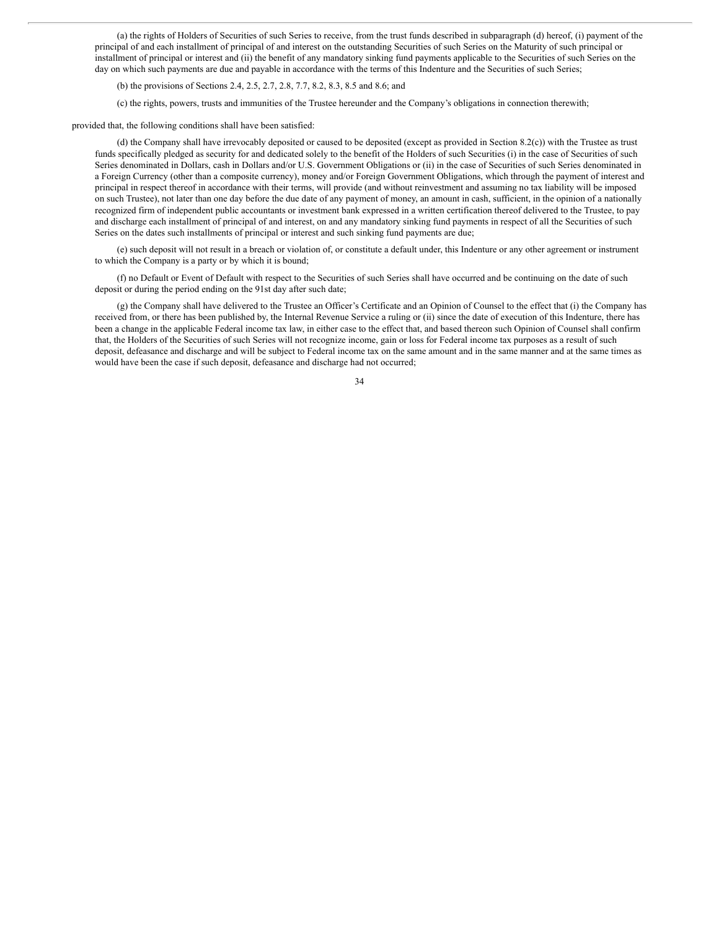(a) the rights of Holders of Securities of such Series to receive, from the trust funds described in subparagraph (d) hereof, (i) payment of the principal of and each installment of principal of and interest on the outstanding Securities of such Series on the Maturity of such principal or installment of principal or interest and (ii) the benefit of any mandatory sinking fund payments applicable to the Securities of such Series on the day on which such payments are due and payable in accordance with the terms of this Indenture and the Securities of such Series;

(b) the provisions of Sections 2.4, 2.5, 2.7, 2.8, 7.7, 8.2, 8.3, 8.5 and 8.6; and

(c) the rights, powers, trusts and immunities of the Trustee hereunder and the Company's obligations in connection therewith;

provided that, the following conditions shall have been satisfied:

(d) the Company shall have irrevocably deposited or caused to be deposited (except as provided in Section 8.2(c)) with the Trustee as trust funds specifically pledged as security for and dedicated solely to the benefit of the Holders of such Securities (i) in the case of Securities of such Series denominated in Dollars, cash in Dollars and/or U.S. Government Obligations or (ii) in the case of Securities of such Series denominated in a Foreign Currency (other than a composite currency), money and/or Foreign Government Obligations, which through the payment of interest and principal in respect thereof in accordance with their terms, will provide (and without reinvestment and assuming no tax liability will be imposed on such Trustee), not later than one day before the due date of any payment of money, an amount in cash, sufficient, in the opinion of a nationally recognized firm of independent public accountants or investment bank expressed in a written certification thereof delivered to the Trustee, to pay and discharge each installment of principal of and interest, on and any mandatory sinking fund payments in respect of all the Securities of such Series on the dates such installments of principal or interest and such sinking fund payments are due;

(e) such deposit will not result in a breach or violation of, or constitute a default under, this Indenture or any other agreement or instrument to which the Company is a party or by which it is bound;

(f) no Default or Event of Default with respect to the Securities of such Series shall have occurred and be continuing on the date of such deposit or during the period ending on the 91st day after such date;

(g) the Company shall have delivered to the Trustee an Officer's Certificate and an Opinion of Counsel to the effect that (i) the Company has received from, or there has been published by, the Internal Revenue Service a ruling or (ii) since the date of execution of this Indenture, there has been a change in the applicable Federal income tax law, in either case to the effect that, and based thereon such Opinion of Counsel shall confirm that, the Holders of the Securities of such Series will not recognize income, gain or loss for Federal income tax purposes as a result of such deposit, defeasance and discharge and will be subject to Federal income tax on the same amount and in the same manner and at the same times as would have been the case if such deposit, defeasance and discharge had not occurred;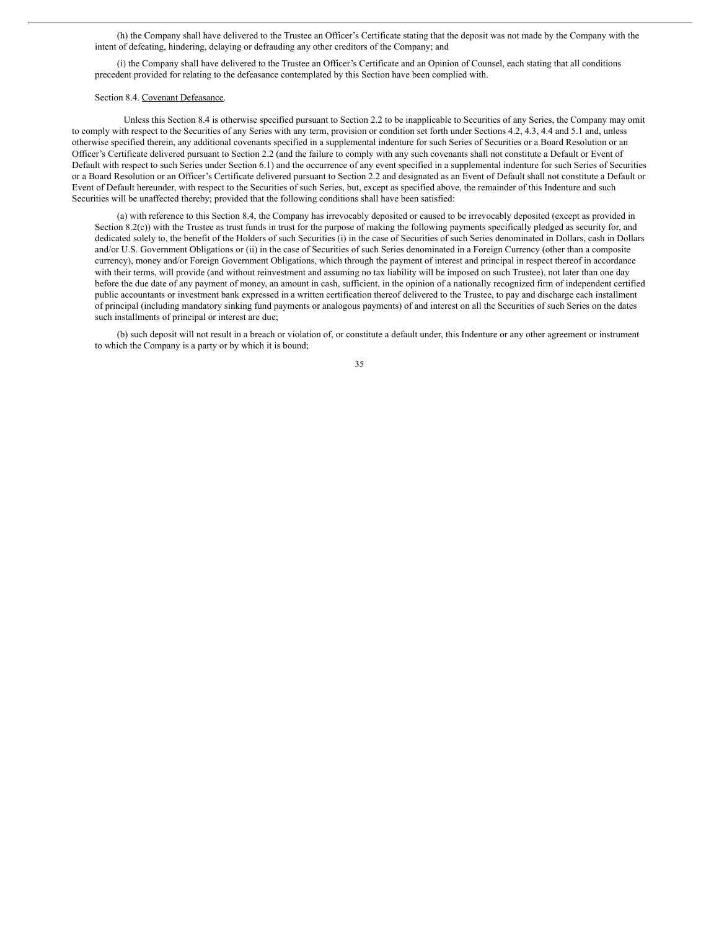(h) the Company shall have delivered to the Trustee an Officer's Certificate stating that the deposit was not made by the Company with the intent of defeating, hindering, delaying or defrauding any other creditors of the Company; and

(i) the Company shall have delivered to the Trustee an Officer's Certificate and an Opinion of Counsel, each stating that all conditions precedent provided for relating to the defeasance contemplated by this Section have been complied with.

#### Section 8.4. Covenant Defeasance.

Unless this Section 8.4 is otherwise specified pursuant to Section 2.2 to be inapplicable to Securities of any Series, the Company may omit to comply with respect to the Securities of any Series with any term, provision or condition set forth under Sections 4.2, 4.3, 4.4 and 5.1 and, unless otherwise specified therein, any additional covenants specified in a supplemental indenture for such Series of Securities or a Board Resolution or an Officer's Certificate delivered pursuant to Section 2.2 (and the failure to comply with any such covenants shall not constitute a Default or Event of Default with respect to such Series under Section 6.1) and the occurrence of any event specified in a supplemental indenture for such Series of Securities or a Board Resolution or an Officer's Certificate delivered pursuant to Section 2.2 and designated as an Event of Default shall not constitute a Default or Event of Default hereunder, with respect to the Securities of such Series, but, except as specified above, the remainder of this Indenture and such Securities will be unaffected thereby; provided that the following conditions shall have been satisfied:

(a) with reference to this Section 8.4, the Company has irrevocably deposited or caused to be irrevocably deposited (except as provided in Section 8.2(c)) with the Trustee as trust funds in trust for the purpose of making the following payments specifically pledged as security for, and dedicated solely to, the benefit of the Holders of such Securities (i) in the case of Securities of such Series denominated in Dollars, cash in Dollars and/or U.S. Government Obligations or (ii) in the case of Securities of such Series denominated in a Foreign Currency (other than a composite currency), money and/or Foreign Government Obligations, which through the payment of interest and principal in respect thereof in accordance with their terms, will provide (and without reinvestment and assuming no tax liability will be imposed on such Trustee), not later than one day before the due date of any payment of money, an amount in cash, sufficient, in the opinion of a nationally recognized firm of independent certified public accountants or investment bank expressed in a written certification thereof delivered to the Trustee, to pay and discharge each installment of principal (including mandatory sinking fund payments or analogous payments) of and interest on all the Securities of such Series on the dates such installments of principal or interest are due;

(b) such deposit will not result in a breach or violation of, or constitute a default under, this Indenture or any other agreement or instrument to which the Company is a party or by which it is bound;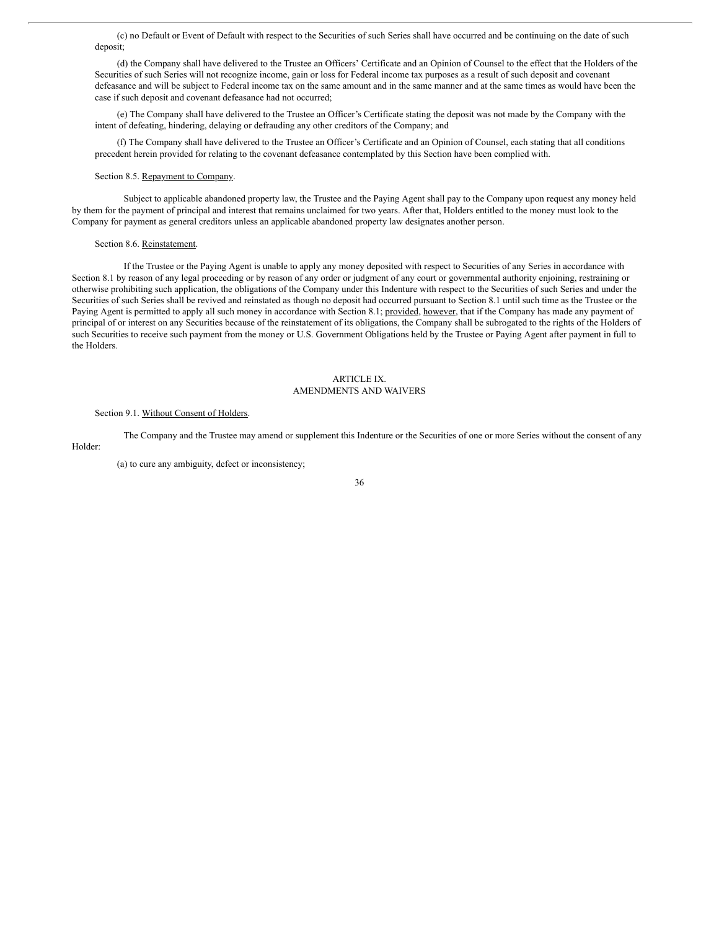(c) no Default or Event of Default with respect to the Securities of such Series shall have occurred and be continuing on the date of such deposit;

(d) the Company shall have delivered to the Trustee an Officers' Certificate and an Opinion of Counsel to the effect that the Holders of the Securities of such Series will not recognize income, gain or loss for Federal income tax purposes as a result of such deposit and covenant defeasance and will be subject to Federal income tax on the same amount and in the same manner and at the same times as would have been the case if such deposit and covenant defeasance had not occurred;

(e) The Company shall have delivered to the Trustee an Officer's Certificate stating the deposit was not made by the Company with the intent of defeating, hindering, delaying or defrauding any other creditors of the Company; and

(f) The Company shall have delivered to the Trustee an Officer's Certificate and an Opinion of Counsel, each stating that all conditions precedent herein provided for relating to the covenant defeasance contemplated by this Section have been complied with.

### Section 8.5. Repayment to Company.

Subject to applicable abandoned property law, the Trustee and the Paying Agent shall pay to the Company upon request any money held by them for the payment of principal and interest that remains unclaimed for two years. After that, Holders entitled to the money must look to the Company for payment as general creditors unless an applicable abandoned property law designates another person.

## Section 8.6. Reinstatement.

If the Trustee or the Paying Agent is unable to apply any money deposited with respect to Securities of any Series in accordance with Section 8.1 by reason of any legal proceeding or by reason of any order or judgment of any court or governmental authority enjoining, restraining or otherwise prohibiting such application, the obligations of the Company under this Indenture with respect to the Securities of such Series and under the Securities of such Series shall be revived and reinstated as though no deposit had occurred pursuant to Section 8.1 until such time as the Trustee or the Paying Agent is permitted to apply all such money in accordance with Section 8.1; provided, however, that if the Company has made any payment of principal of or interest on any Securities because of the reinstatement of its obligations, the Company shall be subrogated to the rights of the Holders of such Securities to receive such payment from the money or U.S. Government Obligations held by the Trustee or Paying Agent after payment in full to the Holders.

## ARTICLE IX. AMENDMENTS AND WAIVERS

# Section 9.1. Without Consent of Holders.

The Company and the Trustee may amend or supplement this Indenture or the Securities of one or more Series without the consent of any Holder:

(a) to cure any ambiguity, defect or inconsistency;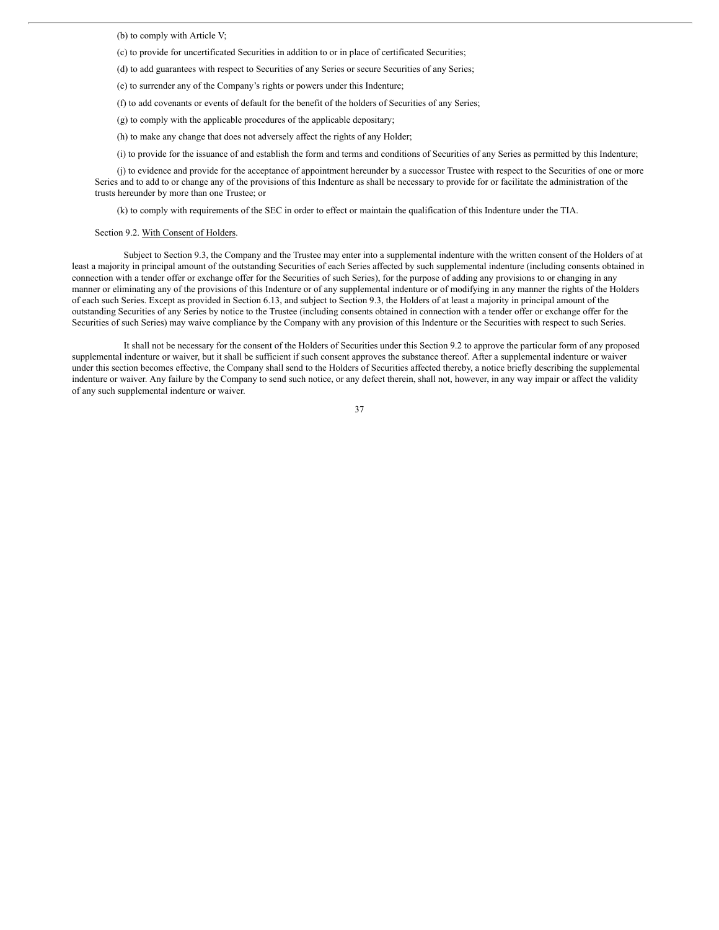(b) to comply with Article V;

(c) to provide for uncertificated Securities in addition to or in place of certificated Securities;

(d) to add guarantees with respect to Securities of any Series or secure Securities of any Series;

(e) to surrender any of the Company's rights or powers under this Indenture;

(f) to add covenants or events of default for the benefit of the holders of Securities of any Series;

(g) to comply with the applicable procedures of the applicable depositary;

(h) to make any change that does not adversely affect the rights of any Holder;

(i) to provide for the issuance of and establish the form and terms and conditions of Securities of any Series as permitted by this Indenture;

(j) to evidence and provide for the acceptance of appointment hereunder by a successor Trustee with respect to the Securities of one or more Series and to add to or change any of the provisions of this Indenture as shall be necessary to provide for or facilitate the administration of the trusts hereunder by more than one Trustee; or

(k) to comply with requirements of the SEC in order to effect or maintain the qualification of this Indenture under the TIA.

# Section 9.2. With Consent of Holders.

Subject to Section 9.3, the Company and the Trustee may enter into a supplemental indenture with the written consent of the Holders of at least a majority in principal amount of the outstanding Securities of each Series affected by such supplemental indenture (including consents obtained in connection with a tender offer or exchange offer for the Securities of such Series), for the purpose of adding any provisions to or changing in any manner or eliminating any of the provisions of this Indenture or of any supplemental indenture or of modifying in any manner the rights of the Holders of each such Series. Except as provided in Section 6.13, and subject to Section 9.3, the Holders of at least a majority in principal amount of the outstanding Securities of any Series by notice to the Trustee (including consents obtained in connection with a tender offer or exchange offer for the Securities of such Series) may waive compliance by the Company with any provision of this Indenture or the Securities with respect to such Series.

It shall not be necessary for the consent of the Holders of Securities under this Section 9.2 to approve the particular form of any proposed supplemental indenture or waiver, but it shall be sufficient if such consent approves the substance thereof. After a supplemental indenture or waiver under this section becomes effective, the Company shall send to the Holders of Securities affected thereby, a notice briefly describing the supplemental indenture or waiver. Any failure by the Company to send such notice, or any defect therein, shall not, however, in any way impair or affect the validity of any such supplemental indenture or waiver.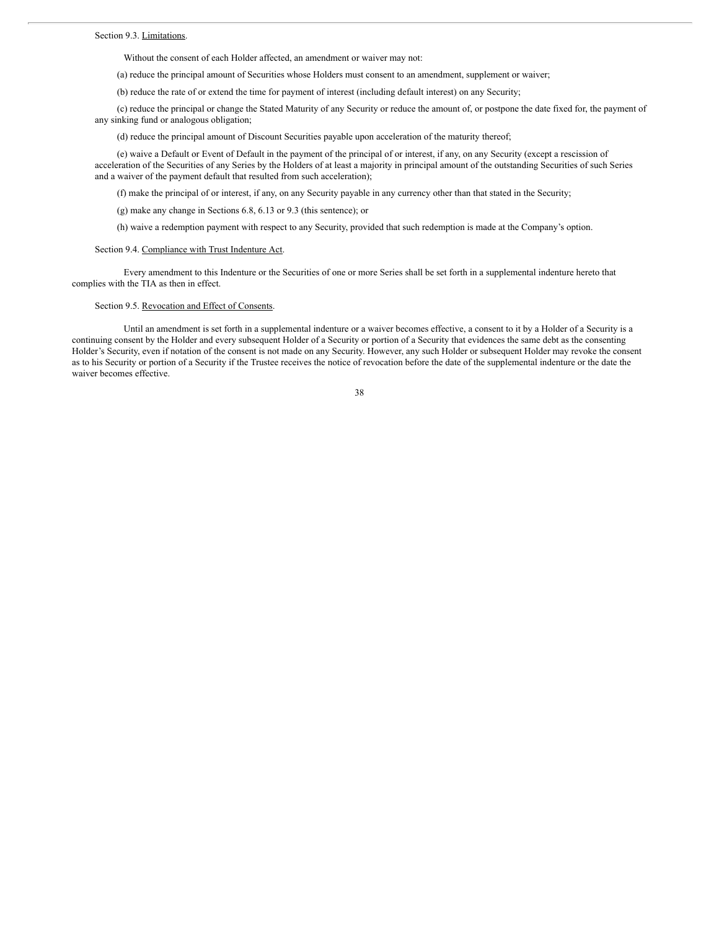Without the consent of each Holder affected, an amendment or waiver may not:

(a) reduce the principal amount of Securities whose Holders must consent to an amendment, supplement or waiver;

(b) reduce the rate of or extend the time for payment of interest (including default interest) on any Security;

(c) reduce the principal or change the Stated Maturity of any Security or reduce the amount of, or postpone the date fixed for, the payment of any sinking fund or analogous obligation;

(d) reduce the principal amount of Discount Securities payable upon acceleration of the maturity thereof;

(e) waive a Default or Event of Default in the payment of the principal of or interest, if any, on any Security (except a rescission of acceleration of the Securities of any Series by the Holders of at least a majority in principal amount of the outstanding Securities of such Series and a waiver of the payment default that resulted from such acceleration);

(f) make the principal of or interest, if any, on any Security payable in any currency other than that stated in the Security;

(g) make any change in Sections 6.8, 6.13 or 9.3 (this sentence); or

(h) waive a redemption payment with respect to any Security, provided that such redemption is made at the Company's option.

## Section 9.4. Compliance with Trust Indenture Act.

Every amendment to this Indenture or the Securities of one or more Series shall be set forth in a supplemental indenture hereto that complies with the TIA as then in effect.

Section 9.5. Revocation and Effect of Consents.

Until an amendment is set forth in a supplemental indenture or a waiver becomes effective, a consent to it by a Holder of a Security is a continuing consent by the Holder and every subsequent Holder of a Security or portion of a Security that evidences the same debt as the consenting Holder's Security, even if notation of the consent is not made on any Security. However, any such Holder or subsequent Holder may revoke the consent as to his Security or portion of a Security if the Trustee receives the notice of revocation before the date of the supplemental indenture or the date the waiver becomes effective.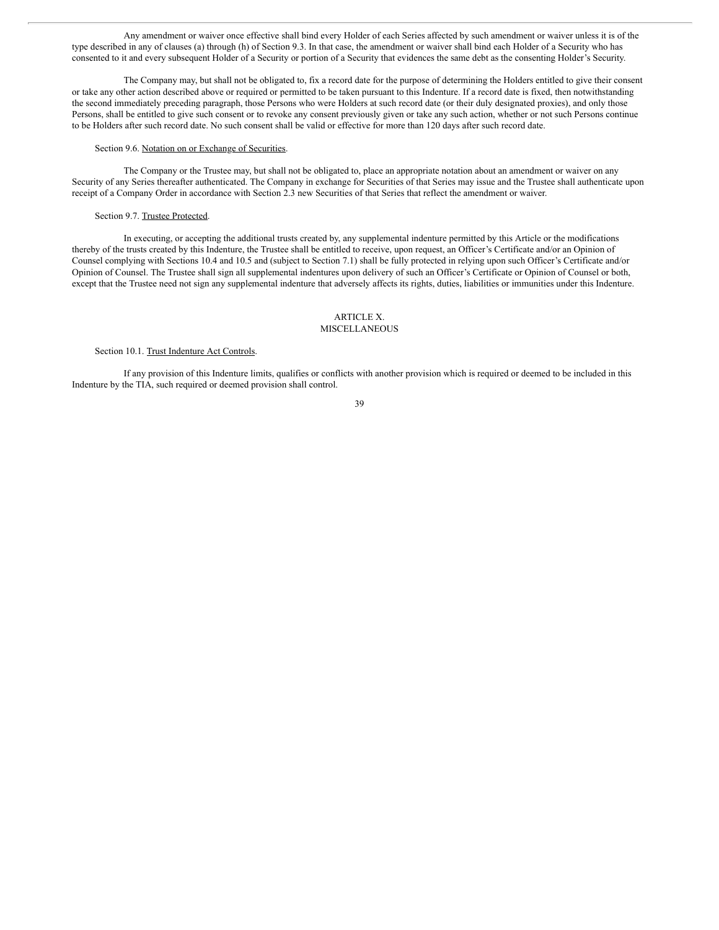Any amendment or waiver once effective shall bind every Holder of each Series affected by such amendment or waiver unless it is of the type described in any of clauses (a) through (h) of Section 9.3. In that case, the amendment or waiver shall bind each Holder of a Security who has consented to it and every subsequent Holder of a Security or portion of a Security that evidences the same debt as the consenting Holder's Security.

The Company may, but shall not be obligated to, fix a record date for the purpose of determining the Holders entitled to give their consent or take any other action described above or required or permitted to be taken pursuant to this Indenture. If a record date is fixed, then notwithstanding the second immediately preceding paragraph, those Persons who were Holders at such record date (or their duly designated proxies), and only those Persons, shall be entitled to give such consent or to revoke any consent previously given or take any such action, whether or not such Persons continue to be Holders after such record date. No such consent shall be valid or effective for more than 120 days after such record date.

#### Section 9.6. Notation on or Exchange of Securities.

The Company or the Trustee may, but shall not be obligated to, place an appropriate notation about an amendment or waiver on any Security of any Series thereafter authenticated. The Company in exchange for Securities of that Series may issue and the Trustee shall authenticate upon receipt of a Company Order in accordance with Section 2.3 new Securities of that Series that reflect the amendment or waiver.

## Section 9.7. Trustee Protected.

In executing, or accepting the additional trusts created by, any supplemental indenture permitted by this Article or the modifications thereby of the trusts created by this Indenture, the Trustee shall be entitled to receive, upon request, an Officer's Certificate and/or an Opinion of Counsel complying with Sections 10.4 and 10.5 and (subject to Section 7.1) shall be fully protected in relying upon such Officer's Certificate and/or Opinion of Counsel. The Trustee shall sign all supplemental indentures upon delivery of such an Officer's Certificate or Opinion of Counsel or both, except that the Trustee need not sign any supplemental indenture that adversely affects its rights, duties, liabilities or immunities under this Indenture.

# ARTICLE X.

# MISCELLANEOUS

## Section 10.1. Trust Indenture Act Controls.

If any provision of this Indenture limits, qualifies or conflicts with another provision which is required or deemed to be included in this Indenture by the TIA, such required or deemed provision shall control.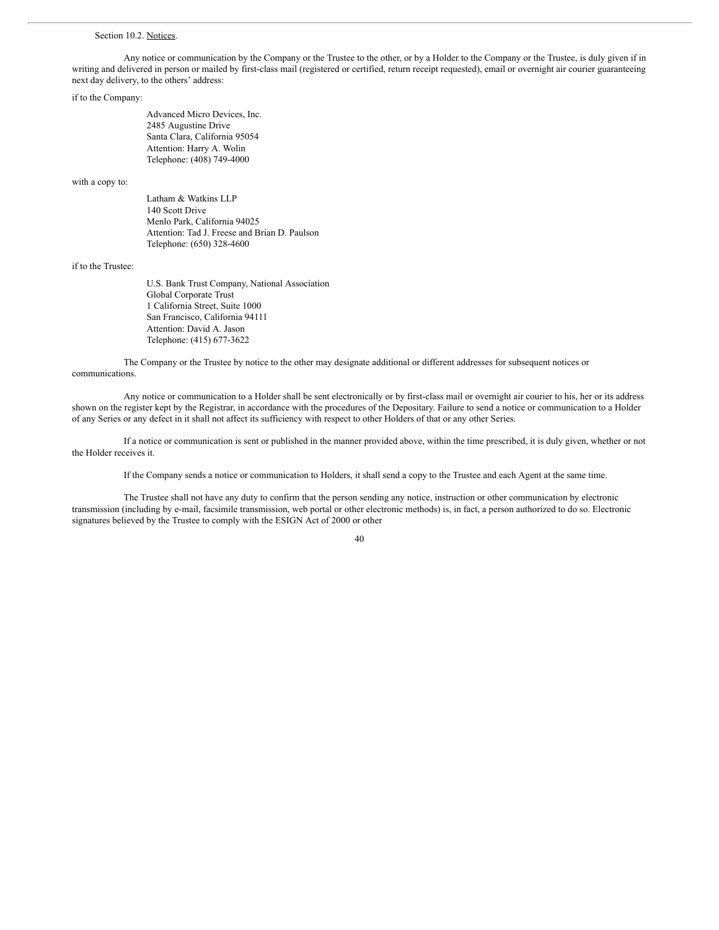#### Section 10.2. Notices.

Any notice or communication by the Company or the Trustee to the other, or by a Holder to the Company or the Trustee, is duly given if in writing and delivered in person or mailed by first-class mail (registered or certified, return receipt requested), email or overnight air courier guaranteeing next day delivery, to the others' address:

## if to the Company:

Advanced Micro Devices, Inc. 2485 Augustine Drive Santa Clara, California 95054 Attention: Harry A. Wolin Telephone: (408) 749-4000

#### with a copy to:

Latham & Watkins LLP 140 Scott Drive Menlo Park, California 94025 Attention: Tad J. Freese and Brian D. Paulson Telephone: (650) 328-4600

## if to the Trustee:

U.S. Bank Trust Company, National Association Global Corporate Trust 1 California Street, Suite 1000 San Francisco, California 94111 Attention: David A. Jason Telephone: (415) 677-3622

The Company or the Trustee by notice to the other may designate additional or different addresses for subsequent notices or communications.

Any notice or communication to a Holder shall be sent electronically or by first-class mail or overnight air courier to his, her or its address shown on the register kept by the Registrar, in accordance with the procedures of the Depositary. Failure to send a notice or communication to a Holder of any Series or any defect in it shall not affect its sufficiency with respect to other Holders of that or any other Series.

If a notice or communication is sent or published in the manner provided above, within the time prescribed, it is duly given, whether or not the Holder receives it.

If the Company sends a notice or communication to Holders, it shall send a copy to the Trustee and each Agent at the same time.

The Trustee shall not have any duty to confirm that the person sending any notice, instruction or other communication by electronic transmission (including by e-mail, facsimile transmission, web portal or other electronic methods) is, in fact, a person authorized to do so. Electronic signatures believed by the Trustee to comply with the ESIGN Act of 2000 or other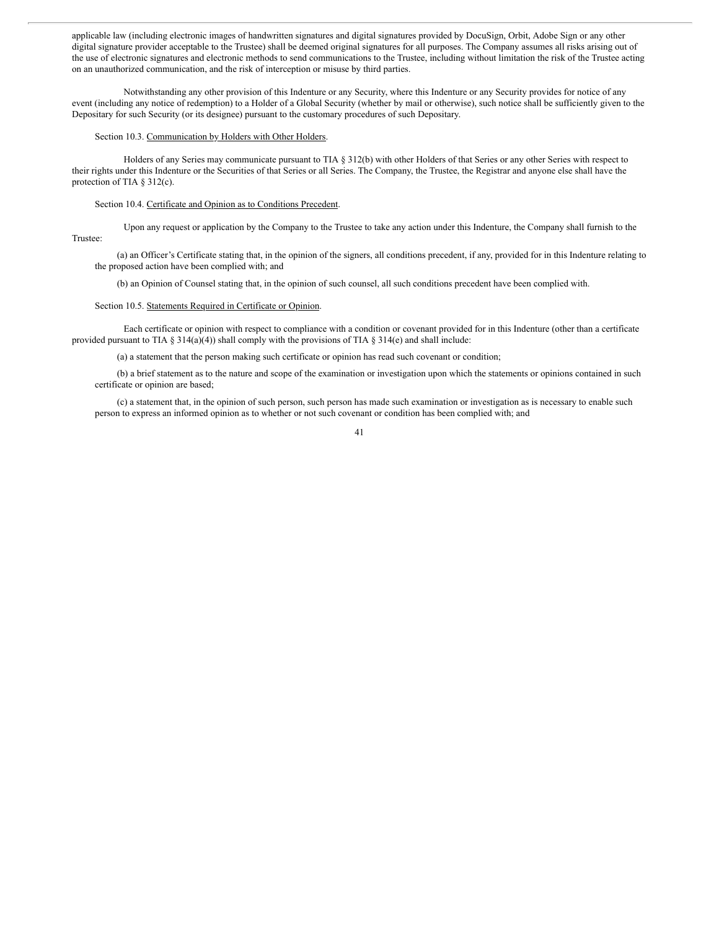applicable law (including electronic images of handwritten signatures and digital signatures provided by DocuSign, Orbit, Adobe Sign or any other digital signature provider acceptable to the Trustee) shall be deemed original signatures for all purposes. The Company assumes all risks arising out of the use of electronic signatures and electronic methods to send communications to the Trustee, including without limitation the risk of the Trustee acting on an unauthorized communication, and the risk of interception or misuse by third parties.

Notwithstanding any other provision of this Indenture or any Security, where this Indenture or any Security provides for notice of any event (including any notice of redemption) to a Holder of a Global Security (whether by mail or otherwise), such notice shall be sufficiently given to the Depositary for such Security (or its designee) pursuant to the customary procedures of such Depositary.

#### Section 10.3. Communication by Holders with Other Holders.

Holders of any Series may communicate pursuant to TIA § 312(b) with other Holders of that Series or any other Series with respect to their rights under this Indenture or the Securities of that Series or all Series. The Company, the Trustee, the Registrar and anyone else shall have the protection of TIA § 312(c).

### Section 10.4. Certificate and Opinion as to Conditions Precedent.

Upon any request or application by the Company to the Trustee to take any action under this Indenture, the Company shall furnish to the Trustee:

(a) an Officer's Certificate stating that, in the opinion of the signers, all conditions precedent, if any, provided for in this Indenture relating to the proposed action have been complied with; and

(b) an Opinion of Counsel stating that, in the opinion of such counsel, all such conditions precedent have been complied with.

#### Section 10.5. Statements Required in Certificate or Opinion.

Each certificate or opinion with respect to compliance with a condition or covenant provided for in this Indenture (other than a certificate provided pursuant to TIA § 314(a)(4)) shall comply with the provisions of TIA § 314(e) and shall include:

(a) a statement that the person making such certificate or opinion has read such covenant or condition;

(b) a brief statement as to the nature and scope of the examination or investigation upon which the statements or opinions contained in such certificate or opinion are based;

(c) a statement that, in the opinion of such person, such person has made such examination or investigation as is necessary to enable such person to express an informed opinion as to whether or not such covenant or condition has been complied with; and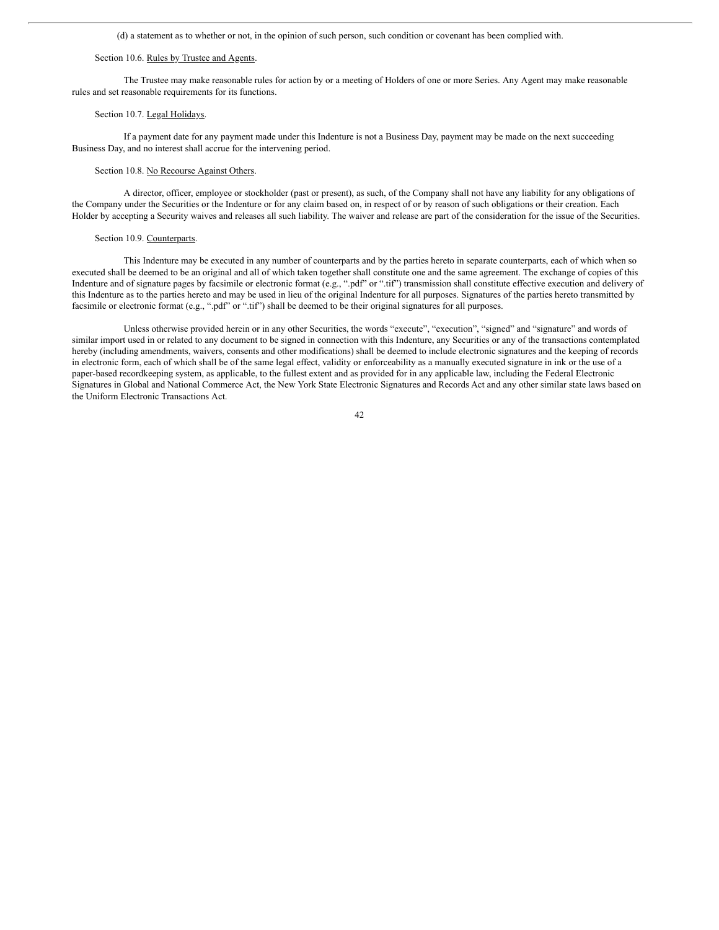(d) a statement as to whether or not, in the opinion of such person, such condition or covenant has been complied with.

## Section 10.6. Rules by Trustee and Agents.

The Trustee may make reasonable rules for action by or a meeting of Holders of one or more Series. Any Agent may make reasonable rules and set reasonable requirements for its functions.

## Section 10.7. Legal Holidays.

If a payment date for any payment made under this Indenture is not a Business Day, payment may be made on the next succeeding Business Day, and no interest shall accrue for the intervening period.

#### Section 10.8. No Recourse Against Others.

A director, officer, employee or stockholder (past or present), as such, of the Company shall not have any liability for any obligations of the Company under the Securities or the Indenture or for any claim based on, in respect of or by reason of such obligations or their creation. Each Holder by accepting a Security waives and releases all such liability. The waiver and release are part of the consideration for the issue of the Securities.

#### Section 10.9. Counterparts.

This Indenture may be executed in any number of counterparts and by the parties hereto in separate counterparts, each of which when so executed shall be deemed to be an original and all of which taken together shall constitute one and the same agreement. The exchange of copies of this Indenture and of signature pages by facsimile or electronic format (e.g., ".pdf" or ".tif") transmission shall constitute effective execution and delivery of this Indenture as to the parties hereto and may be used in lieu of the original Indenture for all purposes. Signatures of the parties hereto transmitted by facsimile or electronic format (e.g., ".pdf" or ".tif") shall be deemed to be their original signatures for all purposes.

Unless otherwise provided herein or in any other Securities, the words "execute", "execution", "signed" and "signature" and words of similar import used in or related to any document to be signed in connection with this Indenture, any Securities or any of the transactions contemplated hereby (including amendments, waivers, consents and other modifications) shall be deemed to include electronic signatures and the keeping of records in electronic form, each of which shall be of the same legal effect, validity or enforceability as a manually executed signature in ink or the use of a paper-based recordkeeping system, as applicable, to the fullest extent and as provided for in any applicable law, including the Federal Electronic Signatures in Global and National Commerce Act, the New York State Electronic Signatures and Records Act and any other similar state laws based on the Uniform Electronic Transactions Act.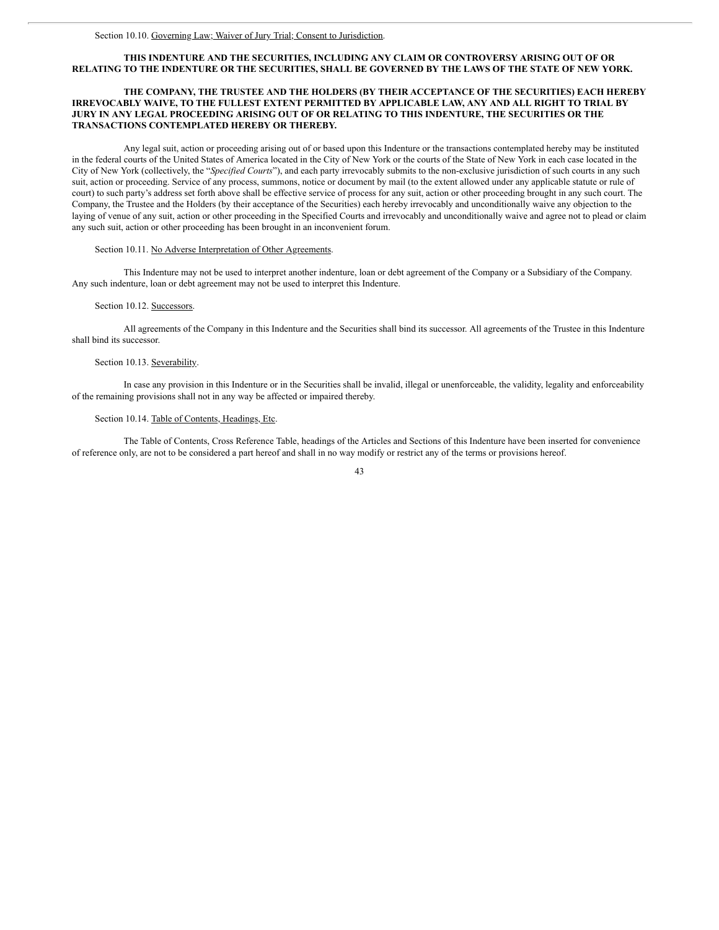# **THIS INDENTURE AND THE SECURITIES, INCLUDING ANY CLAIM OR CONTROVERSY ARISING OUT OF OR** RELATING TO THE INDENTURE OR THE SECURITIES, SHALL BE GOVERNED BY THE LAWS OF THE STATE OF NEW YORK.

## **THE COMPANY, THE TRUSTEE AND THE HOLDERS (BY THEIR ACCEPTANCE OF THE SECURITIES) EACH HEREBY IRREVOCABLY WAIVE, TO THE FULLEST EXTENT PERMITTED BY APPLICABLE LAW, ANY AND ALL RIGHT TO TRIAL BY JURY IN ANY LEGAL PROCEEDING ARISING OUT OF OR RELATING TO THIS INDENTURE, THE SECURITIES OR THE TRANSACTIONS CONTEMPLATED HEREBY OR THEREBY.**

Any legal suit, action or proceeding arising out of or based upon this Indenture or the transactions contemplated hereby may be instituted in the federal courts of the United States of America located in the City of New York or the courts of the State of New York in each case located in the City of New York (collectively, the "*Specified Courts*"), and each party irrevocably submits to the non-exclusive jurisdiction of such courts in any such suit, action or proceeding. Service of any process, summons, notice or document by mail (to the extent allowed under any applicable statute or rule of court) to such party's address set forth above shall be effective service of process for any suit, action or other proceeding brought in any such court. The Company, the Trustee and the Holders (by their acceptance of the Securities) each hereby irrevocably and unconditionally waive any objection to the laying of venue of any suit, action or other proceeding in the Specified Courts and irrevocably and unconditionally waive and agree not to plead or claim any such suit, action or other proceeding has been brought in an inconvenient forum.

## Section 10.11. No Adverse Interpretation of Other Agreements.

This Indenture may not be used to interpret another indenture, loan or debt agreement of the Company or a Subsidiary of the Company. Any such indenture, loan or debt agreement may not be used to interpret this Indenture.

#### Section 10.12. Successors.

All agreements of the Company in this Indenture and the Securities shall bind its successor. All agreements of the Trustee in this Indenture shall bind its successor.

#### Section 10.13. Severability.

In case any provision in this Indenture or in the Securities shall be invalid, illegal or unenforceable, the validity, legality and enforceability of the remaining provisions shall not in any way be affected or impaired thereby.

### Section 10.14. Table of Contents, Headings, Etc.

The Table of Contents, Cross Reference Table, headings of the Articles and Sections of this Indenture have been inserted for convenience of reference only, are not to be considered a part hereof and shall in no way modify or restrict any of the terms or provisions hereof.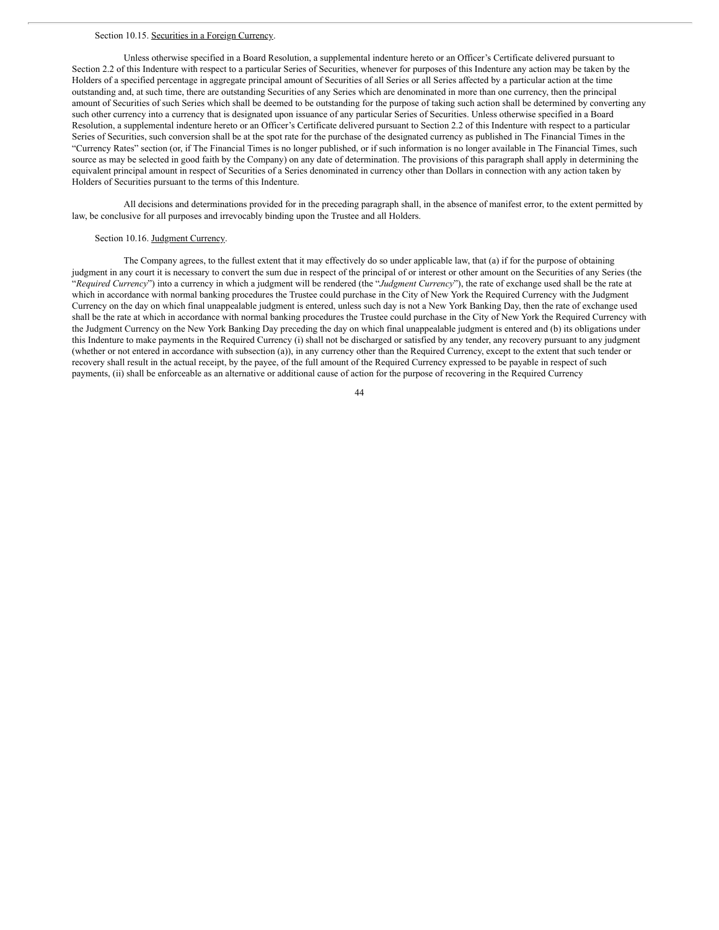#### Section 10.15. Securities in a Foreign Currency.

Unless otherwise specified in a Board Resolution, a supplemental indenture hereto or an Officer's Certificate delivered pursuant to Section 2.2 of this Indenture with respect to a particular Series of Securities, whenever for purposes of this Indenture any action may be taken by the Holders of a specified percentage in aggregate principal amount of Securities of all Series or all Series affected by a particular action at the time outstanding and, at such time, there are outstanding Securities of any Series which are denominated in more than one currency, then the principal amount of Securities of such Series which shall be deemed to be outstanding for the purpose of taking such action shall be determined by converting any such other currency into a currency that is designated upon issuance of any particular Series of Securities. Unless otherwise specified in a Board Resolution, a supplemental indenture hereto or an Officer's Certificate delivered pursuant to Section 2.2 of this Indenture with respect to a particular Series of Securities, such conversion shall be at the spot rate for the purchase of the designated currency as published in The Financial Times in the "Currency Rates" section (or, if The Financial Times is no longer published, or if such information is no longer available in The Financial Times, such source as may be selected in good faith by the Company) on any date of determination. The provisions of this paragraph shall apply in determining the equivalent principal amount in respect of Securities of a Series denominated in currency other than Dollars in connection with any action taken by Holders of Securities pursuant to the terms of this Indenture.

All decisions and determinations provided for in the preceding paragraph shall, in the absence of manifest error, to the extent permitted by law, be conclusive for all purposes and irrevocably binding upon the Trustee and all Holders.

## Section 10.16. Judgment Currency.

The Company agrees, to the fullest extent that it may effectively do so under applicable law, that (a) if for the purpose of obtaining judgment in any court it is necessary to convert the sum due in respect of the principal of or interest or other amount on the Securities of any Series (the "*Required Currency*") into a currency in which a judgment will be rendered (the "*Judgment Currency*"), the rate of exchange used shall be the rate at which in accordance with normal banking procedures the Trustee could purchase in the City of New York the Required Currency with the Judgment Currency on the day on which final unappealable judgment is entered, unless such day is not a New York Banking Day, then the rate of exchange used shall be the rate at which in accordance with normal banking procedures the Trustee could purchase in the City of New York the Required Currency with the Judgment Currency on the New York Banking Day preceding the day on which final unappealable judgment is entered and (b) its obligations under this Indenture to make payments in the Required Currency (i) shall not be discharged or satisfied by any tender, any recovery pursuant to any judgment (whether or not entered in accordance with subsection (a)), in any currency other than the Required Currency, except to the extent that such tender or recovery shall result in the actual receipt, by the payee, of the full amount of the Required Currency expressed to be payable in respect of such payments, (ii) shall be enforceable as an alternative or additional cause of action for the purpose of recovering in the Required Currency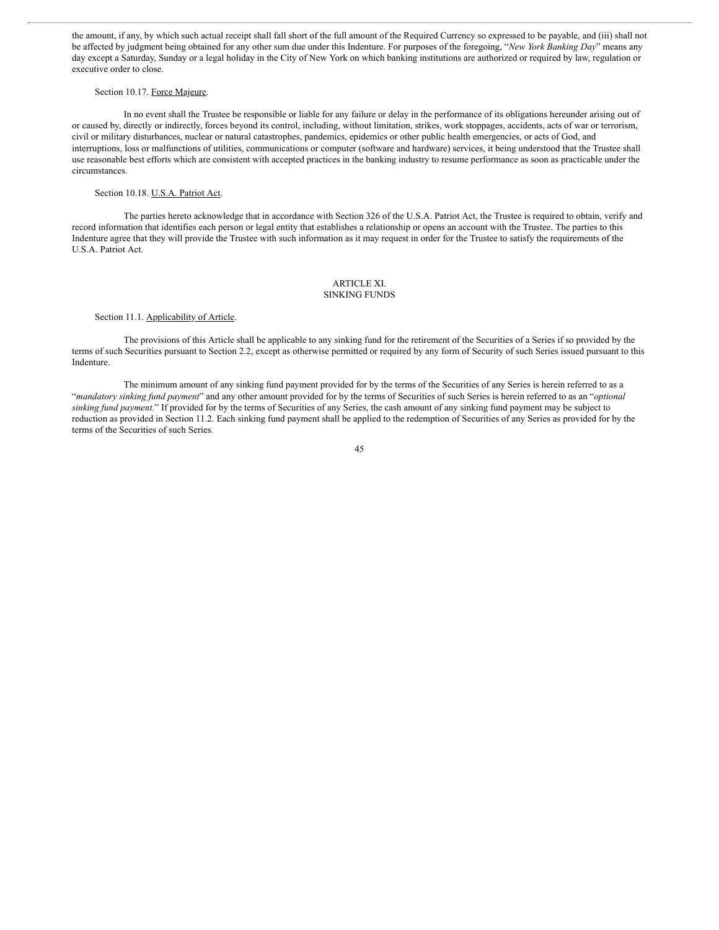the amount, if any, by which such actual receipt shall fall short of the full amount of the Required Currency so expressed to be payable, and (iii) shall not be affected by judgment being obtained for any other sum due under this Indenture. For purposes of the foregoing, "*New York Banking Day*" means any day except a Saturday, Sunday or a legal holiday in the City of New York on which banking institutions are authorized or required by law, regulation or executive order to close.

#### Section 10.17. Force Majeure.

In no event shall the Trustee be responsible or liable for any failure or delay in the performance of its obligations hereunder arising out of or caused by, directly or indirectly, forces beyond its control, including, without limitation, strikes, work stoppages, accidents, acts of war or terrorism, civil or military disturbances, nuclear or natural catastrophes, pandemics, epidemics or other public health emergencies, or acts of God, and interruptions, loss or malfunctions of utilities, communications or computer (software and hardware) services, it being understood that the Trustee shall use reasonable best efforts which are consistent with accepted practices in the banking industry to resume performance as soon as practicable under the circumstances.

### Section 10.18. U.S.A. Patriot Act.

The parties hereto acknowledge that in accordance with Section 326 of the U.S.A. Patriot Act, the Trustee is required to obtain, verify and record information that identifies each person or legal entity that establishes a relationship or opens an account with the Trustee. The parties to this Indenture agree that they will provide the Trustee with such information as it may request in order for the Trustee to satisfy the requirements of the U.S.A. Patriot Act.

#### ARTICLE XI. SINKING FUNDS

### Section 11.1. Applicability of Article.

The provisions of this Article shall be applicable to any sinking fund for the retirement of the Securities of a Series if so provided by the terms of such Securities pursuant to Section 2.2, except as otherwise permitted or required by any form of Security of such Series issued pursuant to this Indenture.

The minimum amount of any sinking fund payment provided for by the terms of the Securities of any Series is herein referred to as a "*mandatory sinking fund payment*" and any other amount provided for by the terms of Securities of such Series is herein referred to as an "*optional sinking fund payment*." If provided for by the terms of Securities of any Series, the cash amount of any sinking fund payment may be subject to reduction as provided in Section 11.2. Each sinking fund payment shall be applied to the redemption of Securities of any Series as provided for by the terms of the Securities of such Series.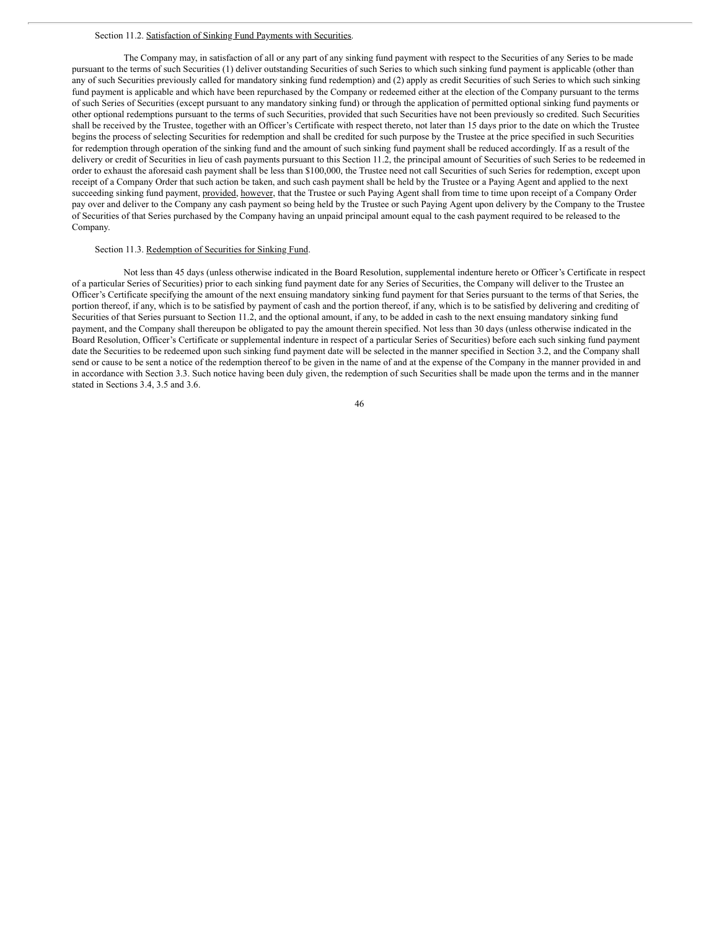#### Section 11.2. Satisfaction of Sinking Fund Payments with Securities.

The Company may, in satisfaction of all or any part of any sinking fund payment with respect to the Securities of any Series to be made pursuant to the terms of such Securities (1) deliver outstanding Securities of such Series to which such sinking fund payment is applicable (other than any of such Securities previously called for mandatory sinking fund redemption) and (2) apply as credit Securities of such Series to which such sinking fund payment is applicable and which have been repurchased by the Company or redeemed either at the election of the Company pursuant to the terms of such Series of Securities (except pursuant to any mandatory sinking fund) or through the application of permitted optional sinking fund payments or other optional redemptions pursuant to the terms of such Securities, provided that such Securities have not been previously so credited. Such Securities shall be received by the Trustee, together with an Officer's Certificate with respect thereto, not later than 15 days prior to the date on which the Trustee begins the process of selecting Securities for redemption and shall be credited for such purpose by the Trustee at the price specified in such Securities for redemption through operation of the sinking fund and the amount of such sinking fund payment shall be reduced accordingly. If as a result of the delivery or credit of Securities in lieu of cash payments pursuant to this Section 11.2, the principal amount of Securities of such Series to be redeemed in order to exhaust the aforesaid cash payment shall be less than \$100,000, the Trustee need not call Securities of such Series for redemption, except upon receipt of a Company Order that such action be taken, and such cash payment shall be held by the Trustee or a Paying Agent and applied to the next succeeding sinking fund payment, provided, however, that the Trustee or such Paying Agent shall from time to time upon receipt of a Company Order pay over and deliver to the Company any cash payment so being held by the Trustee or such Paying Agent upon delivery by the Company to the Trustee of Securities of that Series purchased by the Company having an unpaid principal amount equal to the cash payment required to be released to the Company.

## Section 11.3. Redemption of Securities for Sinking Fund.

Not less than 45 days (unless otherwise indicated in the Board Resolution, supplemental indenture hereto or Officer's Certificate in respect of a particular Series of Securities) prior to each sinking fund payment date for any Series of Securities, the Company will deliver to the Trustee an Officer's Certificate specifying the amount of the next ensuing mandatory sinking fund payment for that Series pursuant to the terms of that Series, the portion thereof, if any, which is to be satisfied by payment of cash and the portion thereof, if any, which is to be satisfied by delivering and crediting of Securities of that Series pursuant to Section 11.2, and the optional amount, if any, to be added in cash to the next ensuing mandatory sinking fund payment, and the Company shall thereupon be obligated to pay the amount therein specified. Not less than 30 days (unless otherwise indicated in the Board Resolution, Officer's Certificate or supplemental indenture in respect of a particular Series of Securities) before each such sinking fund payment date the Securities to be redeemed upon such sinking fund payment date will be selected in the manner specified in Section 3.2, and the Company shall send or cause to be sent a notice of the redemption thereof to be given in the name of and at the expense of the Company in the manner provided in and in accordance with Section 3.3. Such notice having been duly given, the redemption of such Securities shall be made upon the terms and in the manner stated in Sections 3.4, 3.5 and 3.6.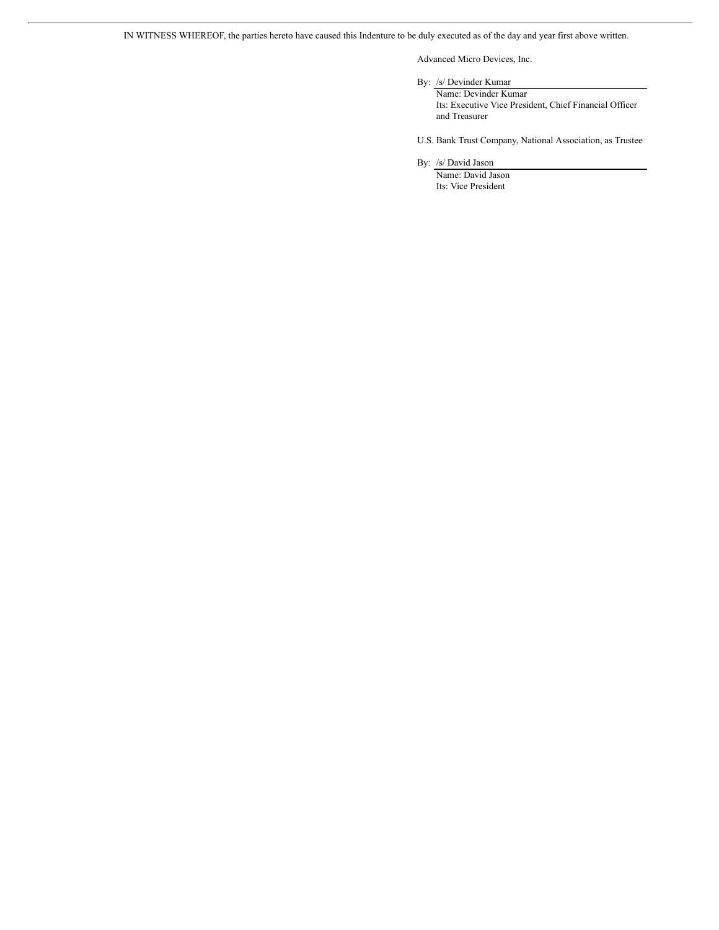IN WITNESS WHEREOF, the parties hereto have caused this Indenture to be duly executed as of the day and year first above written.

Advanced Micro Devices, Inc.

By: /s/ Devinder Kumar

Name: Devinder Kumar Its: Executive Vice President, Chief Financial Officer and Treasurer

U.S. Bank Trust Company, National Association, as Trustee

By: /s/ David Jason

Name: David Jason Its: Vice President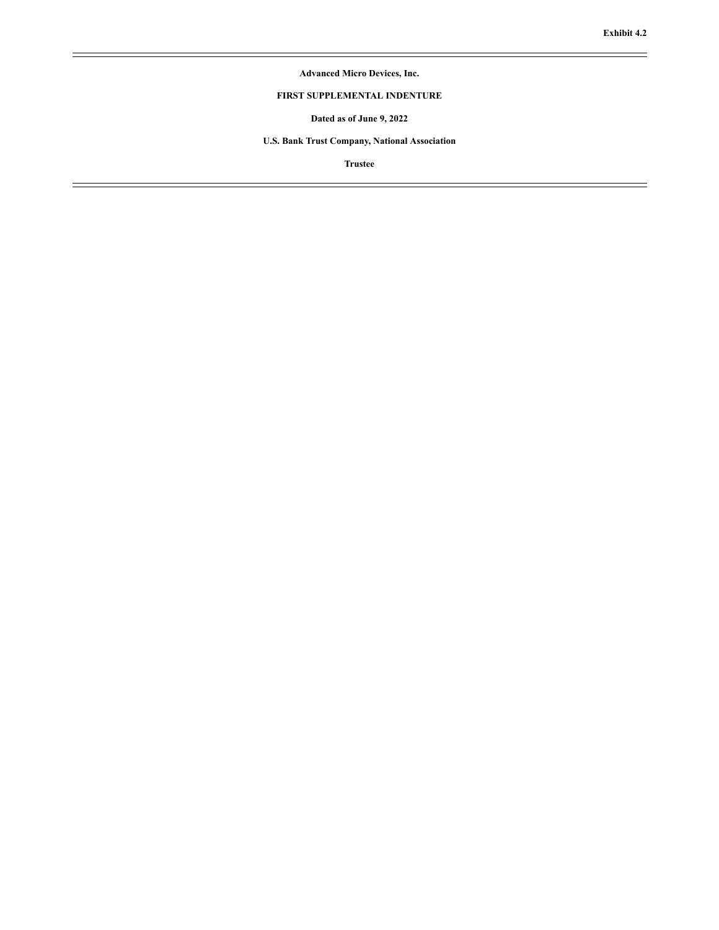$\equiv$ 

# **Advanced Micro Devices, Inc.**

# **FIRST SUPPLEMENTAL INDENTURE**

**Dated as of June 9, 2022**

**U.S. Bank Trust Company, National Association**

**Trustee**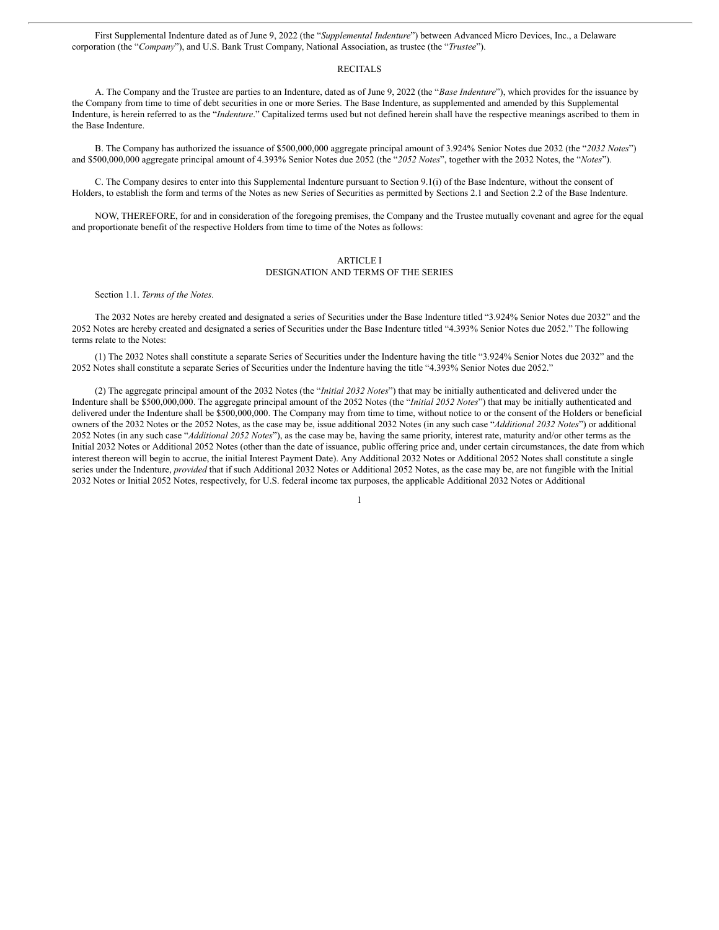First Supplemental Indenture dated as of June 9, 2022 (the "*Supplemental Indenture*") between Advanced Micro Devices, Inc., a Delaware corporation (the "*Company*"), and U.S. Bank Trust Company, National Association, as trustee (the "*Trustee*").

### **RECITALS**

A. The Company and the Trustee are parties to an Indenture, dated as of June 9, 2022 (the "*Base Indenture*"), which provides for the issuance by the Company from time to time of debt securities in one or more Series. The Base Indenture, as supplemented and amended by this Supplemental Indenture, is herein referred to as the "*Indenture*." Capitalized terms used but not defined herein shall have the respective meanings ascribed to them in the Base Indenture.

B. The Company has authorized the issuance of \$500,000,000 aggregate principal amount of 3.924% Senior Notes due 2032 (the "*2032 Notes*") and \$500,000,000 aggregate principal amount of 4.393% Senior Notes due 2052 (the "*2052 Notes*", together with the 2032 Notes, the "*Notes*").

C. The Company desires to enter into this Supplemental Indenture pursuant to Section 9.1(i) of the Base Indenture, without the consent of Holders, to establish the form and terms of the Notes as new Series of Securities as permitted by Sections 2.1 and Section 2.2 of the Base Indenture.

NOW, THEREFORE, for and in consideration of the foregoing premises, the Company and the Trustee mutually covenant and agree for the equal and proportionate benefit of the respective Holders from time to time of the Notes as follows:

### ARTICLE I

#### DESIGNATION AND TERMS OF THE SERIES

Section 1.1. *Terms of the Notes.*

The 2032 Notes are hereby created and designated a series of Securities under the Base Indenture titled "3.924% Senior Notes due 2032" and the 2052 Notes are hereby created and designated a series of Securities under the Base Indenture titled "4.393% Senior Notes due 2052." The following terms relate to the Notes:

(1) The 2032 Notes shall constitute a separate Series of Securities under the Indenture having the title "3.924% Senior Notes due 2032" and the 2052 Notes shall constitute a separate Series of Securities under the Indenture having the title "4.393% Senior Notes due 2052."

(2) The aggregate principal amount of the 2032 Notes (the "*Initial 2032 Notes*") that may be initially authenticated and delivered under the Indenture shall be \$500,000,000. The aggregate principal amount of the 2052 Notes (the "*Initial 2052 Notes*") that may be initially authenticated and delivered under the Indenture shall be \$500,000,000. The Company may from time to time, without notice to or the consent of the Holders or beneficial owners of the 2032 Notes or the 2052 Notes, as the case may be, issue additional 2032 Notes (in any such case "*Additional 2032 Notes*") or additional 2052 Notes (in any such case "*Additional 2052 Notes*"), as the case may be, having the same priority, interest rate, maturity and/or other terms as the Initial 2032 Notes or Additional 2052 Notes (other than the date of issuance, public offering price and, under certain circumstances, the date from which interest thereon will begin to accrue, the initial Interest Payment Date). Any Additional 2032 Notes or Additional 2052 Notes shall constitute a single series under the Indenture, *provided* that if such Additional 2032 Notes or Additional 2052 Notes, as the case may be, are not fungible with the Initial 2032 Notes or Initial 2052 Notes, respectively, for U.S. federal income tax purposes, the applicable Additional 2032 Notes or Additional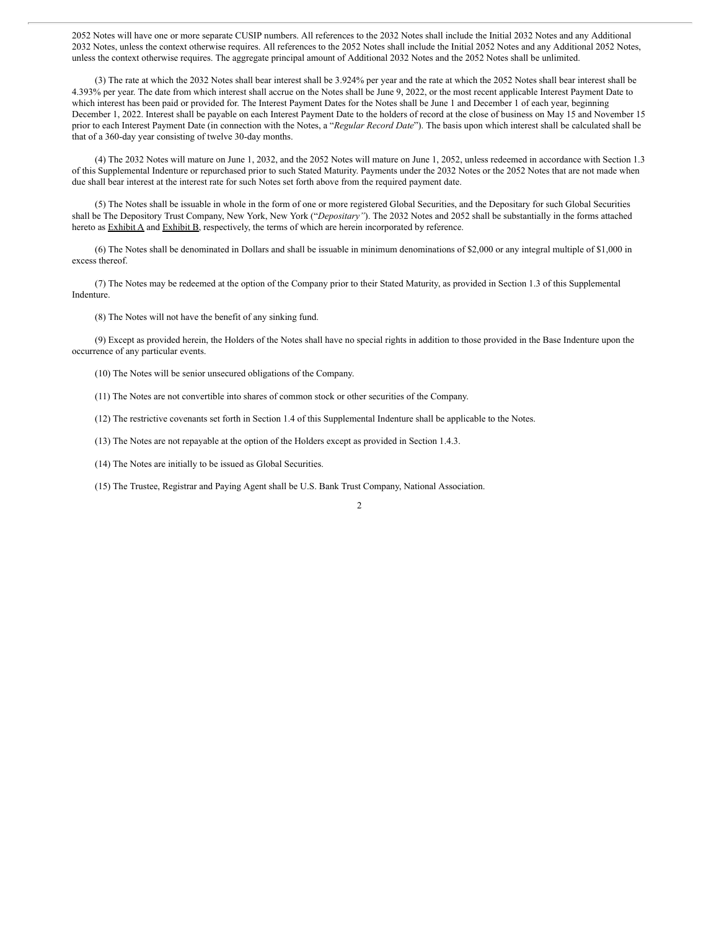2052 Notes will have one or more separate CUSIP numbers. All references to the 2032 Notes shall include the Initial 2032 Notes and any Additional 2032 Notes, unless the context otherwise requires. All references to the 2052 Notes shall include the Initial 2052 Notes and any Additional 2052 Notes, unless the context otherwise requires. The aggregate principal amount of Additional 2032 Notes and the 2052 Notes shall be unlimited.

(3) The rate at which the 2032 Notes shall bear interest shall be 3.924% per year and the rate at which the 2052 Notes shall bear interest shall be 4.393% per year. The date from which interest shall accrue on the Notes shall be June 9, 2022, or the most recent applicable Interest Payment Date to which interest has been paid or provided for. The Interest Payment Dates for the Notes shall be June 1 and December 1 of each year, beginning December 1, 2022. Interest shall be payable on each Interest Payment Date to the holders of record at the close of business on May 15 and November 15 prior to each Interest Payment Date (in connection with the Notes, a "*Regular Record Date*"). The basis upon which interest shall be calculated shall be that of a 360-day year consisting of twelve 30-day months.

(4) The 2032 Notes will mature on June 1, 2032, and the 2052 Notes will mature on June 1, 2052, unless redeemed in accordance with Section 1.3 of this Supplemental Indenture or repurchased prior to such Stated Maturity. Payments under the 2032 Notes or the 2052 Notes that are not made when due shall bear interest at the interest rate for such Notes set forth above from the required payment date.

(5) The Notes shall be issuable in whole in the form of one or more registered Global Securities, and the Depositary for such Global Securities shall be The Depository Trust Company, New York, New York ("*Depositary"*). The 2032 Notes and 2052 shall be substantially in the forms attached hereto as **Exhibit A** and **Exhibit B**, respectively, the terms of which are herein incorporated by reference.

(6) The Notes shall be denominated in Dollars and shall be issuable in minimum denominations of \$2,000 or any integral multiple of \$1,000 in excess thereof.

(7) The Notes may be redeemed at the option of the Company prior to their Stated Maturity, as provided in Section 1.3 of this Supplemental Indenture.

(8) The Notes will not have the benefit of any sinking fund.

(9) Except as provided herein, the Holders of the Notes shall have no special rights in addition to those provided in the Base Indenture upon the occurrence of any particular events.

(10) The Notes will be senior unsecured obligations of the Company.

(11) The Notes are not convertible into shares of common stock or other securities of the Company.

(12) The restrictive covenants set forth in Section 1.4 of this Supplemental Indenture shall be applicable to the Notes.

(13) The Notes are not repayable at the option of the Holders except as provided in Section 1.4.3.

(14) The Notes are initially to be issued as Global Securities.

(15) The Trustee, Registrar and Paying Agent shall be U.S. Bank Trust Company, National Association.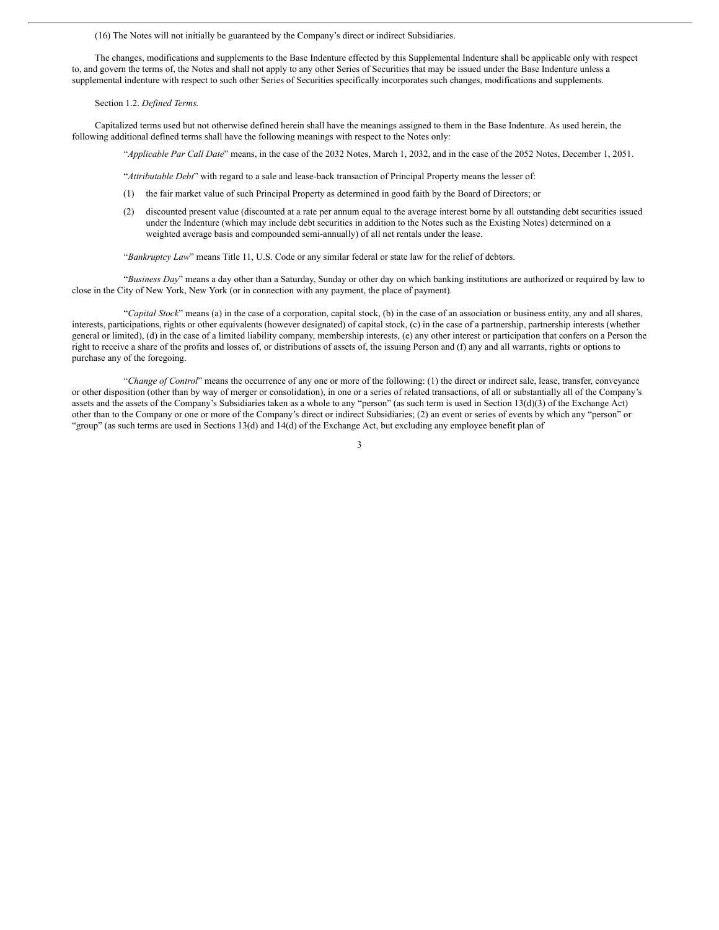(16) The Notes will not initially be guaranteed by the Company's direct or indirect Subsidiaries.

The changes, modifications and supplements to the Base Indenture effected by this Supplemental Indenture shall be applicable only with respect to, and govern the terms of, the Notes and shall not apply to any other Series of Securities that may be issued under the Base Indenture unless a supplemental indenture with respect to such other Series of Securities specifically incorporates such changes, modifications and supplements.

Section 1.2. *Defined Terms.*

Capitalized terms used but not otherwise defined herein shall have the meanings assigned to them in the Base Indenture. As used herein, the following additional defined terms shall have the following meanings with respect to the Notes only:

"*Applicable Par Call Date*" means, in the case of the 2032 Notes, March 1, 2032, and in the case of the 2052 Notes, December 1, 2051.

"*Attributable Debt*" with regard to a sale and lease-back transaction of Principal Property means the lesser of:

- (1) the fair market value of such Principal Property as determined in good faith by the Board of Directors; or
- (2) discounted present value (discounted at a rate per annum equal to the average interest borne by all outstanding debt securities issued under the Indenture (which may include debt securities in addition to the Notes such as the Existing Notes) determined on a weighted average basis and compounded semi-annually) of all net rentals under the lease.

"*Bankruptcy Law*" means Title 11, U.S. Code or any similar federal or state law for the relief of debtors.

"*Business Day*" means a day other than a Saturday, Sunday or other day on which banking institutions are authorized or required by law to close in the City of New York, New York (or in connection with any payment, the place of payment).

"*Capital Stock*" means (a) in the case of a corporation, capital stock, (b) in the case of an association or business entity, any and all shares, interests, participations, rights or other equivalents (however designated) of capital stock, (c) in the case of a partnership, partnership interests (whether general or limited), (d) in the case of a limited liability company, membership interests, (e) any other interest or participation that confers on a Person the right to receive a share of the profits and losses of, or distributions of assets of, the issuing Person and (f) any and all warrants, rights or options to purchase any of the foregoing.

"*Change of Control*" means the occurrence of any one or more of the following: (1) the direct or indirect sale, lease, transfer, conveyance or other disposition (other than by way of merger or consolidation), in one or a series of related transactions, of all or substantially all of the Company's assets and the assets of the Company's Subsidiaries taken as a whole to any "person" (as such term is used in Section 13(d)(3) of the Exchange Act) other than to the Company or one or more of the Company's direct or indirect Subsidiaries; (2) an event or series of events by which any "person" or "group" (as such terms are used in Sections 13(d) and 14(d) of the Exchange Act, but excluding any employee benefit plan of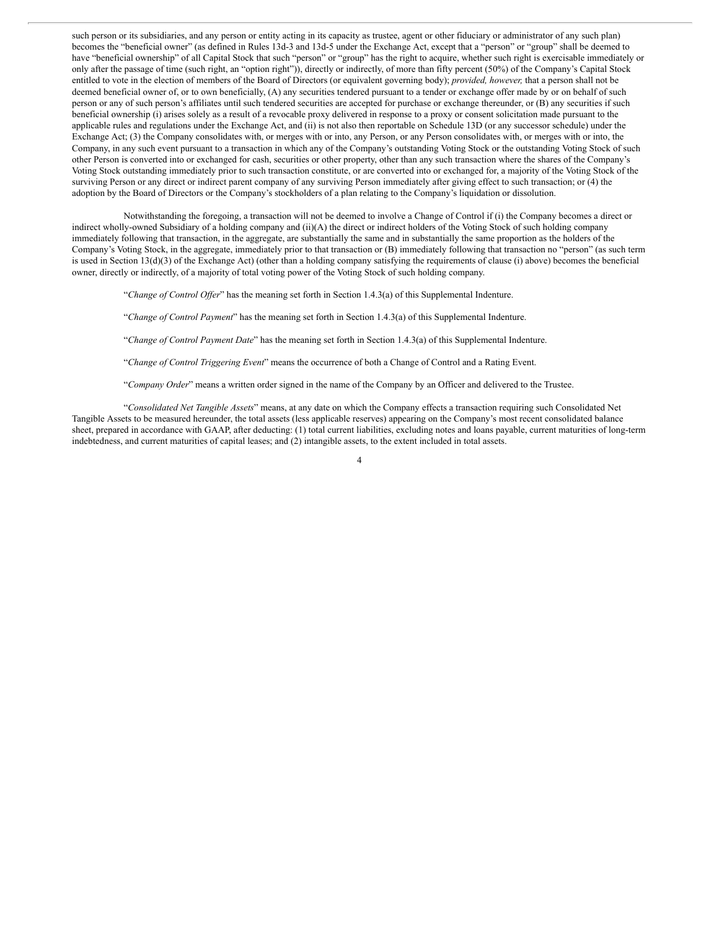such person or its subsidiaries, and any person or entity acting in its capacity as trustee, agent or other fiduciary or administrator of any such plan) becomes the "beneficial owner" (as defined in Rules 13d-3 and 13d-5 under the Exchange Act, except that a "person" or "group" shall be deemed to have "beneficial ownership" of all Capital Stock that such "person" or "group" has the right to acquire, whether such right is exercisable immediately or only after the passage of time (such right, an "option right")), directly or indirectly, of more than fifty percent (50%) of the Company's Capital Stock entitled to vote in the election of members of the Board of Directors (or equivalent governing body); *provided, however,* that a person shall not be deemed beneficial owner of, or to own beneficially, (A) any securities tendered pursuant to a tender or exchange offer made by or on behalf of such person or any of such person's affiliates until such tendered securities are accepted for purchase or exchange thereunder, or (B) any securities if such beneficial ownership (i) arises solely as a result of a revocable proxy delivered in response to a proxy or consent solicitation made pursuant to the applicable rules and regulations under the Exchange Act, and (ii) is not also then reportable on Schedule 13D (or any successor schedule) under the Exchange Act; (3) the Company consolidates with, or merges with or into, any Person, or any Person consolidates with, or merges with or into, the Company, in any such event pursuant to a transaction in which any of the Company's outstanding Voting Stock or the outstanding Voting Stock of such other Person is converted into or exchanged for cash, securities or other property, other than any such transaction where the shares of the Company's Voting Stock outstanding immediately prior to such transaction constitute, or are converted into or exchanged for, a majority of the Voting Stock of the surviving Person or any direct or indirect parent company of any surviving Person immediately after giving effect to such transaction; or (4) the adoption by the Board of Directors or the Company's stockholders of a plan relating to the Company's liquidation or dissolution.

Notwithstanding the foregoing, a transaction will not be deemed to involve a Change of Control if (i) the Company becomes a direct or indirect wholly-owned Subsidiary of a holding company and (ii)(A) the direct or indirect holders of the Voting Stock of such holding company immediately following that transaction, in the aggregate, are substantially the same and in substantially the same proportion as the holders of the Company's Voting Stock, in the aggregate, immediately prior to that transaction or (B) immediately following that transaction no "person" (as such term is used in Section  $13(d)(3)$  of the Exchange Act) (other than a holding company satisfying the requirements of clause (i) above) becomes the beneficial owner, directly or indirectly, of a majority of total voting power of the Voting Stock of such holding company.

"*Change of Control Of er*" has the meaning set forth in Section 1.4.3(a) of this Supplemental Indenture.

"*Change of Control Payment*" has the meaning set forth in Section 1.4.3(a) of this Supplemental Indenture.

"*Change of Control Payment Date*" has the meaning set forth in Section 1.4.3(a) of this Supplemental Indenture.

"*Change of Control Triggering Event*" means the occurrence of both a Change of Control and a Rating Event.

"*Company Order*" means a written order signed in the name of the Company by an Officer and delivered to the Trustee.

"*Consolidated Net Tangible Assets*" means, at any date on which the Company effects a transaction requiring such Consolidated Net Tangible Assets to be measured hereunder, the total assets (less applicable reserves) appearing on the Company's most recent consolidated balance sheet, prepared in accordance with GAAP, after deducting: (1) total current liabilities, excluding notes and loans payable, current maturities of long-term indebtedness, and current maturities of capital leases; and (2) intangible assets, to the extent included in total assets.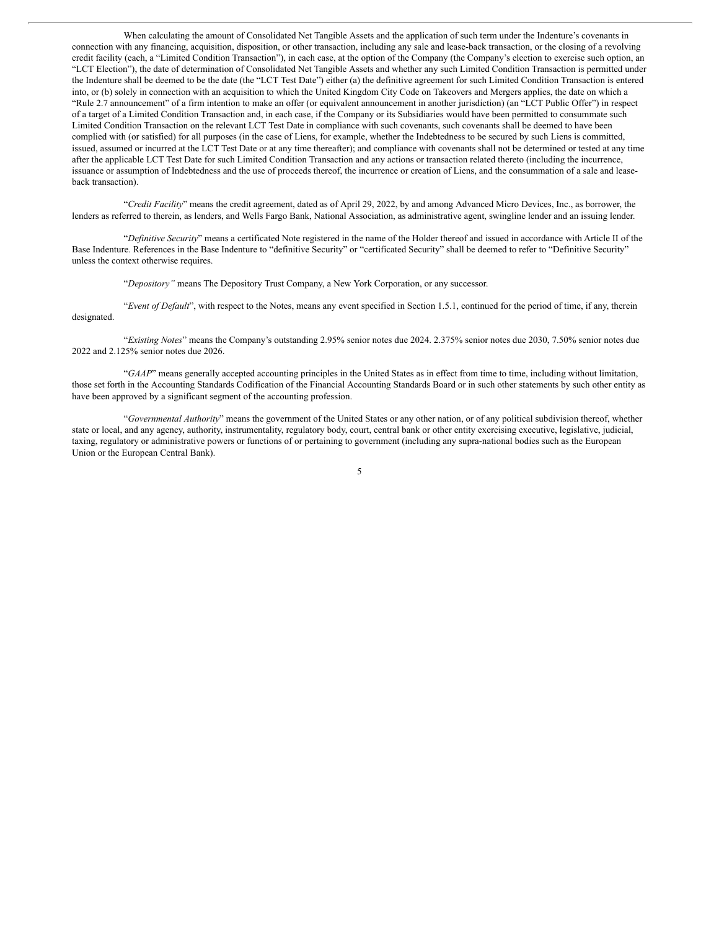When calculating the amount of Consolidated Net Tangible Assets and the application of such term under the Indenture's covenants in connection with any financing, acquisition, disposition, or other transaction, including any sale and lease-back transaction, or the closing of a revolving credit facility (each, a "Limited Condition Transaction"), in each case, at the option of the Company (the Company's election to exercise such option, an "LCT Election"), the date of determination of Consolidated Net Tangible Assets and whether any such Limited Condition Transaction is permitted under the Indenture shall be deemed to be the date (the "LCT Test Date") either (a) the definitive agreement for such Limited Condition Transaction is entered into, or (b) solely in connection with an acquisition to which the United Kingdom City Code on Takeovers and Mergers applies, the date on which a "Rule 2.7 announcement" of a firm intention to make an offer (or equivalent announcement in another jurisdiction) (an "LCT Public Offer") in respect of a target of a Limited Condition Transaction and, in each case, if the Company or its Subsidiaries would have been permitted to consummate such Limited Condition Transaction on the relevant LCT Test Date in compliance with such covenants, such covenants shall be deemed to have been complied with (or satisfied) for all purposes (in the case of Liens, for example, whether the Indebtedness to be secured by such Liens is committed, issued, assumed or incurred at the LCT Test Date or at any time thereafter); and compliance with covenants shall not be determined or tested at any time after the applicable LCT Test Date for such Limited Condition Transaction and any actions or transaction related thereto (including the incurrence, issuance or assumption of Indebtedness and the use of proceeds thereof, the incurrence or creation of Liens, and the consummation of a sale and leaseback transaction).

"*Credit Facility*" means the credit agreement, dated as of April 29, 2022, by and among Advanced Micro Devices, Inc., as borrower, the lenders as referred to therein, as lenders, and Wells Fargo Bank, National Association, as administrative agent, swingline lender and an issuing lender.

"*Definitive Security*" means a certificated Note registered in the name of the Holder thereof and issued in accordance with Article II of the Base Indenture. References in the Base Indenture to "definitive Security" or "certificated Security" shall be deemed to refer to "Definitive Security" unless the context otherwise requires.

"*Depository"* means The Depository Trust Company, a New York Corporation, or any successor.

"*Event of Default*", with respect to the Notes, means any event specified in Section 1.5.1, continued for the period of time, if any, therein designated.

"*Existing Notes*" means the Company's outstanding 2.95% senior notes due 2024. 2.375% senior notes due 2030, 7.50% senior notes due 2022 and 2.125% senior notes due 2026.

"*GAAP*" means generally accepted accounting principles in the United States as in effect from time to time, including without limitation, those set forth in the Accounting Standards Codification of the Financial Accounting Standards Board or in such other statements by such other entity as have been approved by a significant segment of the accounting profession.

"*Governmental Authority*" means the government of the United States or any other nation, or of any political subdivision thereof, whether state or local, and any agency, authority, instrumentality, regulatory body, court, central bank or other entity exercising executive, legislative, judicial, taxing, regulatory or administrative powers or functions of or pertaining to government (including any supra-national bodies such as the European Union or the European Central Bank).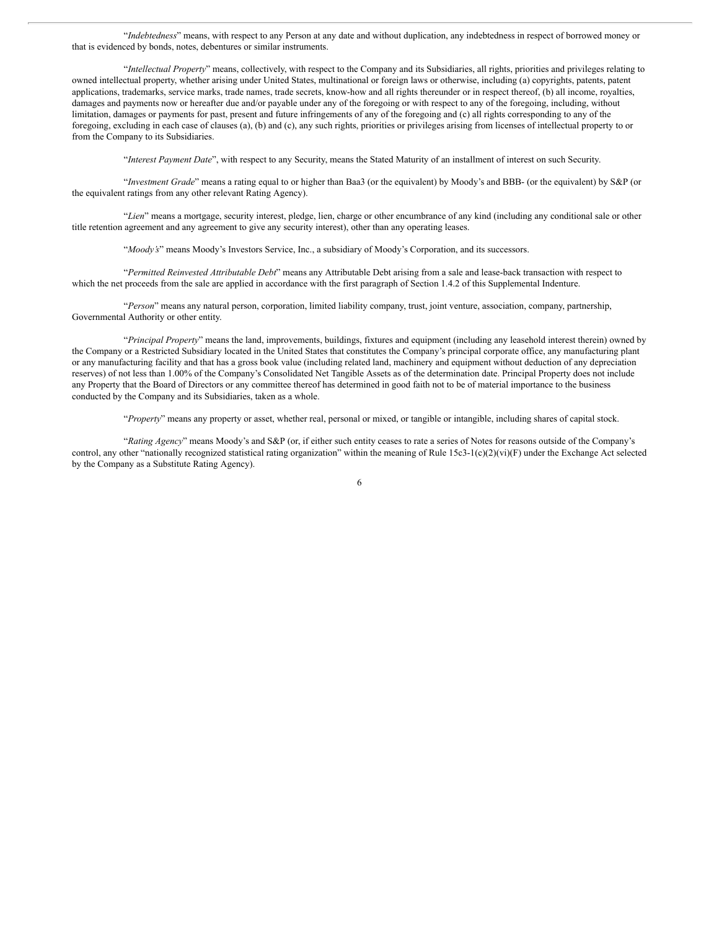"*Indebtedness*" means, with respect to any Person at any date and without duplication, any indebtedness in respect of borrowed money or that is evidenced by bonds, notes, debentures or similar instruments.

"*Intellectual Property*" means, collectively, with respect to the Company and its Subsidiaries, all rights, priorities and privileges relating to owned intellectual property, whether arising under United States, multinational or foreign laws or otherwise, including (a) copyrights, patents, patent applications, trademarks, service marks, trade names, trade secrets, know-how and all rights thereunder or in respect thereof, (b) all income, royalties, damages and payments now or hereafter due and/or payable under any of the foregoing or with respect to any of the foregoing, including, without limitation, damages or payments for past, present and future infringements of any of the foregoing and (c) all rights corresponding to any of the foregoing, excluding in each case of clauses (a), (b) and (c), any such rights, priorities or privileges arising from licenses of intellectual property to or from the Company to its Subsidiaries.

"*Interest Payment Date*", with respect to any Security, means the Stated Maturity of an installment of interest on such Security.

"*Investment Grade*" means a rating equal to or higher than Baa3 (or the equivalent) by Moody's and BBB- (or the equivalent) by S&P (or the equivalent ratings from any other relevant Rating Agency).

"*Lien*" means a mortgage, security interest, pledge, lien, charge or other encumbrance of any kind (including any conditional sale or other title retention agreement and any agreement to give any security interest), other than any operating leases.

"*Moody's*" means Moody's Investors Service, Inc., a subsidiary of Moody's Corporation, and its successors.

"*Permitted Reinvested Attributable Debt*" means any Attributable Debt arising from a sale and lease-back transaction with respect to which the net proceeds from the sale are applied in accordance with the first paragraph of Section 1.4.2 of this Supplemental Indenture.

"*Person*" means any natural person, corporation, limited liability company, trust, joint venture, association, company, partnership, Governmental Authority or other entity.

"*Principal Property*" means the land, improvements, buildings, fixtures and equipment (including any leasehold interest therein) owned by the Company or a Restricted Subsidiary located in the United States that constitutes the Company's principal corporate office, any manufacturing plant or any manufacturing facility and that has a gross book value (including related land, machinery and equipment without deduction of any depreciation reserves) of not less than 1.00% of the Company's Consolidated Net Tangible Assets as of the determination date. Principal Property does not include any Property that the Board of Directors or any committee thereof has determined in good faith not to be of material importance to the business conducted by the Company and its Subsidiaries, taken as a whole.

"*Property*" means any property or asset, whether real, personal or mixed, or tangible or intangible, including shares of capital stock.

"*Rating Agency*" means Moody's and S&P (or, if either such entity ceases to rate a series of Notes for reasons outside of the Company's control, any other "nationally recognized statistical rating organization" within the meaning of Rule 15c3-1(c)(2)(vi)(F) under the Exchange Act selected by the Company as a Substitute Rating Agency).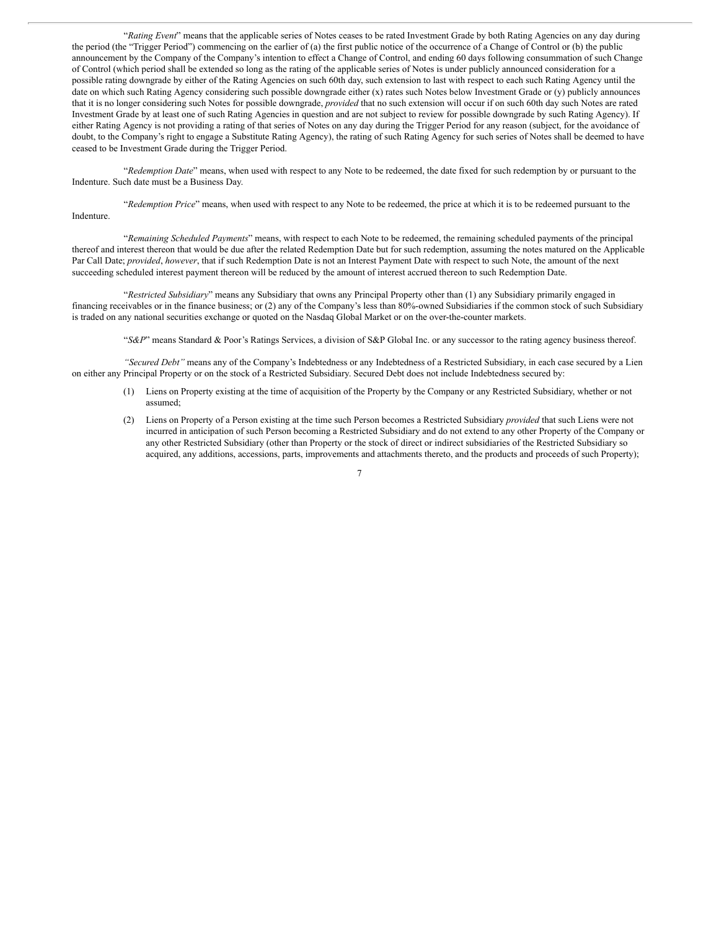"*Rating Event*" means that the applicable series of Notes ceases to be rated Investment Grade by both Rating Agencies on any day during the period (the "Trigger Period") commencing on the earlier of (a) the first public notice of the occurrence of a Change of Control or (b) the public announcement by the Company of the Company's intention to effect a Change of Control, and ending 60 days following consummation of such Change of Control (which period shall be extended so long as the rating of the applicable series of Notes is under publicly announced consideration for a possible rating downgrade by either of the Rating Agencies on such 60th day, such extension to last with respect to each such Rating Agency until the date on which such Rating Agency considering such possible downgrade either (x) rates such Notes below Investment Grade or (y) publicly announces that it is no longer considering such Notes for possible downgrade, *provided* that no such extension will occur if on such 60th day such Notes are rated Investment Grade by at least one of such Rating Agencies in question and are not subject to review for possible downgrade by such Rating Agency). If either Rating Agency is not providing a rating of that series of Notes on any day during the Trigger Period for any reason (subject, for the avoidance of doubt, to the Company's right to engage a Substitute Rating Agency), the rating of such Rating Agency for such series of Notes shall be deemed to have ceased to be Investment Grade during the Trigger Period.

"*Redemption Date*" means, when used with respect to any Note to be redeemed, the date fixed for such redemption by or pursuant to the Indenture. Such date must be a Business Day.

"*Redemption Price*" means, when used with respect to any Note to be redeemed, the price at which it is to be redeemed pursuant to the Indenture.

"*Remaining Scheduled Payments*" means, with respect to each Note to be redeemed, the remaining scheduled payments of the principal thereof and interest thereon that would be due after the related Redemption Date but for such redemption, assuming the notes matured on the Applicable Par Call Date; *provided*, *however*, that if such Redemption Date is not an Interest Payment Date with respect to such Note, the amount of the next succeeding scheduled interest payment thereon will be reduced by the amount of interest accrued thereon to such Redemption Date.

"*Restricted Subsidiary*" means any Subsidiary that owns any Principal Property other than (1) any Subsidiary primarily engaged in financing receivables or in the finance business; or (2) any of the Company's less than 80%-owned Subsidiaries if the common stock of such Subsidiary is traded on any national securities exchange or quoted on the Nasdaq Global Market or on the over-the-counter markets.

"*S&P*" means Standard & Poor's Ratings Services, a division of S&P Global Inc. or any successor to the rating agency business thereof.

*"Secured Debt"* means any of the Company's Indebtedness or any Indebtedness of a Restricted Subsidiary, in each case secured by a Lien on either any Principal Property or on the stock of a Restricted Subsidiary. Secured Debt does not include Indebtedness secured by:

- (1) Liens on Property existing at the time of acquisition of the Property by the Company or any Restricted Subsidiary, whether or not assumed;
- (2) Liens on Property of a Person existing at the time such Person becomes a Restricted Subsidiary *provided* that such Liens were not incurred in anticipation of such Person becoming a Restricted Subsidiary and do not extend to any other Property of the Company or any other Restricted Subsidiary (other than Property or the stock of direct or indirect subsidiaries of the Restricted Subsidiary so acquired, any additions, accessions, parts, improvements and attachments thereto, and the products and proceeds of such Property);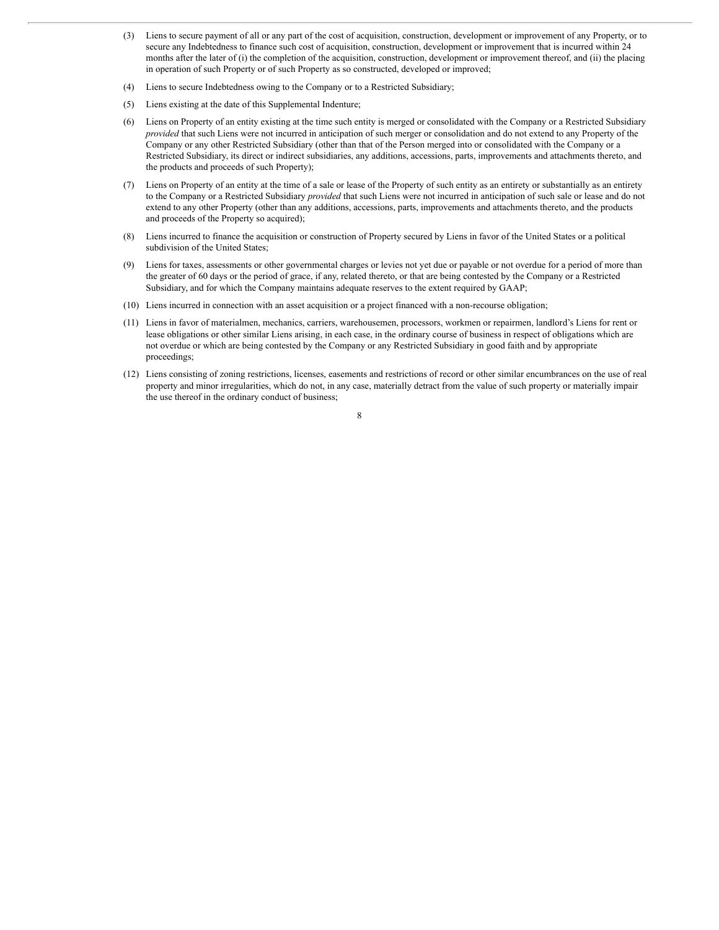- (3) Liens to secure payment of all or any part of the cost of acquisition, construction, development or improvement of any Property, or to secure any Indebtedness to finance such cost of acquisition, construction, development or improvement that is incurred within 24 months after the later of (i) the completion of the acquisition, construction, development or improvement thereof, and (ii) the placing in operation of such Property or of such Property as so constructed, developed or improved;
- (4) Liens to secure Indebtedness owing to the Company or to a Restricted Subsidiary;
- (5) Liens existing at the date of this Supplemental Indenture;
- (6) Liens on Property of an entity existing at the time such entity is merged or consolidated with the Company or a Restricted Subsidiary *provided* that such Liens were not incurred in anticipation of such merger or consolidation and do not extend to any Property of the Company or any other Restricted Subsidiary (other than that of the Person merged into or consolidated with the Company or a Restricted Subsidiary, its direct or indirect subsidiaries, any additions, accessions, parts, improvements and attachments thereto, and the products and proceeds of such Property);
- (7) Liens on Property of an entity at the time of a sale or lease of the Property of such entity as an entirety or substantially as an entirety to the Company or a Restricted Subsidiary *provided* that such Liens were not incurred in anticipation of such sale or lease and do not extend to any other Property (other than any additions, accessions, parts, improvements and attachments thereto, and the products and proceeds of the Property so acquired);
- (8) Liens incurred to finance the acquisition or construction of Property secured by Liens in favor of the United States or a political subdivision of the United States;
- (9) Liens for taxes, assessments or other governmental charges or levies not yet due or payable or not overdue for a period of more than the greater of 60 days or the period of grace, if any, related thereto, or that are being contested by the Company or a Restricted Subsidiary, and for which the Company maintains adequate reserves to the extent required by GAAP;
- (10) Liens incurred in connection with an asset acquisition or a project financed with a non-recourse obligation;
- (11) Liens in favor of materialmen, mechanics, carriers, warehousemen, processors, workmen or repairmen, landlord's Liens for rent or lease obligations or other similar Liens arising, in each case, in the ordinary course of business in respect of obligations which are not overdue or which are being contested by the Company or any Restricted Subsidiary in good faith and by appropriate proceedings;
- (12) Liens consisting of zoning restrictions, licenses, easements and restrictions of record or other similar encumbrances on the use of real property and minor irregularities, which do not, in any case, materially detract from the value of such property or materially impair the use thereof in the ordinary conduct of business;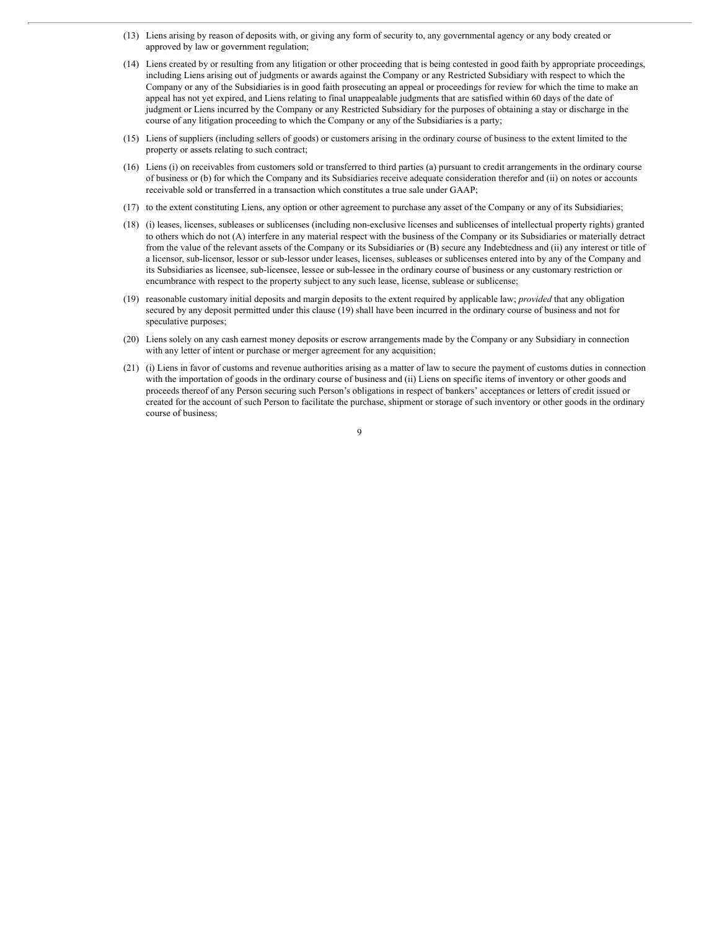- (13) Liens arising by reason of deposits with, or giving any form of security to, any governmental agency or any body created or approved by law or government regulation;
- (14) Liens created by or resulting from any litigation or other proceeding that is being contested in good faith by appropriate proceedings, including Liens arising out of judgments or awards against the Company or any Restricted Subsidiary with respect to which the Company or any of the Subsidiaries is in good faith prosecuting an appeal or proceedings for review for which the time to make an appeal has not yet expired, and Liens relating to final unappealable judgments that are satisfied within 60 days of the date of judgment or Liens incurred by the Company or any Restricted Subsidiary for the purposes of obtaining a stay or discharge in the course of any litigation proceeding to which the Company or any of the Subsidiaries is a party;
- (15) Liens of suppliers (including sellers of goods) or customers arising in the ordinary course of business to the extent limited to the property or assets relating to such contract;
- (16) Liens (i) on receivables from customers sold or transferred to third parties (a) pursuant to credit arrangements in the ordinary course of business or (b) for which the Company and its Subsidiaries receive adequate consideration therefor and (ii) on notes or accounts receivable sold or transferred in a transaction which constitutes a true sale under GAAP;
- (17) to the extent constituting Liens, any option or other agreement to purchase any asset of the Company or any of its Subsidiaries;
- (18) (i) leases, licenses, subleases or sublicenses (including non-exclusive licenses and sublicenses of intellectual property rights) granted to others which do not (A) interfere in any material respect with the business of the Company or its Subsidiaries or materially detract from the value of the relevant assets of the Company or its Subsidiaries or (B) secure any Indebtedness and (ii) any interest or title of a licensor, sub-licensor, lessor or sub-lessor under leases, licenses, subleases or sublicenses entered into by any of the Company and its Subsidiaries as licensee, sub-licensee, lessee or sub-lessee in the ordinary course of business or any customary restriction or encumbrance with respect to the property subject to any such lease, license, sublease or sublicense;
- (19) reasonable customary initial deposits and margin deposits to the extent required by applicable law; *provided* that any obligation secured by any deposit permitted under this clause (19) shall have been incurred in the ordinary course of business and not for speculative purposes;
- (20) Liens solely on any cash earnest money deposits or escrow arrangements made by the Company or any Subsidiary in connection with any letter of intent or purchase or merger agreement for any acquisition;
- (21) (i) Liens in favor of customs and revenue authorities arising as a matter of law to secure the payment of customs duties in connection with the importation of goods in the ordinary course of business and (ii) Liens on specific items of inventory or other goods and proceeds thereof of any Person securing such Person's obligations in respect of bankers' acceptances or letters of credit issued or created for the account of such Person to facilitate the purchase, shipment or storage of such inventory or other goods in the ordinary course of business;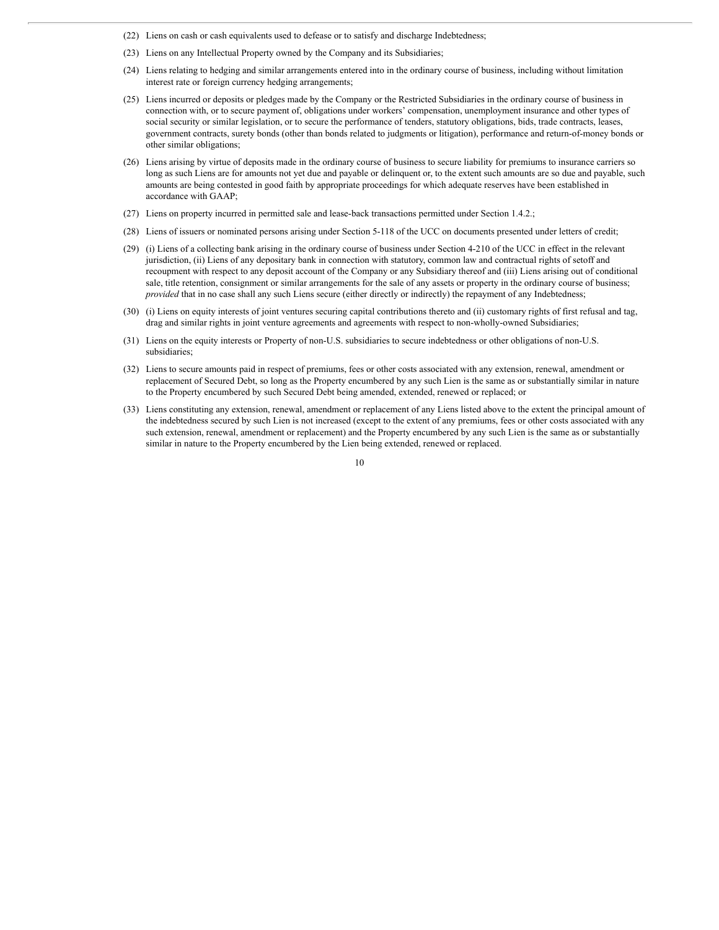- (22) Liens on cash or cash equivalents used to defease or to satisfy and discharge Indebtedness;
- (23) Liens on any Intellectual Property owned by the Company and its Subsidiaries;
- (24) Liens relating to hedging and similar arrangements entered into in the ordinary course of business, including without limitation interest rate or foreign currency hedging arrangements;
- (25) Liens incurred or deposits or pledges made by the Company or the Restricted Subsidiaries in the ordinary course of business in connection with, or to secure payment of, obligations under workers' compensation, unemployment insurance and other types of social security or similar legislation, or to secure the performance of tenders, statutory obligations, bids, trade contracts, leases, government contracts, surety bonds (other than bonds related to judgments or litigation), performance and return-of-money bonds or other similar obligations;
- (26) Liens arising by virtue of deposits made in the ordinary course of business to secure liability for premiums to insurance carriers so long as such Liens are for amounts not yet due and payable or delinquent or, to the extent such amounts are so due and payable, such amounts are being contested in good faith by appropriate proceedings for which adequate reserves have been established in accordance with GAAP;
- (27) Liens on property incurred in permitted sale and lease-back transactions permitted under Section 1.4.2.;
- (28) Liens of issuers or nominated persons arising under Section 5-118 of the UCC on documents presented under letters of credit;
- (29) (i) Liens of a collecting bank arising in the ordinary course of business under Section 4-210 of the UCC in effect in the relevant jurisdiction, (ii) Liens of any depositary bank in connection with statutory, common law and contractual rights of setoff and recoupment with respect to any deposit account of the Company or any Subsidiary thereof and (iii) Liens arising out of conditional sale, title retention, consignment or similar arrangements for the sale of any assets or property in the ordinary course of business; *provided* that in no case shall any such Liens secure (either directly or indirectly) the repayment of any Indebtedness;
- (30) (i) Liens on equity interests of joint ventures securing capital contributions thereto and (ii) customary rights of first refusal and tag, drag and similar rights in joint venture agreements and agreements with respect to non-wholly-owned Subsidiaries;
- (31) Liens on the equity interests or Property of non-U.S. subsidiaries to secure indebtedness or other obligations of non-U.S. subsidiaries;
- (32) Liens to secure amounts paid in respect of premiums, fees or other costs associated with any extension, renewal, amendment or replacement of Secured Debt, so long as the Property encumbered by any such Lien is the same as or substantially similar in nature to the Property encumbered by such Secured Debt being amended, extended, renewed or replaced; or
- (33) Liens constituting any extension, renewal, amendment or replacement of any Liens listed above to the extent the principal amount of the indebtedness secured by such Lien is not increased (except to the extent of any premiums, fees or other costs associated with any such extension, renewal, amendment or replacement) and the Property encumbered by any such Lien is the same as or substantially similar in nature to the Property encumbered by the Lien being extended, renewed or replaced.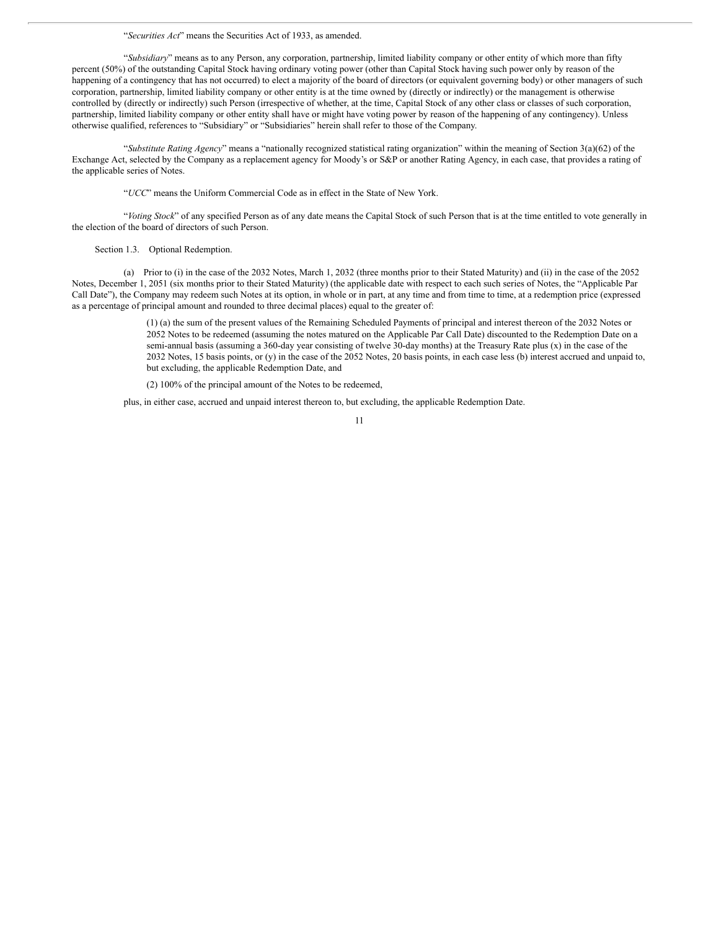"*Securities Act*" means the Securities Act of 1933, as amended.

"*Subsidiary*" means as to any Person, any corporation, partnership, limited liability company or other entity of which more than fifty percent (50%) of the outstanding Capital Stock having ordinary voting power (other than Capital Stock having such power only by reason of the happening of a contingency that has not occurred) to elect a majority of the board of directors (or equivalent governing body) or other managers of such corporation, partnership, limited liability company or other entity is at the time owned by (directly or indirectly) or the management is otherwise controlled by (directly or indirectly) such Person (irrespective of whether, at the time, Capital Stock of any other class or classes of such corporation, partnership, limited liability company or other entity shall have or might have voting power by reason of the happening of any contingency). Unless otherwise qualified, references to "Subsidiary" or "Subsidiaries" herein shall refer to those of the Company.

"*Substitute Rating Agency*" means a "nationally recognized statistical rating organization" within the meaning of Section 3(a)(62) of the Exchange Act, selected by the Company as a replacement agency for Moody's or S&P or another Rating Agency, in each case, that provides a rating of the applicable series of Notes.

"*UCC*" means the Uniform Commercial Code as in effect in the State of New York.

"*Voting Stock*" of any specified Person as of any date means the Capital Stock of such Person that is at the time entitled to vote generally in the election of the board of directors of such Person.

# Section 1.3. Optional Redemption.

(a) Prior to (i) in the case of the 2032 Notes, March 1, 2032 (three months prior to their Stated Maturity) and (ii) in the case of the 2052 Notes, December 1, 2051 (six months prior to their Stated Maturity) (the applicable date with respect to each such series of Notes, the "Applicable Par Call Date"), the Company may redeem such Notes at its option, in whole or in part, at any time and from time to time, at a redemption price (expressed as a percentage of principal amount and rounded to three decimal places) equal to the greater of:

> (1) (a) the sum of the present values of the Remaining Scheduled Payments of principal and interest thereon of the 2032 Notes or 2052 Notes to be redeemed (assuming the notes matured on the Applicable Par Call Date) discounted to the Redemption Date on a semi-annual basis (assuming a 360-day year consisting of twelve 30-day months) at the Treasury Rate plus (x) in the case of the 2032 Notes, 15 basis points, or (y) in the case of the 2052 Notes, 20 basis points, in each case less (b) interest accrued and unpaid to, but excluding, the applicable Redemption Date, and

(2) 100% of the principal amount of the Notes to be redeemed,

plus, in either case, accrued and unpaid interest thereon to, but excluding, the applicable Redemption Date.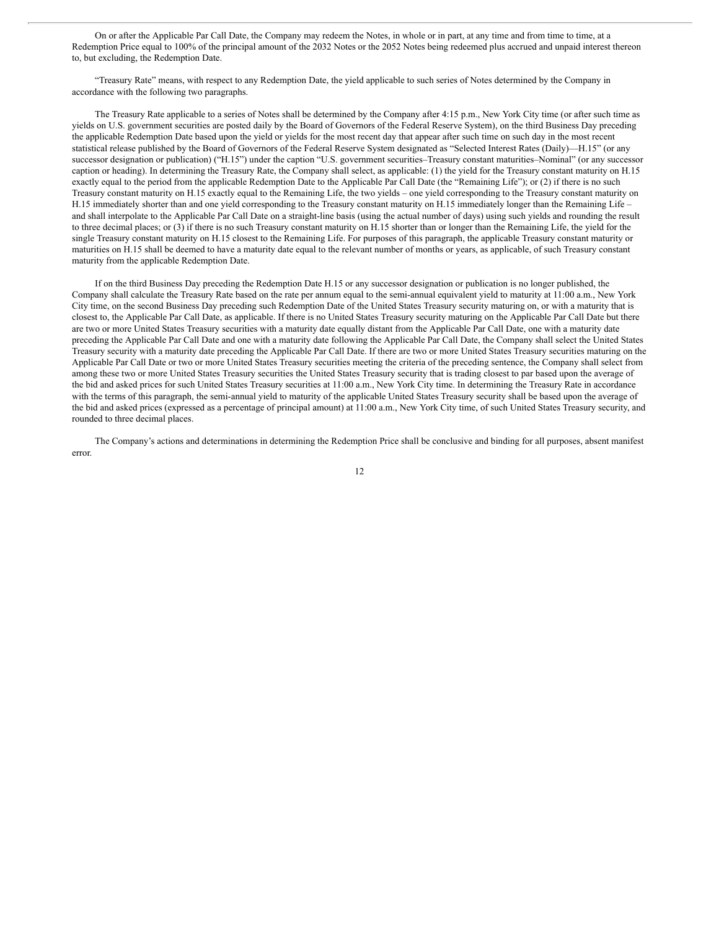On or after the Applicable Par Call Date, the Company may redeem the Notes, in whole or in part, at any time and from time to time, at a Redemption Price equal to 100% of the principal amount of the 2032 Notes or the 2052 Notes being redeemed plus accrued and unpaid interest thereon to, but excluding, the Redemption Date.

"Treasury Rate" means, with respect to any Redemption Date, the yield applicable to such series of Notes determined by the Company in accordance with the following two paragraphs.

The Treasury Rate applicable to a series of Notes shall be determined by the Company after 4:15 p.m., New York City time (or after such time as yields on U.S. government securities are posted daily by the Board of Governors of the Federal Reserve System), on the third Business Day preceding the applicable Redemption Date based upon the yield or yields for the most recent day that appear after such time on such day in the most recent statistical release published by the Board of Governors of the Federal Reserve System designated as "Selected Interest Rates (Daily)—H.15" (or any successor designation or publication) ("H.15") under the caption "U.S. government securities–Treasury constant maturities–Nominal" (or any successor caption or heading). In determining the Treasury Rate, the Company shall select, as applicable: (1) the yield for the Treasury constant maturity on H.15 exactly equal to the period from the applicable Redemption Date to the Applicable Par Call Date (the "Remaining Life"); or (2) if there is no such Treasury constant maturity on H.15 exactly equal to the Remaining Life, the two yields – one yield corresponding to the Treasury constant maturity on H.15 immediately shorter than and one yield corresponding to the Treasury constant maturity on H.15 immediately longer than the Remaining Life – and shall interpolate to the Applicable Par Call Date on a straight-line basis (using the actual number of days) using such yields and rounding the result to three decimal places; or (3) if there is no such Treasury constant maturity on H.15 shorter than or longer than the Remaining Life, the yield for the single Treasury constant maturity on H.15 closest to the Remaining Life. For purposes of this paragraph, the applicable Treasury constant maturity or maturities on H.15 shall be deemed to have a maturity date equal to the relevant number of months or years, as applicable, of such Treasury constant maturity from the applicable Redemption Date.

If on the third Business Day preceding the Redemption Date H.15 or any successor designation or publication is no longer published, the Company shall calculate the Treasury Rate based on the rate per annum equal to the semi-annual equivalent yield to maturity at 11:00 a.m., New York City time, on the second Business Day preceding such Redemption Date of the United States Treasury security maturing on, or with a maturity that is closest to, the Applicable Par Call Date, as applicable. If there is no United States Treasury security maturing on the Applicable Par Call Date but there are two or more United States Treasury securities with a maturity date equally distant from the Applicable Par Call Date, one with a maturity date preceding the Applicable Par Call Date and one with a maturity date following the Applicable Par Call Date, the Company shall select the United States Treasury security with a maturity date preceding the Applicable Par Call Date. If there are two or more United States Treasury securities maturing on the Applicable Par Call Date or two or more United States Treasury securities meeting the criteria of the preceding sentence, the Company shall select from among these two or more United States Treasury securities the United States Treasury security that is trading closest to par based upon the average of the bid and asked prices for such United States Treasury securities at 11:00 a.m., New York City time. In determining the Treasury Rate in accordance with the terms of this paragraph, the semi-annual yield to maturity of the applicable United States Treasury security shall be based upon the average of the bid and asked prices (expressed as a percentage of principal amount) at 11:00 a.m., New York City time, of such United States Treasury security, and rounded to three decimal places.

The Company's actions and determinations in determining the Redemption Price shall be conclusive and binding for all purposes, absent manifest error.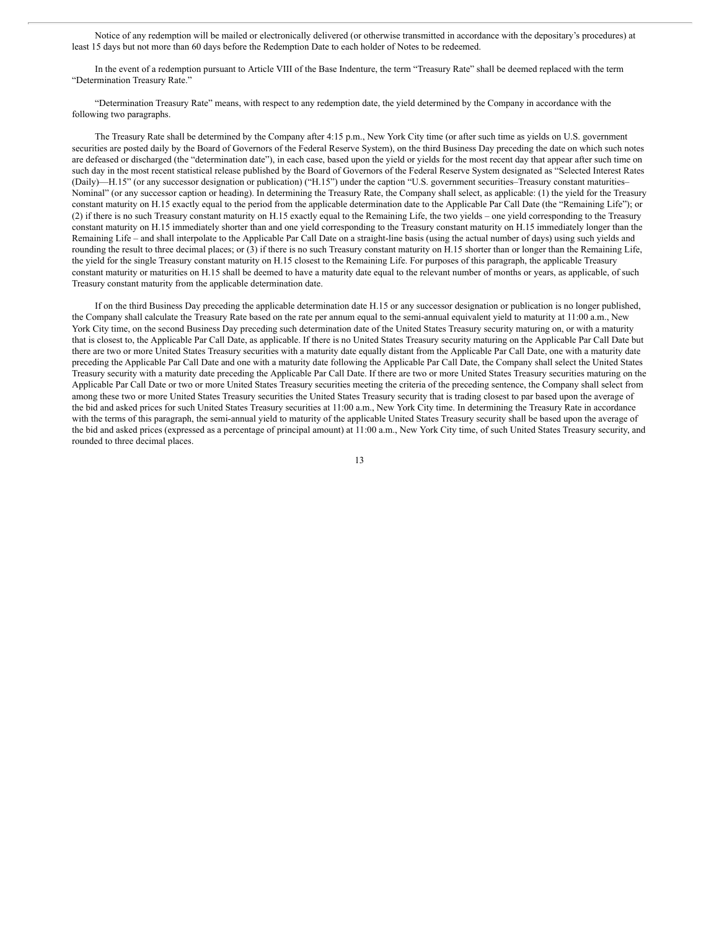Notice of any redemption will be mailed or electronically delivered (or otherwise transmitted in accordance with the depositary's procedures) at least 15 days but not more than 60 days before the Redemption Date to each holder of Notes to be redeemed.

In the event of a redemption pursuant to Article VIII of the Base Indenture, the term "Treasury Rate" shall be deemed replaced with the term "Determination Treasury Rate."

"Determination Treasury Rate" means, with respect to any redemption date, the yield determined by the Company in accordance with the following two paragraphs.

The Treasury Rate shall be determined by the Company after 4:15 p.m., New York City time (or after such time as yields on U.S. government securities are posted daily by the Board of Governors of the Federal Reserve System), on the third Business Day preceding the date on which such notes are defeased or discharged (the "determination date"), in each case, based upon the yield or yields for the most recent day that appear after such time on such day in the most recent statistical release published by the Board of Governors of the Federal Reserve System designated as "Selected Interest Rates (Daily)—H.15" (or any successor designation or publication) ("H.15") under the caption "U.S. government securities–Treasury constant maturities– Nominal" (or any successor caption or heading). In determining the Treasury Rate, the Company shall select, as applicable: (1) the yield for the Treasury constant maturity on H.15 exactly equal to the period from the applicable determination date to the Applicable Par Call Date (the "Remaining Life"); or (2) if there is no such Treasury constant maturity on H.15 exactly equal to the Remaining Life, the two yields – one yield corresponding to the Treasury constant maturity on H.15 immediately shorter than and one yield corresponding to the Treasury constant maturity on H.15 immediately longer than the Remaining Life – and shall interpolate to the Applicable Par Call Date on a straight-line basis (using the actual number of days) using such yields and rounding the result to three decimal places; or (3) if there is no such Treasury constant maturity on H.15 shorter than or longer than the Remaining Life, the yield for the single Treasury constant maturity on H.15 closest to the Remaining Life. For purposes of this paragraph, the applicable Treasury constant maturity or maturities on H.15 shall be deemed to have a maturity date equal to the relevant number of months or years, as applicable, of such Treasury constant maturity from the applicable determination date.

If on the third Business Day preceding the applicable determination date H.15 or any successor designation or publication is no longer published, the Company shall calculate the Treasury Rate based on the rate per annum equal to the semi-annual equivalent yield to maturity at 11:00 a.m., New York City time, on the second Business Day preceding such determination date of the United States Treasury security maturing on, or with a maturity that is closest to, the Applicable Par Call Date, as applicable. If there is no United States Treasury security maturing on the Applicable Par Call Date but there are two or more United States Treasury securities with a maturity date equally distant from the Applicable Par Call Date, one with a maturity date preceding the Applicable Par Call Date and one with a maturity date following the Applicable Par Call Date, the Company shall select the United States Treasury security with a maturity date preceding the Applicable Par Call Date. If there are two or more United States Treasury securities maturing on the Applicable Par Call Date or two or more United States Treasury securities meeting the criteria of the preceding sentence, the Company shall select from among these two or more United States Treasury securities the United States Treasury security that is trading closest to par based upon the average of the bid and asked prices for such United States Treasury securities at 11:00 a.m., New York City time. In determining the Treasury Rate in accordance with the terms of this paragraph, the semi-annual yield to maturity of the applicable United States Treasury security shall be based upon the average of the bid and asked prices (expressed as a percentage of principal amount) at 11:00 a.m., New York City time, of such United States Treasury security, and rounded to three decimal places.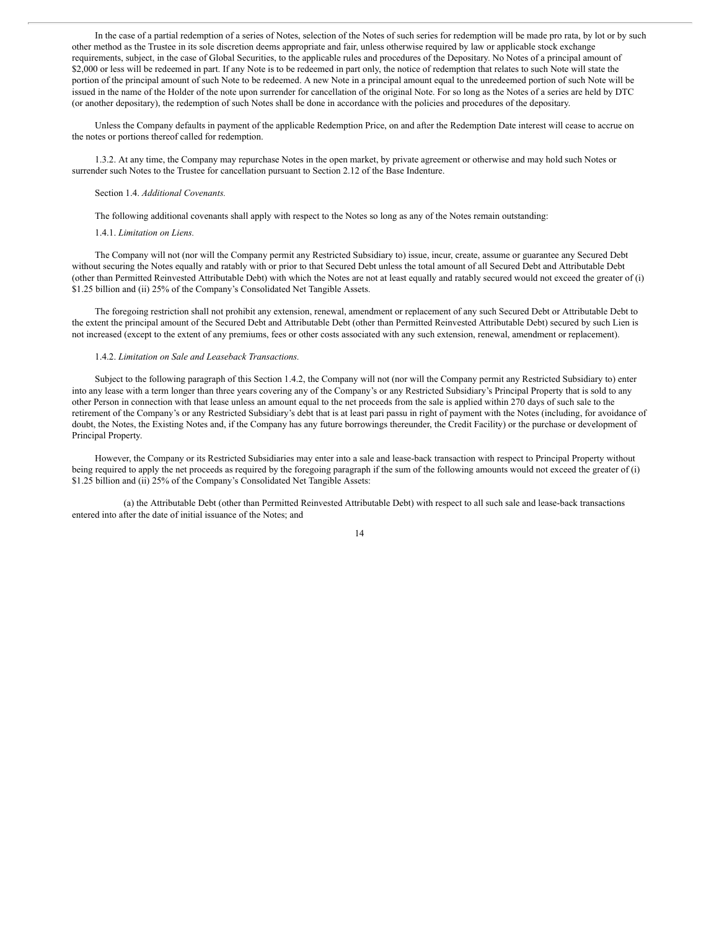In the case of a partial redemption of a series of Notes, selection of the Notes of such series for redemption will be made pro rata, by lot or by such other method as the Trustee in its sole discretion deems appropriate and fair, unless otherwise required by law or applicable stock exchange requirements, subject, in the case of Global Securities, to the applicable rules and procedures of the Depositary. No Notes of a principal amount of \$2,000 or less will be redeemed in part. If any Note is to be redeemed in part only, the notice of redemption that relates to such Note will state the portion of the principal amount of such Note to be redeemed. A new Note in a principal amount equal to the unredeemed portion of such Note will be issued in the name of the Holder of the note upon surrender for cancellation of the original Note. For so long as the Notes of a series are held by DTC (or another depositary), the redemption of such Notes shall be done in accordance with the policies and procedures of the depositary.

Unless the Company defaults in payment of the applicable Redemption Price, on and after the Redemption Date interest will cease to accrue on the notes or portions thereof called for redemption.

1.3.2. At any time, the Company may repurchase Notes in the open market, by private agreement or otherwise and may hold such Notes or surrender such Notes to the Trustee for cancellation pursuant to Section 2.12 of the Base Indenture.

#### Section 1.4. *Additional Covenants.*

The following additional covenants shall apply with respect to the Notes so long as any of the Notes remain outstanding:

### 1.4.1. *Limitation on Liens.*

The Company will not (nor will the Company permit any Restricted Subsidiary to) issue, incur, create, assume or guarantee any Secured Debt without securing the Notes equally and ratably with or prior to that Secured Debt unless the total amount of all Secured Debt and Attributable Debt (other than Permitted Reinvested Attributable Debt) with which the Notes are not at least equally and ratably secured would not exceed the greater of (i) \$1.25 billion and (ii) 25% of the Company's Consolidated Net Tangible Assets.

The foregoing restriction shall not prohibit any extension, renewal, amendment or replacement of any such Secured Debt or Attributable Debt to the extent the principal amount of the Secured Debt and Attributable Debt (other than Permitted Reinvested Attributable Debt) secured by such Lien is not increased (except to the extent of any premiums, fees or other costs associated with any such extension, renewal, amendment or replacement).

## 1.4.2. *Limitation on Sale and Leaseback Transactions.*

Subject to the following paragraph of this Section 1.4.2, the Company will not (nor will the Company permit any Restricted Subsidiary to) enter into any lease with a term longer than three years covering any of the Company's or any Restricted Subsidiary's Principal Property that is sold to any other Person in connection with that lease unless an amount equal to the net proceeds from the sale is applied within 270 days of such sale to the retirement of the Company's or any Restricted Subsidiary's debt that is at least pari passu in right of payment with the Notes (including, for avoidance of doubt, the Notes, the Existing Notes and, if the Company has any future borrowings thereunder, the Credit Facility) or the purchase or development of Principal Property.

However, the Company or its Restricted Subsidiaries may enter into a sale and lease-back transaction with respect to Principal Property without being required to apply the net proceeds as required by the foregoing paragraph if the sum of the following amounts would not exceed the greater of (i) \$1.25 billion and (ii) 25% of the Company's Consolidated Net Tangible Assets:

(a) the Attributable Debt (other than Permitted Reinvested Attributable Debt) with respect to all such sale and lease-back transactions entered into after the date of initial issuance of the Notes; and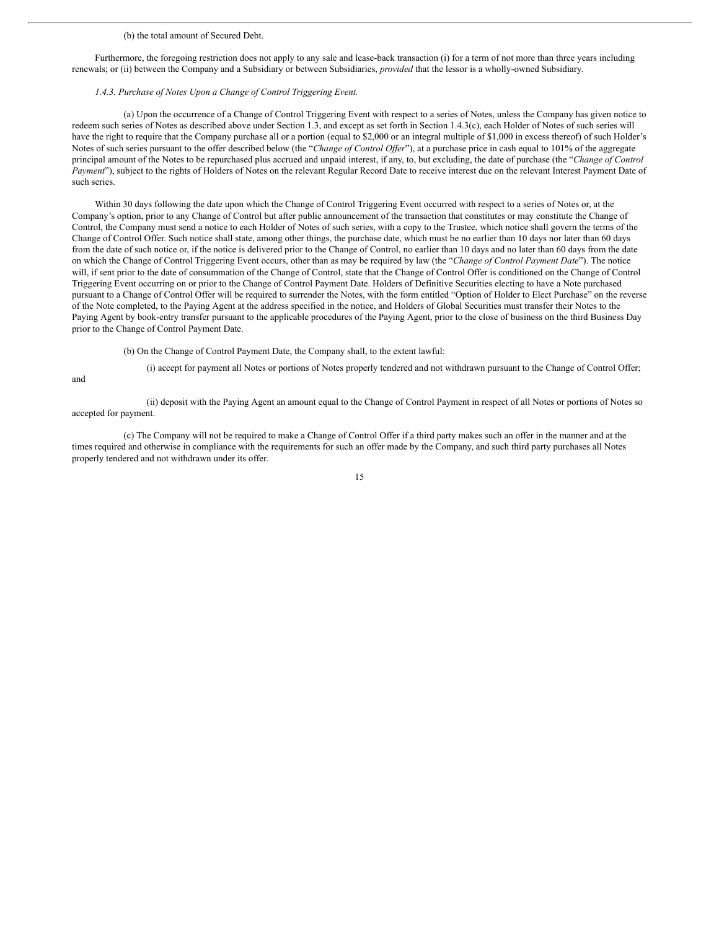#### (b) the total amount of Secured Debt.

Furthermore, the foregoing restriction does not apply to any sale and lease-back transaction (i) for a term of not more than three years including renewals; or (ii) between the Company and a Subsidiary or between Subsidiaries, *provided* that the lessor is a wholly-owned Subsidiary.

#### *1.4.3. Purchase of Notes Upon a Change of Control Triggering Event.*

(a) Upon the occurrence of a Change of Control Triggering Event with respect to a series of Notes, unless the Company has given notice to redeem such series of Notes as described above under Section 1.3, and except as set forth in Section 1.4.3(c), each Holder of Notes of such series will have the right to require that the Company purchase all or a portion (equal to \$2,000 or an integral multiple of \$1,000 in excess thereof) of such Holder's Notes of such series pursuant to the offer described below (the "*Change of Control Offer*"), at a purchase price in cash equal to 101% of the aggregate principal amount of the Notes to be repurchased plus accrued and unpaid interest, if any, to, but excluding, the date of purchase (the "*Change of Control Payment*"), subject to the rights of Holders of Notes on the relevant Regular Record Date to receive interest due on the relevant Interest Payment Date of such series.

Within 30 days following the date upon which the Change of Control Triggering Event occurred with respect to a series of Notes or, at the Company's option, prior to any Change of Control but after public announcement of the transaction that constitutes or may constitute the Change of Control, the Company must send a notice to each Holder of Notes of such series, with a copy to the Trustee, which notice shall govern the terms of the Change of Control Offer. Such notice shall state, among other things, the purchase date, which must be no earlier than 10 days nor later than 60 days from the date of such notice or, if the notice is delivered prior to the Change of Control, no earlier than 10 days and no later than 60 days from the date on which the Change of Control Triggering Event occurs, other than as may be required by law (the "*Change of Control Payment Date*"). The notice will, if sent prior to the date of consummation of the Change of Control, state that the Change of Control Offer is conditioned on the Change of Control Triggering Event occurring on or prior to the Change of Control Payment Date. Holders of Definitive Securities electing to have a Note purchased pursuant to a Change of Control Offer will be required to surrender the Notes, with the form entitled "Option of Holder to Elect Purchase" on the reverse of the Note completed, to the Paying Agent at the address specified in the notice, and Holders of Global Securities must transfer their Notes to the Paying Agent by book-entry transfer pursuant to the applicable procedures of the Paying Agent, prior to the close of business on the third Business Day prior to the Change of Control Payment Date.

(b) On the Change of Control Payment Date, the Company shall, to the extent lawful:

and

(ii) deposit with the Paying Agent an amount equal to the Change of Control Payment in respect of all Notes or portions of Notes so accepted for payment.

(i) accept for payment all Notes or portions of Notes properly tendered and not withdrawn pursuant to the Change of Control Offer;

(c) The Company will not be required to make a Change of Control Offer if a third party makes such an offer in the manner and at the times required and otherwise in compliance with the requirements for such an offer made by the Company, and such third party purchases all Notes properly tendered and not withdrawn under its offer.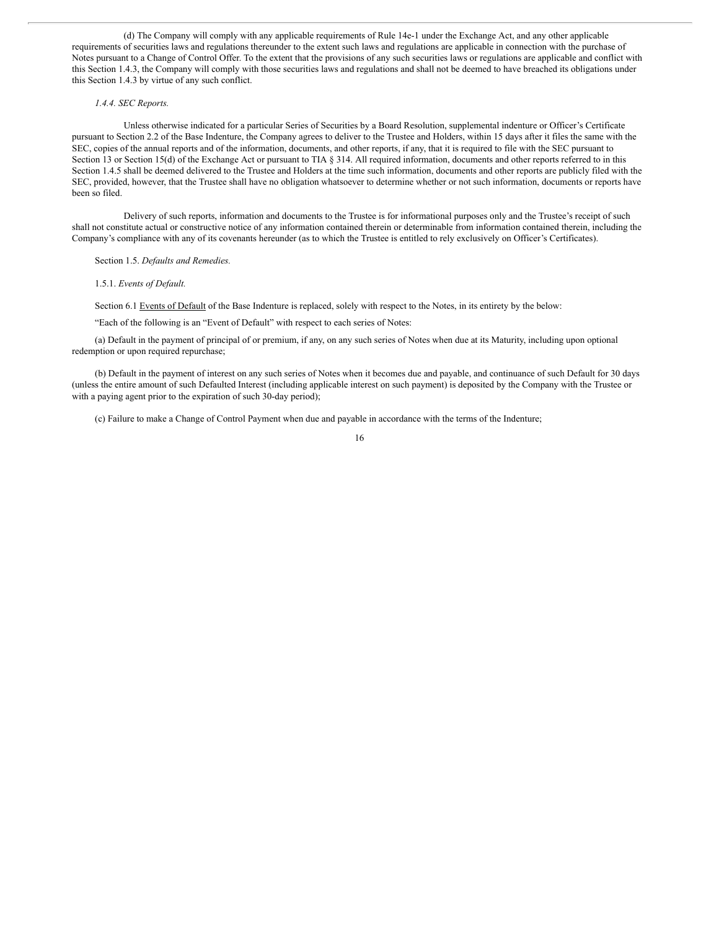(d) The Company will comply with any applicable requirements of Rule 14e-1 under the Exchange Act, and any other applicable requirements of securities laws and regulations thereunder to the extent such laws and regulations are applicable in connection with the purchase of Notes pursuant to a Change of Control Offer. To the extent that the provisions of any such securities laws or regulations are applicable and conflict with this Section 1.4.3, the Company will comply with those securities laws and regulations and shall not be deemed to have breached its obligations under this Section 1.4.3 by virtue of any such conflict.

### *1.4.4. SEC Reports.*

Unless otherwise indicated for a particular Series of Securities by a Board Resolution, supplemental indenture or Officer's Certificate pursuant to Section 2.2 of the Base Indenture, the Company agrees to deliver to the Trustee and Holders, within 15 days after it files the same with the SEC, copies of the annual reports and of the information, documents, and other reports, if any, that it is required to file with the SEC pursuant to Section 13 or Section 15(d) of the Exchange Act or pursuant to TIA § 314. All required information, documents and other reports referred to in this Section 1.4.5 shall be deemed delivered to the Trustee and Holders at the time such information, documents and other reports are publicly filed with the SEC, provided, however, that the Trustee shall have no obligation whatsoever to determine whether or not such information, documents or reports have been so filed.

Delivery of such reports, information and documents to the Trustee is for informational purposes only and the Trustee's receipt of such shall not constitute actual or constructive notice of any information contained therein or determinable from information contained therein, including the Company's compliance with any of its covenants hereunder (as to which the Trustee is entitled to rely exclusively on Officer's Certificates).

Section 1.5. *Defaults and Remedies.*

1.5.1. *Events of Default.*

Section 6.1 Events of Default of the Base Indenture is replaced, solely with respect to the Notes, in its entirety by the below:

"Each of the following is an "Event of Default" with respect to each series of Notes:

(a) Default in the payment of principal of or premium, if any, on any such series of Notes when due at its Maturity, including upon optional redemption or upon required repurchase;

(b) Default in the payment of interest on any such series of Notes when it becomes due and payable, and continuance of such Default for 30 days (unless the entire amount of such Defaulted Interest (including applicable interest on such payment) is deposited by the Company with the Trustee or with a paying agent prior to the expiration of such 30-day period);

(c) Failure to make a Change of Control Payment when due and payable in accordance with the terms of the Indenture;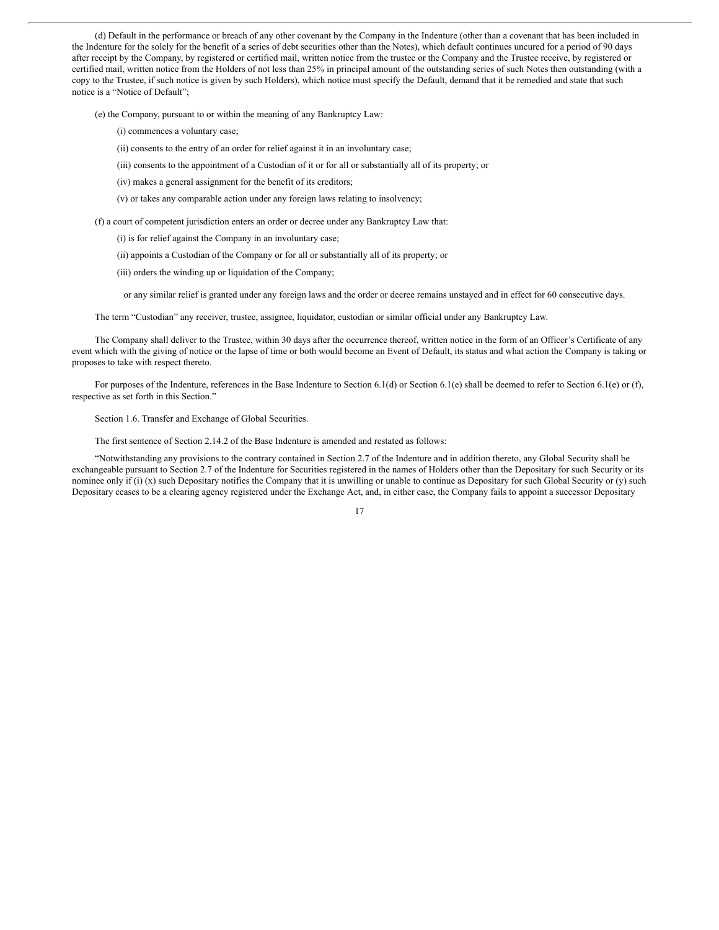(d) Default in the performance or breach of any other covenant by the Company in the Indenture (other than a covenant that has been included in the Indenture for the solely for the benefit of a series of debt securities other than the Notes), which default continues uncured for a period of 90 days after receipt by the Company, by registered or certified mail, written notice from the trustee or the Company and the Trustee receive, by registered or certified mail, written notice from the Holders of not less than 25% in principal amount of the outstanding series of such Notes then outstanding (with a copy to the Trustee, if such notice is given by such Holders), which notice must specify the Default, demand that it be remedied and state that such notice is a "Notice of Default";

(e) the Company, pursuant to or within the meaning of any Bankruptcy Law:

(i) commences a voluntary case;

(ii) consents to the entry of an order for relief against it in an involuntary case;

- (iii) consents to the appointment of a Custodian of it or for all or substantially all of its property; or
- (iv) makes a general assignment for the benefit of its creditors;
- (v) or takes any comparable action under any foreign laws relating to insolvency;

(f) a court of competent jurisdiction enters an order or decree under any Bankruptcy Law that:

(i) is for relief against the Company in an involuntary case;

(ii) appoints a Custodian of the Company or for all or substantially all of its property; or

(iii) orders the winding up or liquidation of the Company;

or any similar relief is granted under any foreign laws and the order or decree remains unstayed and in effect for 60 consecutive days.

The term "Custodian" any receiver, trustee, assignee, liquidator, custodian or similar official under any Bankruptcy Law.

The Company shall deliver to the Trustee, within 30 days after the occurrence thereof, written notice in the form of an Officer's Certificate of any event which with the giving of notice or the lapse of time or both would become an Event of Default, its status and what action the Company is taking or proposes to take with respect thereto.

For purposes of the Indenture, references in the Base Indenture to Section 6.1(d) or Section 6.1(e) shall be deemed to refer to Section 6.1(e) or (f), respective as set forth in this Section."

Section 1.6. Transfer and Exchange of Global Securities.

The first sentence of Section 2.14.2 of the Base Indenture is amended and restated as follows:

"Notwithstanding any provisions to the contrary contained in Section 2.7 of the Indenture and in addition thereto, any Global Security shall be exchangeable pursuant to Section 2.7 of the Indenture for Securities registered in the names of Holders other than the Depositary for such Security or its nominee only if (i)  $(x)$  such Depositary notifies the Company that it is unwilling or unable to continue as Depositary for such Global Security or  $(y)$  such Depositary ceases to be a clearing agency registered under the Exchange Act, and, in either case, the Company fails to appoint a successor Depositary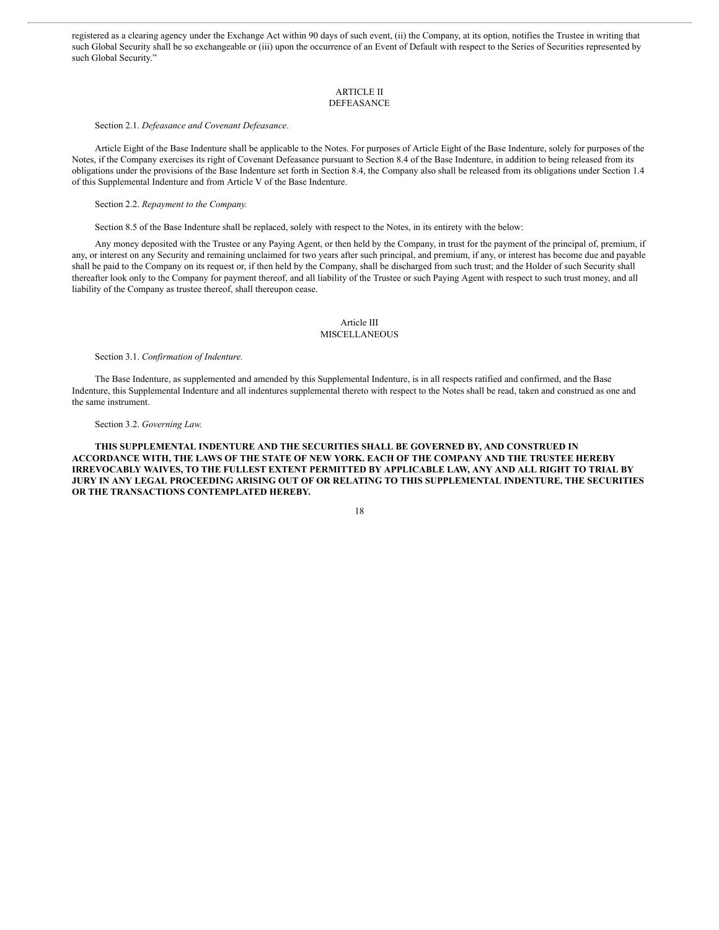registered as a clearing agency under the Exchange Act within 90 days of such event, (ii) the Company, at its option, notifies the Trustee in writing that such Global Security shall be so exchangeable or (iii) upon the occurrence of an Event of Default with respect to the Series of Securities represented by such Global Security.'

#### ARTICLE II DEFEASANCE

Section 2.1. *Defeasance and Covenant Defeasance*.

Article Eight of the Base Indenture shall be applicable to the Notes. For purposes of Article Eight of the Base Indenture, solely for purposes of the Notes, if the Company exercises its right of Covenant Defeasance pursuant to Section 8.4 of the Base Indenture, in addition to being released from its obligations under the provisions of the Base Indenture set forth in Section 8.4, the Company also shall be released from its obligations under Section 1.4 of this Supplemental Indenture and from Article V of the Base Indenture.

Section 2.2. *Repayment to the Company.*

Section 8.5 of the Base Indenture shall be replaced, solely with respect to the Notes, in its entirety with the below:

Any money deposited with the Trustee or any Paying Agent, or then held by the Company, in trust for the payment of the principal of, premium, if any, or interest on any Security and remaining unclaimed for two years after such principal, and premium, if any, or interest has become due and payable shall be paid to the Company on its request or, if then held by the Company, shall be discharged from such trust; and the Holder of such Security shall thereafter look only to the Company for payment thereof, and all liability of the Trustee or such Paying Agent with respect to such trust money, and all liability of the Company as trustee thereof, shall thereupon cease.

### Article III MISCELLANEOUS

Section 3.1. *Confirmation of Indenture.*

The Base Indenture, as supplemented and amended by this Supplemental Indenture, is in all respects ratified and confirmed, and the Base Indenture, this Supplemental Indenture and all indentures supplemental thereto with respect to the Notes shall be read, taken and construed as one and the same instrument.

### Section 3.2. *Governing Law.*

**THIS SUPPLEMENTAL INDENTURE AND THE SECURITIES SHALL BE GOVERNED BY, AND CONSTRUED IN ACCORDANCE WITH, THE LAWS OF THE STATE OF NEW YORK. EACH OF THE COMPANY AND THE TRUSTEE HEREBY IRREVOCABLY WAIVES, TO THE FULLEST EXTENT PERMITTED BY APPLICABLE LAW, ANY AND ALL RIGHT TO TRIAL BY JURY IN ANY LEGAL PROCEEDING ARISING OUT OF OR RELATING TO THIS SUPPLEMENTAL INDENTURE, THE SECURITIES OR THE TRANSACTIONS CONTEMPLATED HEREBY.**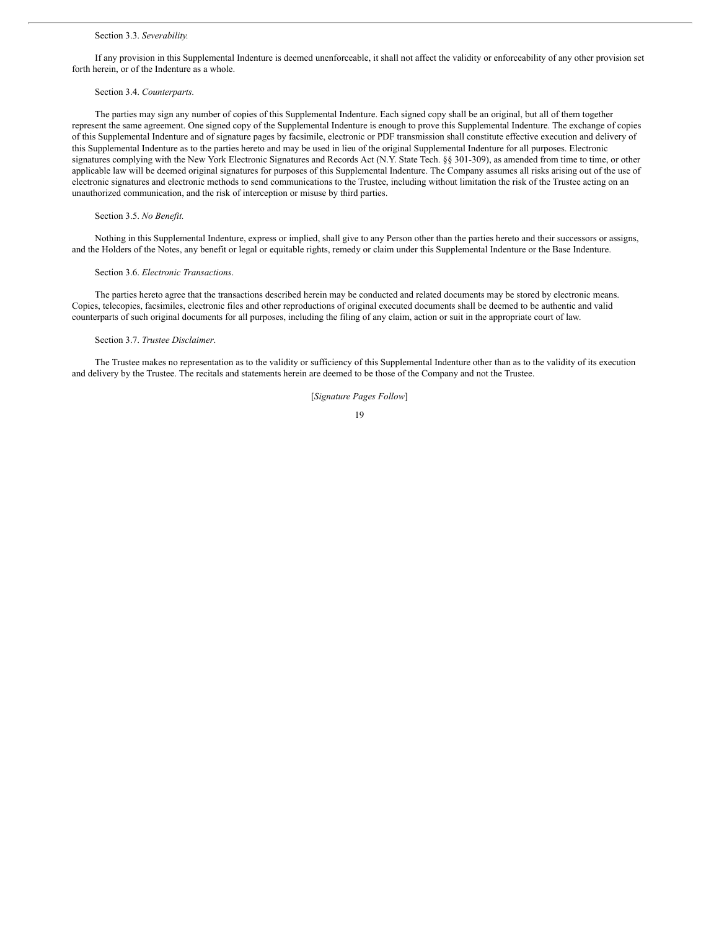#### Section 3.3. *Severability.*

If any provision in this Supplemental Indenture is deemed unenforceable, it shall not affect the validity or enforceability of any other provision set forth herein, or of the Indenture as a whole.

#### Section 3.4. *Counterparts.*

The parties may sign any number of copies of this Supplemental Indenture. Each signed copy shall be an original, but all of them together represent the same agreement. One signed copy of the Supplemental Indenture is enough to prove this Supplemental Indenture. The exchange of copies of this Supplemental Indenture and of signature pages by facsimile, electronic or PDF transmission shall constitute effective execution and delivery of this Supplemental Indenture as to the parties hereto and may be used in lieu of the original Supplemental Indenture for all purposes. Electronic signatures complying with the New York Electronic Signatures and Records Act (N.Y. State Tech. §§ 301-309), as amended from time to time, or other applicable law will be deemed original signatures for purposes of this Supplemental Indenture. The Company assumes all risks arising out of the use of electronic signatures and electronic methods to send communications to the Trustee, including without limitation the risk of the Trustee acting on an unauthorized communication, and the risk of interception or misuse by third parties.

### Section 3.5. *No Benefit.*

Nothing in this Supplemental Indenture, express or implied, shall give to any Person other than the parties hereto and their successors or assigns, and the Holders of the Notes, any benefit or legal or equitable rights, remedy or claim under this Supplemental Indenture or the Base Indenture.

#### Section 3.6. *Electronic Transactions*.

The parties hereto agree that the transactions described herein may be conducted and related documents may be stored by electronic means. Copies, telecopies, facsimiles, electronic files and other reproductions of original executed documents shall be deemed to be authentic and valid counterparts of such original documents for all purposes, including the filing of any claim, action or suit in the appropriate court of law.

### Section 3.7. *Trustee Disclaimer*.

The Trustee makes no representation as to the validity or sufficiency of this Supplemental Indenture other than as to the validity of its execution and delivery by the Trustee. The recitals and statements herein are deemed to be those of the Company and not the Trustee.

[*Signature Pages Follow*]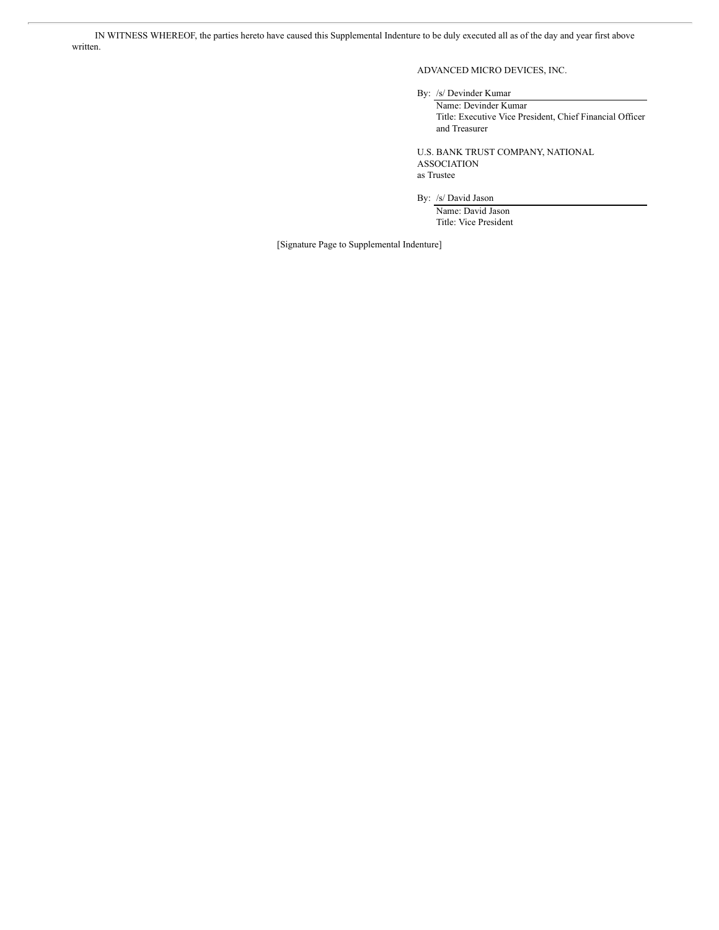IN WITNESS WHEREOF, the parties hereto have caused this Supplemental Indenture to be duly executed all as of the day and year first above written.

ADVANCED MICRO DEVICES, INC.

By: /s/ Devinder Kumar

Name: Devinder Kumar Title: Executive Vice President, Chief Financial Officer and Treasurer

U.S. BANK TRUST COMPANY, NATIONAL ASSOCIATION as Trustee

By: /s/ David Jason

Name: David Jason Title: Vice President

[Signature Page to Supplemental Indenture]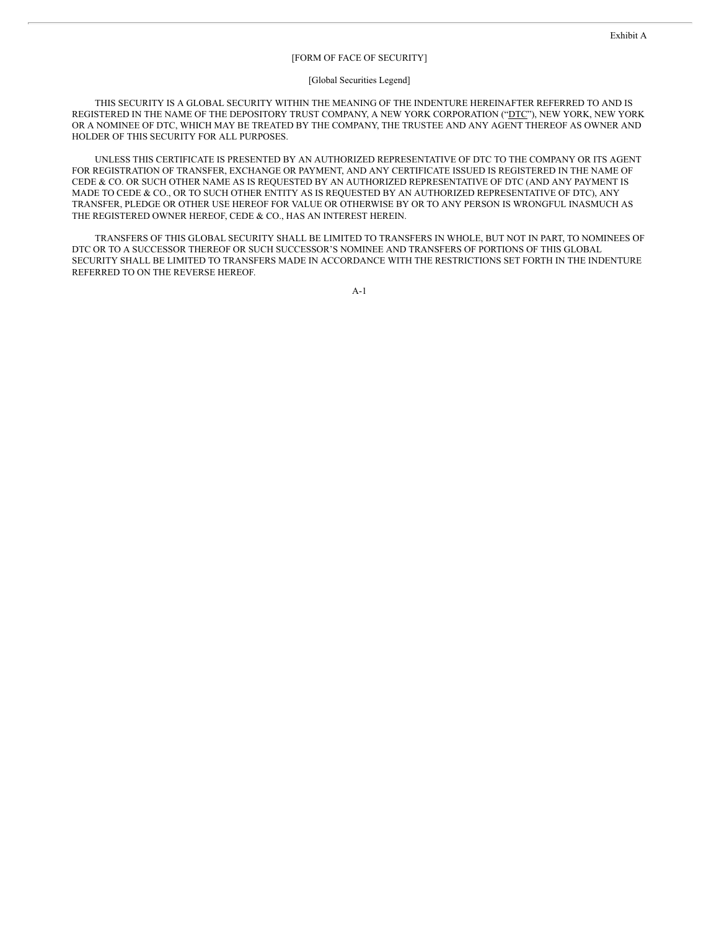### [FORM OF FACE OF SECURITY]

#### [Global Securities Legend]

THIS SECURITY IS A GLOBAL SECURITY WITHIN THE MEANING OF THE INDENTURE HEREINAFTER REFERRED TO AND IS REGISTERED IN THE NAME OF THE DEPOSITORY TRUST COMPANY, A NEW YORK CORPORATION ("DTC"), NEW YORK, NEW YORK OR A NOMINEE OF DTC, WHICH MAY BE TREATED BY THE COMPANY, THE TRUSTEE AND ANY AGENT THEREOF AS OWNER AND HOLDER OF THIS SECURITY FOR ALL PURPOSES.

UNLESS THIS CERTIFICATE IS PRESENTED BY AN AUTHORIZED REPRESENTATIVE OF DTC TO THE COMPANY OR ITS AGENT FOR REGISTRATION OF TRANSFER, EXCHANGE OR PAYMENT, AND ANY CERTIFICATE ISSUED IS REGISTERED IN THE NAME OF CEDE & CO. OR SUCH OTHER NAME AS IS REQUESTED BY AN AUTHORIZED REPRESENTATIVE OF DTC (AND ANY PAYMENT IS MADE TO CEDE & CO., OR TO SUCH OTHER ENTITY AS IS REQUESTED BY AN AUTHORIZED REPRESENTATIVE OF DTC), ANY TRANSFER, PLEDGE OR OTHER USE HEREOF FOR VALUE OR OTHERWISE BY OR TO ANY PERSON IS WRONGFUL INASMUCH AS THE REGISTERED OWNER HEREOF, CEDE & CO., HAS AN INTEREST HEREIN.

TRANSFERS OF THIS GLOBAL SECURITY SHALL BE LIMITED TO TRANSFERS IN WHOLE, BUT NOT IN PART, TO NOMINEES OF DTC OR TO A SUCCESSOR THEREOF OR SUCH SUCCESSOR'S NOMINEE AND TRANSFERS OF PORTIONS OF THIS GLOBAL SECURITY SHALL BE LIMITED TO TRANSFERS MADE IN ACCORDANCE WITH THE RESTRICTIONS SET FORTH IN THE INDENTURE REFERRED TO ON THE REVERSE HEREOF.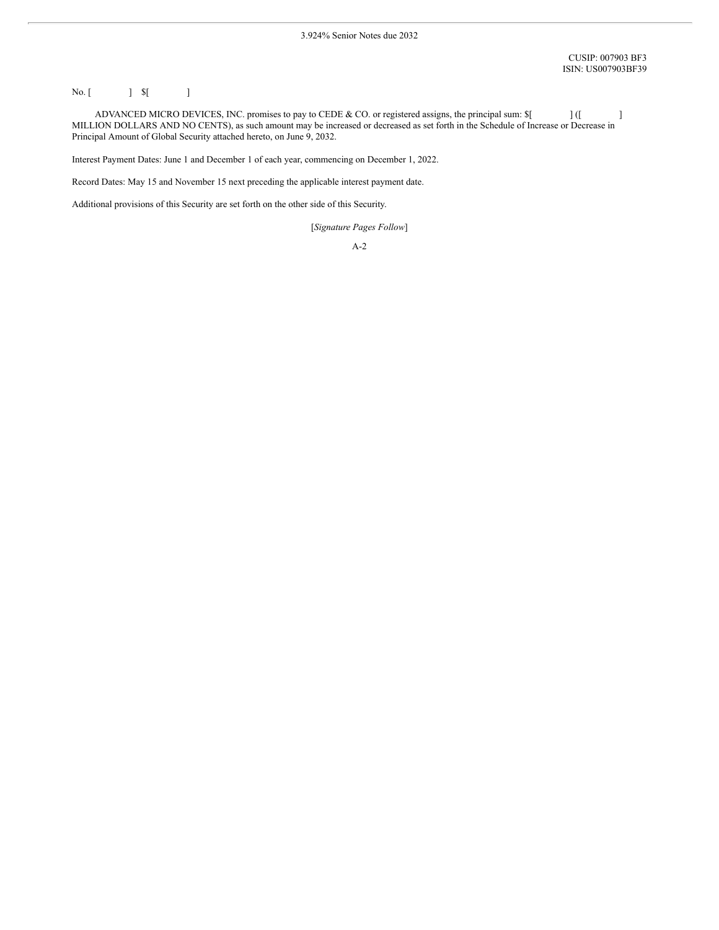# No. [ ] \$[ ]

ADVANCED MICRO DEVICES, INC. promises to pay to CEDE & CO. or registered assigns, the principal sum:  $\mathcal{S}$ [ ] ([ ] MILLION DOLLARS AND NO CENTS), as such amount may be increased or decreased as set forth in the Schedule of Increase or Decrease in Principal Amount of Global Security attached hereto, on June 9, 2032.

Interest Payment Dates: June 1 and December 1 of each year, commencing on December 1, 2022.

Record Dates: May 15 and November 15 next preceding the applicable interest payment date.

Additional provisions of this Security are set forth on the other side of this Security.

[*Signature Pages Follow*]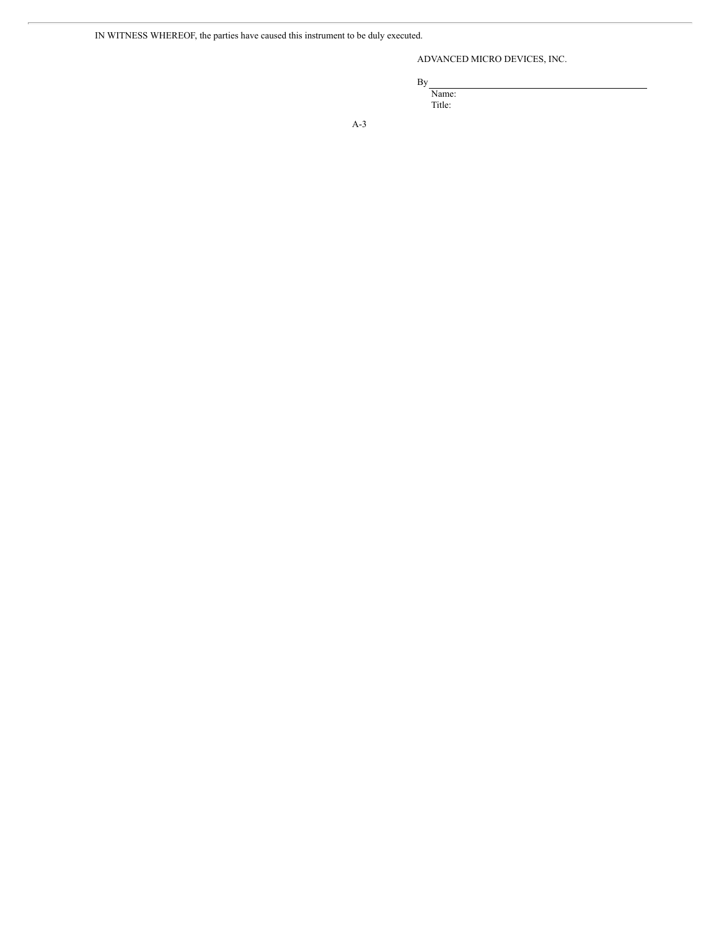# ADVANCED MICRO DEVICES, INC.

By

Name: Title: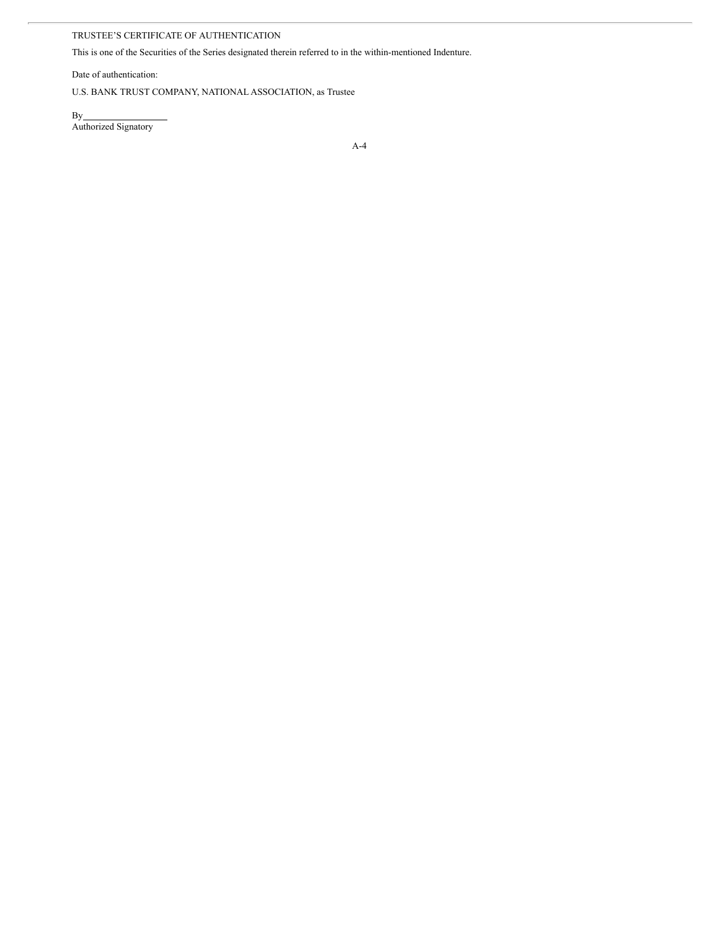# TRUSTEE'S CERTIFICATE OF AUTHENTICATION

This is one of the Securities of the Series designated therein referred to in the within-mentioned Indenture.

Date of authentication:

U.S. BANK TRUST COMPANY, NATIONAL ASSOCIATION, as Trustee

By Authorized Signatory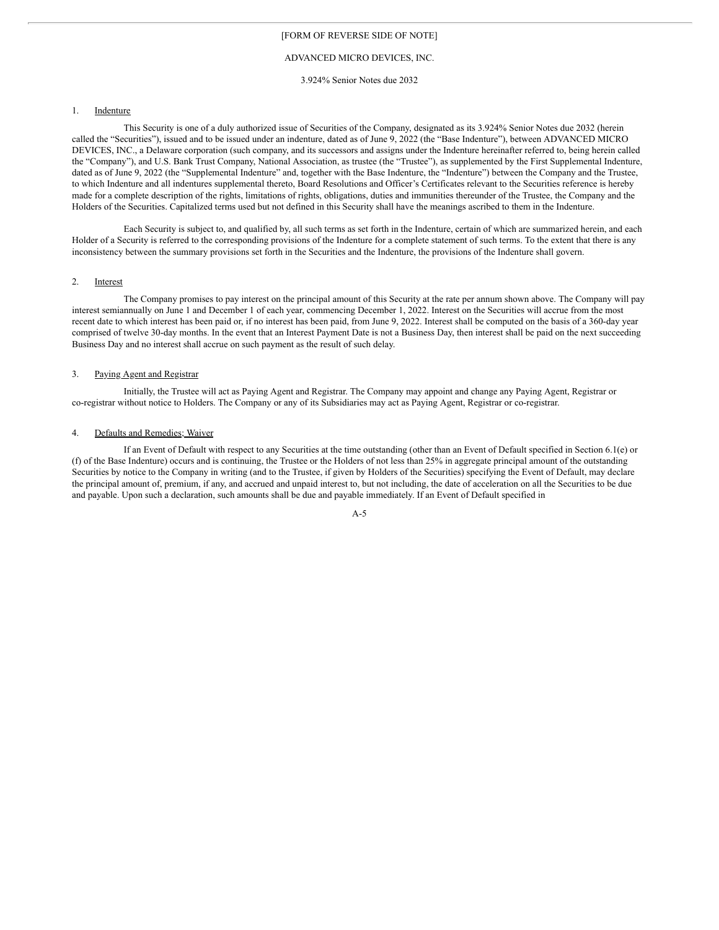### ADVANCED MICRO DEVICES, INC.

3.924% Senior Notes due 2032

### 1. Indenture

This Security is one of a duly authorized issue of Securities of the Company, designated as its 3.924% Senior Notes due 2032 (herein called the "Securities"), issued and to be issued under an indenture, dated as of June 9, 2022 (the "Base Indenture"), between ADVANCED MICRO DEVICES, INC., a Delaware corporation (such company, and its successors and assigns under the Indenture hereinafter referred to, being herein called the "Company"), and U.S. Bank Trust Company, National Association, as trustee (the "Trustee"), as supplemented by the First Supplemental Indenture, dated as of June 9, 2022 (the "Supplemental Indenture" and, together with the Base Indenture, the "Indenture") between the Company and the Trustee, to which Indenture and all indentures supplemental thereto, Board Resolutions and Officer's Certificates relevant to the Securities reference is hereby made for a complete description of the rights, limitations of rights, obligations, duties and immunities thereunder of the Trustee, the Company and the Holders of the Securities. Capitalized terms used but not defined in this Security shall have the meanings ascribed to them in the Indenture.

Each Security is subject to, and qualified by, all such terms as set forth in the Indenture, certain of which are summarized herein, and each Holder of a Security is referred to the corresponding provisions of the Indenture for a complete statement of such terms. To the extent that there is any inconsistency between the summary provisions set forth in the Securities and the Indenture, the provisions of the Indenture shall govern.

### 2. Interest

The Company promises to pay interest on the principal amount of this Security at the rate per annum shown above. The Company will pay interest semiannually on June 1 and December 1 of each year, commencing December 1, 2022. Interest on the Securities will accrue from the most recent date to which interest has been paid or, if no interest has been paid, from June 9, 2022. Interest shall be computed on the basis of a 360-day year comprised of twelve 30-day months. In the event that an Interest Payment Date is not a Business Day, then interest shall be paid on the next succeeding Business Day and no interest shall accrue on such payment as the result of such delay.

### 3. Paying Agent and Registrar

Initially, the Trustee will act as Paying Agent and Registrar. The Company may appoint and change any Paying Agent, Registrar or co-registrar without notice to Holders. The Company or any of its Subsidiaries may act as Paying Agent, Registrar or co-registrar.

### 4. Defaults and Remedies; Waiver

If an Event of Default with respect to any Securities at the time outstanding (other than an Event of Default specified in Section 6.1(e) or (f) of the Base Indenture) occurs and is continuing, the Trustee or the Holders of not less than 25% in aggregate principal amount of the outstanding Securities by notice to the Company in writing (and to the Trustee, if given by Holders of the Securities) specifying the Event of Default, may declare the principal amount of, premium, if any, and accrued and unpaid interest to, but not including, the date of acceleration on all the Securities to be due and payable. Upon such a declaration, such amounts shall be due and payable immediately. If an Event of Default specified in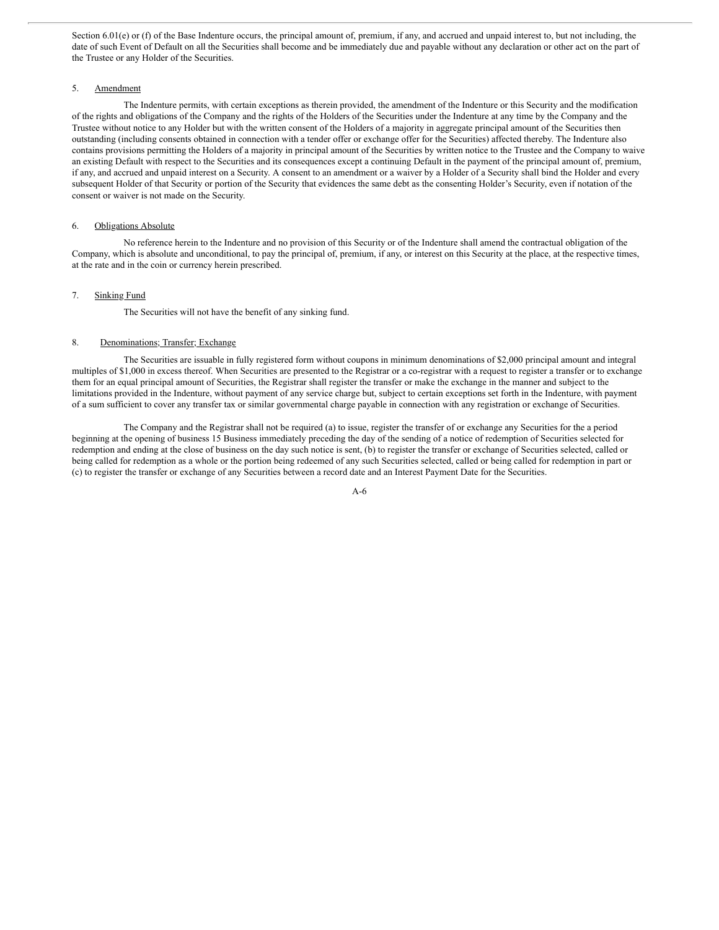Section 6.01(e) or (f) of the Base Indenture occurs, the principal amount of, premium, if any, and accrued and unpaid interest to, but not including, the date of such Event of Default on all the Securities shall become and be immediately due and payable without any declaration or other act on the part of the Trustee or any Holder of the Securities.

### 5. Amendment

The Indenture permits, with certain exceptions as therein provided, the amendment of the Indenture or this Security and the modification of the rights and obligations of the Company and the rights of the Holders of the Securities under the Indenture at any time by the Company and the Trustee without notice to any Holder but with the written consent of the Holders of a majority in aggregate principal amount of the Securities then outstanding (including consents obtained in connection with a tender offer or exchange offer for the Securities) affected thereby. The Indenture also contains provisions permitting the Holders of a majority in principal amount of the Securities by written notice to the Trustee and the Company to waive an existing Default with respect to the Securities and its consequences except a continuing Default in the payment of the principal amount of, premium, if any, and accrued and unpaid interest on a Security. A consent to an amendment or a waiver by a Holder of a Security shall bind the Holder and every subsequent Holder of that Security or portion of the Security that evidences the same debt as the consenting Holder's Security, even if notation of the consent or waiver is not made on the Security.

### 6. Obligations Absolute

No reference herein to the Indenture and no provision of this Security or of the Indenture shall amend the contractual obligation of the Company, which is absolute and unconditional, to pay the principal of, premium, if any, or interest on this Security at the place, at the respective times, at the rate and in the coin or currency herein prescribed.

### 7. Sinking Fund

The Securities will not have the benefit of any sinking fund.

#### 8. Denominations; Transfer; Exchange

The Securities are issuable in fully registered form without coupons in minimum denominations of \$2,000 principal amount and integral multiples of \$1,000 in excess thereof. When Securities are presented to the Registrar or a co-registrar with a request to register a transfer or to exchange them for an equal principal amount of Securities, the Registrar shall register the transfer or make the exchange in the manner and subject to the limitations provided in the Indenture, without payment of any service charge but, subject to certain exceptions set forth in the Indenture, with payment of a sum sufficient to cover any transfer tax or similar governmental charge payable in connection with any registration or exchange of Securities.

The Company and the Registrar shall not be required (a) to issue, register the transfer of or exchange any Securities for the a period beginning at the opening of business 15 Business immediately preceding the day of the sending of a notice of redemption of Securities selected for redemption and ending at the close of business on the day such notice is sent, (b) to register the transfer or exchange of Securities selected, called or being called for redemption as a whole or the portion being redeemed of any such Securities selected, called or being called for redemption in part or (c) to register the transfer or exchange of any Securities between a record date and an Interest Payment Date for the Securities.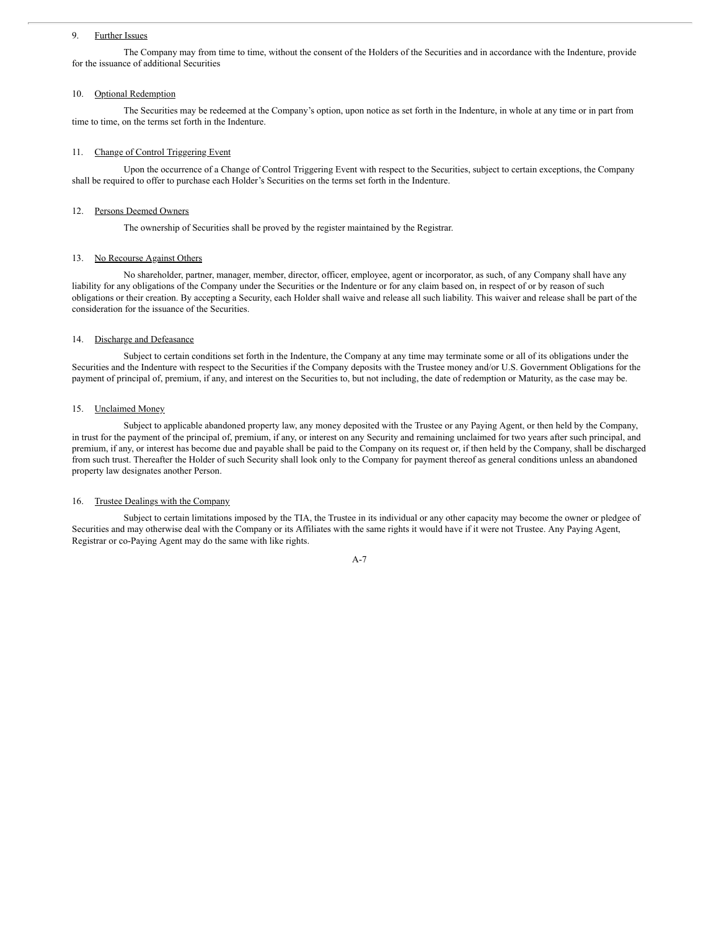### 9. Further Issues

The Company may from time to time, without the consent of the Holders of the Securities and in accordance with the Indenture, provide for the issuance of additional Securities

### 10. Optional Redemption

The Securities may be redeemed at the Company's option, upon notice as set forth in the Indenture, in whole at any time or in part from time to time, on the terms set forth in the Indenture.

### 11. Change of Control Triggering Event

Upon the occurrence of a Change of Control Triggering Event with respect to the Securities, subject to certain exceptions, the Company shall be required to offer to purchase each Holder's Securities on the terms set forth in the Indenture.

### 12. Persons Deemed Owners

The ownership of Securities shall be proved by the register maintained by the Registrar.

### 13. No Recourse Against Others

No shareholder, partner, manager, member, director, officer, employee, agent or incorporator, as such, of any Company shall have any liability for any obligations of the Company under the Securities or the Indenture or for any claim based on, in respect of or by reason of such obligations or their creation. By accepting a Security, each Holder shall waive and release all such liability. This waiver and release shall be part of the consideration for the issuance of the Securities.

# 14. Discharge and Defeasance

Subject to certain conditions set forth in the Indenture, the Company at any time may terminate some or all of its obligations under the Securities and the Indenture with respect to the Securities if the Company deposits with the Trustee money and/or U.S. Government Obligations for the payment of principal of, premium, if any, and interest on the Securities to, but not including, the date of redemption or Maturity, as the case may be.

### 15. Unclaimed Money

Subject to applicable abandoned property law, any money deposited with the Trustee or any Paying Agent, or then held by the Company, in trust for the payment of the principal of, premium, if any, or interest on any Security and remaining unclaimed for two years after such principal, and premium, if any, or interest has become due and payable shall be paid to the Company on its request or, if then held by the Company, shall be discharged from such trust. Thereafter the Holder of such Security shall look only to the Company for payment thereof as general conditions unless an abandoned property law designates another Person.

### 16. Trustee Dealings with the Company

Subject to certain limitations imposed by the TIA, the Trustee in its individual or any other capacity may become the owner or pledgee of Securities and may otherwise deal with the Company or its Affiliates with the same rights it would have if it were not Trustee. Any Paying Agent, Registrar or co-Paying Agent may do the same with like rights.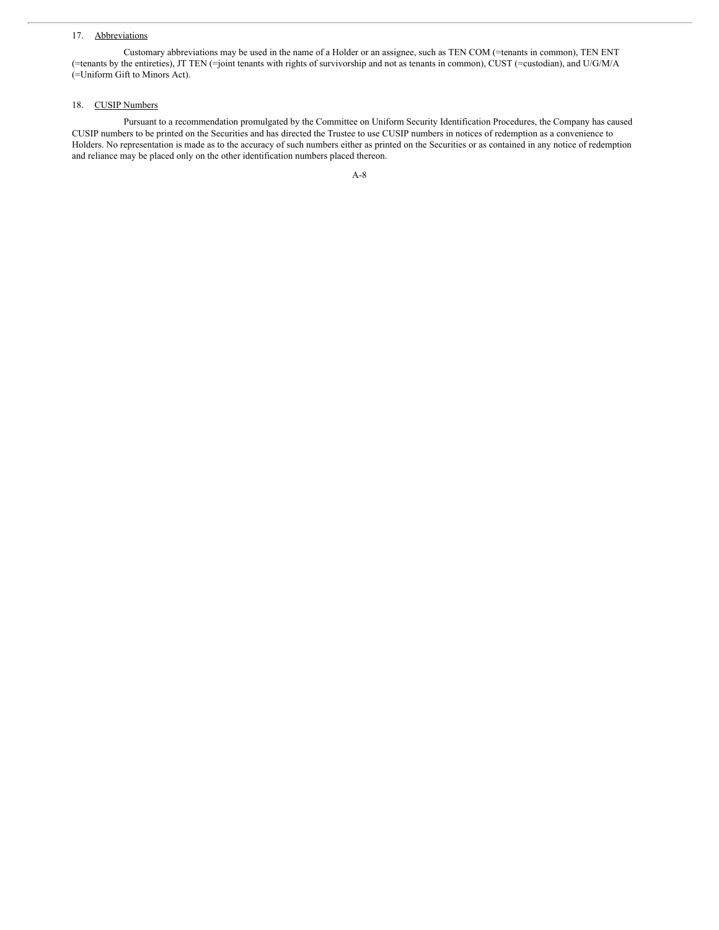## 17. Abbreviations

Customary abbreviations may be used in the name of a Holder or an assignee, such as TEN COM (=tenants in common), TEN ENT (=tenants by the entireties), JT TEN (=joint tenants with rights of survivorship and not as tenants in common), CUST (=custodian), and U/G/M/A (=Uniform Gift to Minors Act).

### 18. CUSIP Numbers

Pursuant to a recommendation promulgated by the Committee on Uniform Security Identification Procedures, the Company has caused CUSIP numbers to be printed on the Securities and has directed the Trustee to use CUSIP numbers in notices of redemption as a convenience to Holders. No representation is made as to the accuracy of such numbers either as printed on the Securities or as contained in any notice of redemption and reliance may be placed only on the other identification numbers placed thereon.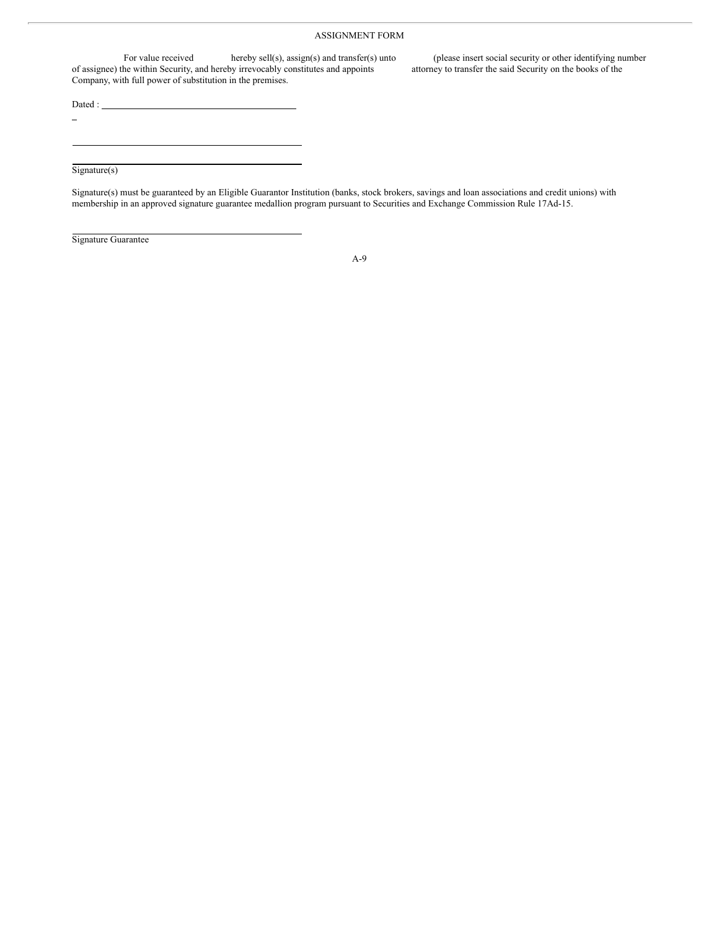### ASSIGNMENT FORM

For value received hereby sell(s), assign(s) and transfer(s) unto (please insert social security or other identifying number<br>he within Security, and hereby irrevocably constitutes and appoints attorney to transfer the said of assignee) the within Security, and hereby irrevocably constitutes and appoints Company, with full power of substitution in the premises.

Dated :  $\overline{\phantom{a}}$ 

÷,

Signature(s)

Signature(s) must be guaranteed by an Eligible Guarantor Institution (banks, stock brokers, savings and loan associations and credit unions) with membership in an approved signature guarantee medallion program pursuant to Securities and Exchange Commission Rule 17Ad-15.

Signature Guarantee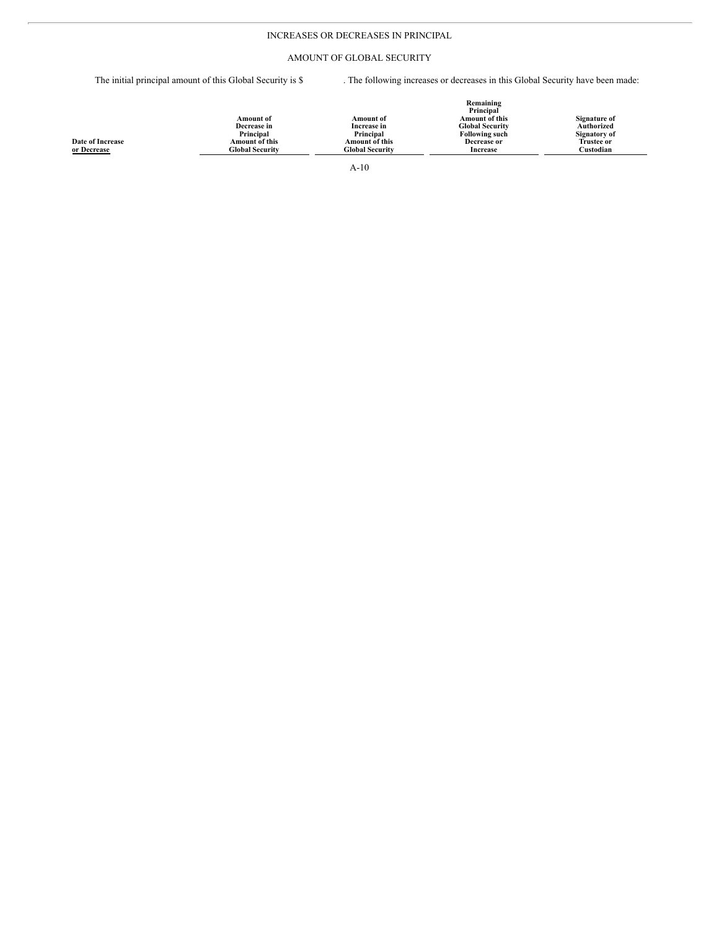# INCREASES OR DECREASES IN PRINCIPAL

# AMOUNT OF GLOBAL SECURITY

The initial principal amount of this Global Security is \$ . The following increases or decreases in this Global Security have been made:

|                         |                        |                        | Remaining<br>Principal |                   |
|-------------------------|------------------------|------------------------|------------------------|-------------------|
|                         | <b>Amount of</b>       | <b>Amount of</b>       | <b>Amount of this</b>  | Signature of      |
|                         | Decrease in            | Increase in            | <b>Global Security</b> | Authorized        |
|                         | Principal              | Principal              | <b>Following such</b>  | Signatory of      |
| <b>Date of Increase</b> | Amount of this         | <b>Amount of this</b>  | Decrease or            | <b>Trustee or</b> |
| or Decrease             | <b>Global Security</b> | <b>Global Security</b> | <b>Increase</b>        | Custodian         |
|                         |                        | $A-10$                 |                        |                   |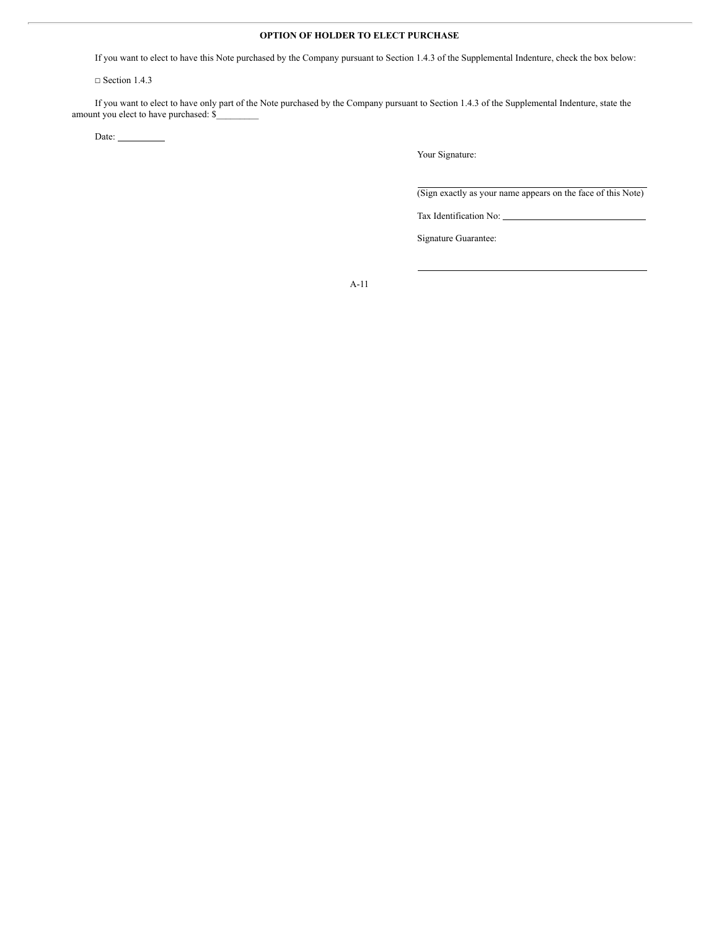# **OPTION OF HOLDER TO ELECT PURCHASE**

If you want to elect to have this Note purchased by the Company pursuant to Section 1.4.3 of the Supplemental Indenture, check the box below:

□ Section 1.4.3

If you want to elect to have only part of the Note purchased by the Company pursuant to Section 1.4.3 of the Supplemental Indenture, state the amount you elect to have purchased: \$

Date:

Your Signature:

(Sign exactly as your name appears on the face of this Note)

Tax Identification No:

Signature Guarantee: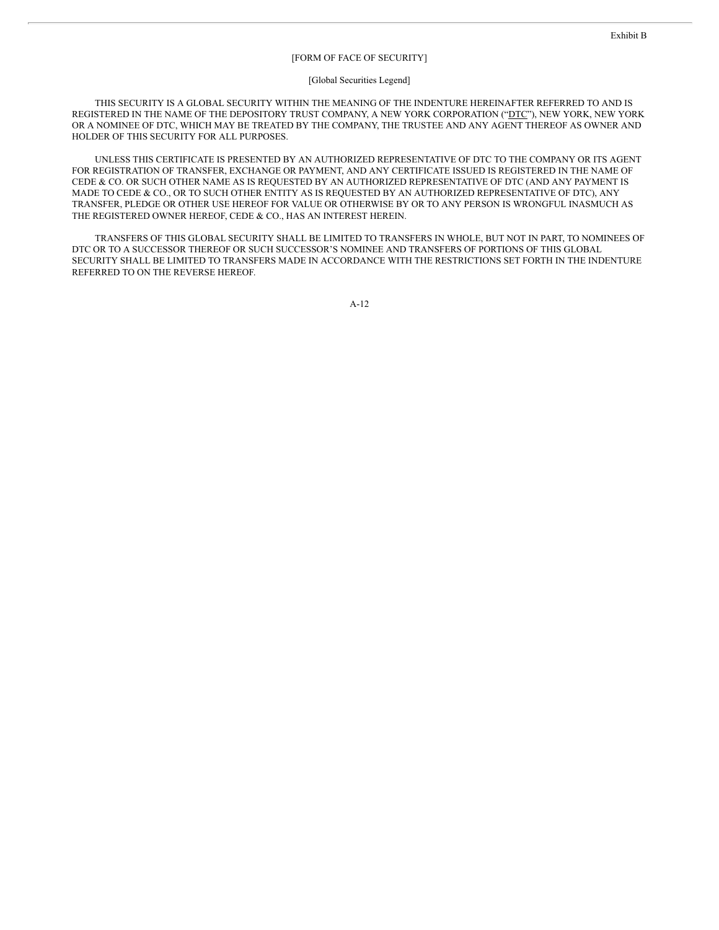### [FORM OF FACE OF SECURITY]

#### [Global Securities Legend]

THIS SECURITY IS A GLOBAL SECURITY WITHIN THE MEANING OF THE INDENTURE HEREINAFTER REFERRED TO AND IS REGISTERED IN THE NAME OF THE DEPOSITORY TRUST COMPANY, A NEW YORK CORPORATION ("DTC"), NEW YORK, NEW YORK OR A NOMINEE OF DTC, WHICH MAY BE TREATED BY THE COMPANY, THE TRUSTEE AND ANY AGENT THEREOF AS OWNER AND HOLDER OF THIS SECURITY FOR ALL PURPOSES.

UNLESS THIS CERTIFICATE IS PRESENTED BY AN AUTHORIZED REPRESENTATIVE OF DTC TO THE COMPANY OR ITS AGENT FOR REGISTRATION OF TRANSFER, EXCHANGE OR PAYMENT, AND ANY CERTIFICATE ISSUED IS REGISTERED IN THE NAME OF CEDE & CO. OR SUCH OTHER NAME AS IS REQUESTED BY AN AUTHORIZED REPRESENTATIVE OF DTC (AND ANY PAYMENT IS MADE TO CEDE & CO., OR TO SUCH OTHER ENTITY AS IS REQUESTED BY AN AUTHORIZED REPRESENTATIVE OF DTC), ANY TRANSFER, PLEDGE OR OTHER USE HEREOF FOR VALUE OR OTHERWISE BY OR TO ANY PERSON IS WRONGFUL INASMUCH AS THE REGISTERED OWNER HEREOF, CEDE & CO., HAS AN INTEREST HEREIN.

TRANSFERS OF THIS GLOBAL SECURITY SHALL BE LIMITED TO TRANSFERS IN WHOLE, BUT NOT IN PART, TO NOMINEES OF DTC OR TO A SUCCESSOR THEREOF OR SUCH SUCCESSOR'S NOMINEE AND TRANSFERS OF PORTIONS OF THIS GLOBAL SECURITY SHALL BE LIMITED TO TRANSFERS MADE IN ACCORDANCE WITH THE RESTRICTIONS SET FORTH IN THE INDENTURE REFERRED TO ON THE REVERSE HEREOF.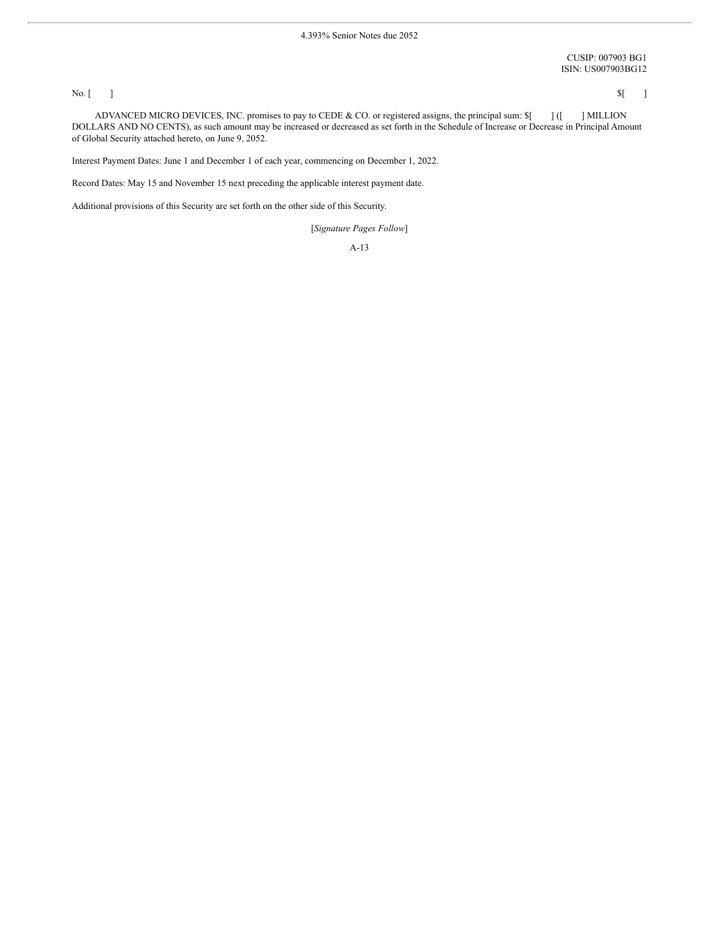CUSIP: 007903 BG1 ISIN: US007903BG12

#### No.  $[ \ ]$   $\qquad \qquad$   $\qquad \qquad$   $\qquad \qquad$   $\qquad \qquad$   $\qquad \qquad$   $\qquad \qquad$   $\qquad \qquad$   $\qquad \qquad$   $\qquad \qquad$   $\qquad$   $\qquad \qquad$   $\qquad \qquad$   $\qquad \qquad$   $\qquad$   $\qquad$   $\qquad$   $\qquad$   $\qquad$   $\qquad$   $\qquad$   $\qquad$   $\qquad$   $\qquad$   $\qquad$   $\qquad$   $\qquad$   $\qquad$   $\qquad$   $\qquad$

ADVANCED MICRO DEVICES, INC. promises to pay to CEDE & CO. or registered assigns, the principal sum:  $\mathcal{I}$  [ | ]MILLION DOLLARS AND NO CENTS), as such amount may be increased or decreased as set forth in the Schedule of Increase or Decrease in Principal Amount of Global Security attached hereto, on June 9, 2052.

Interest Payment Dates: June 1 and December 1 of each year, commencing on December 1, 2022.

Record Dates: May 15 and November 15 next preceding the applicable interest payment date.

Additional provisions of this Security are set forth on the other side of this Security.

[*Signature Pages Follow*]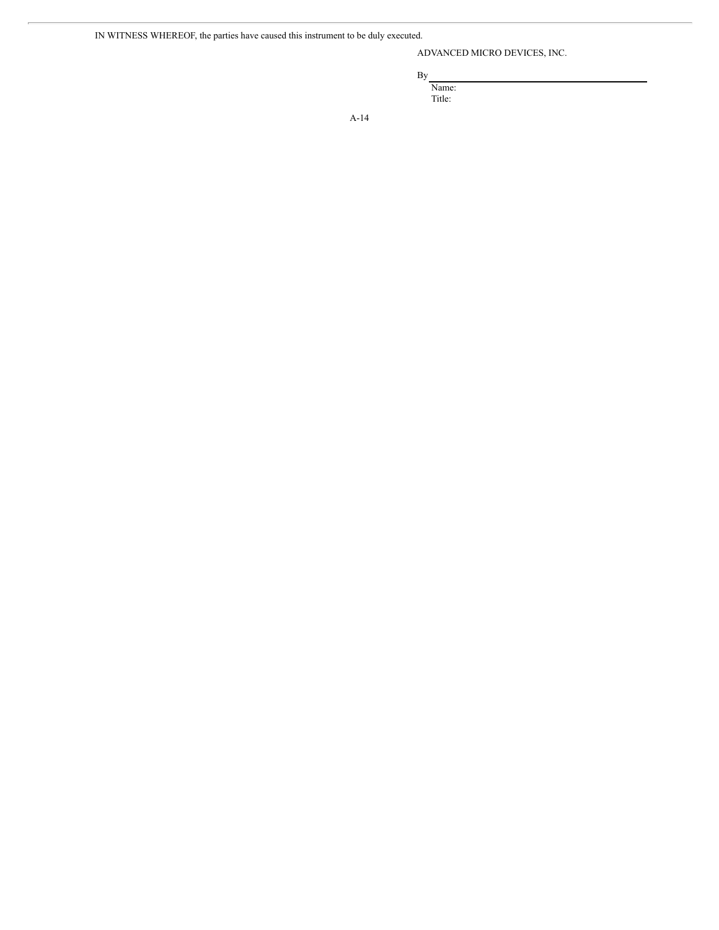IN WITNESS WHEREOF, the parties have caused this instrument to be duly executed.

ADVANCED MICRO DEVICES, INC.

By

Name: Title: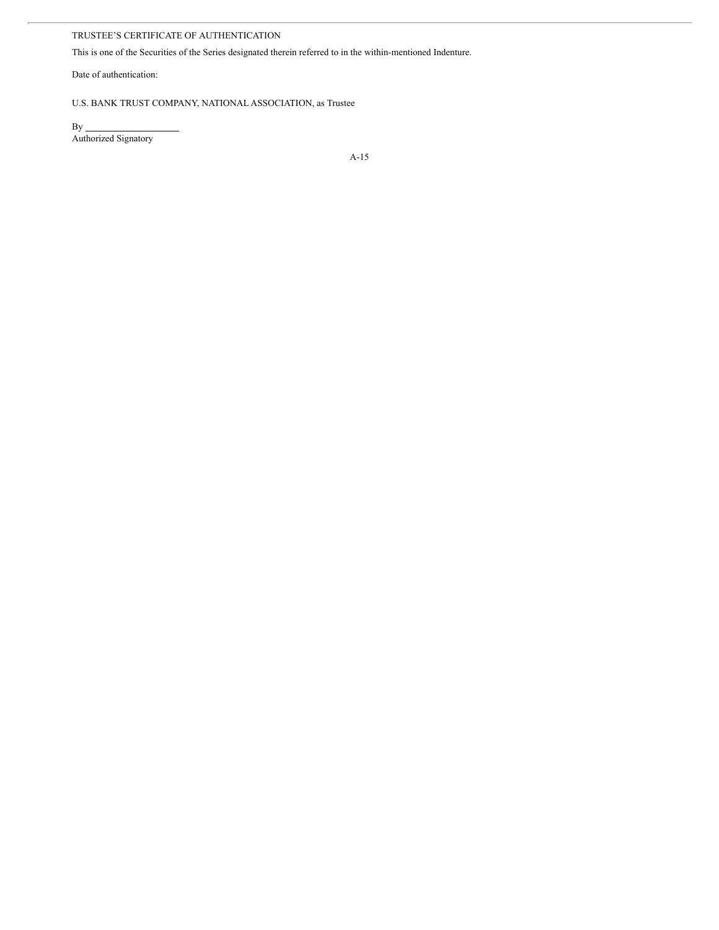# TRUSTEE'S CERTIFICATE OF AUTHENTICATION

This is one of the Securities of the Series designated therein referred to in the within-mentioned Indenture.

Date of authentication:

# U.S. BANK TRUST COMPANY, NATIONAL ASSOCIATION, as Trustee

 $By_$ Authorized Signatory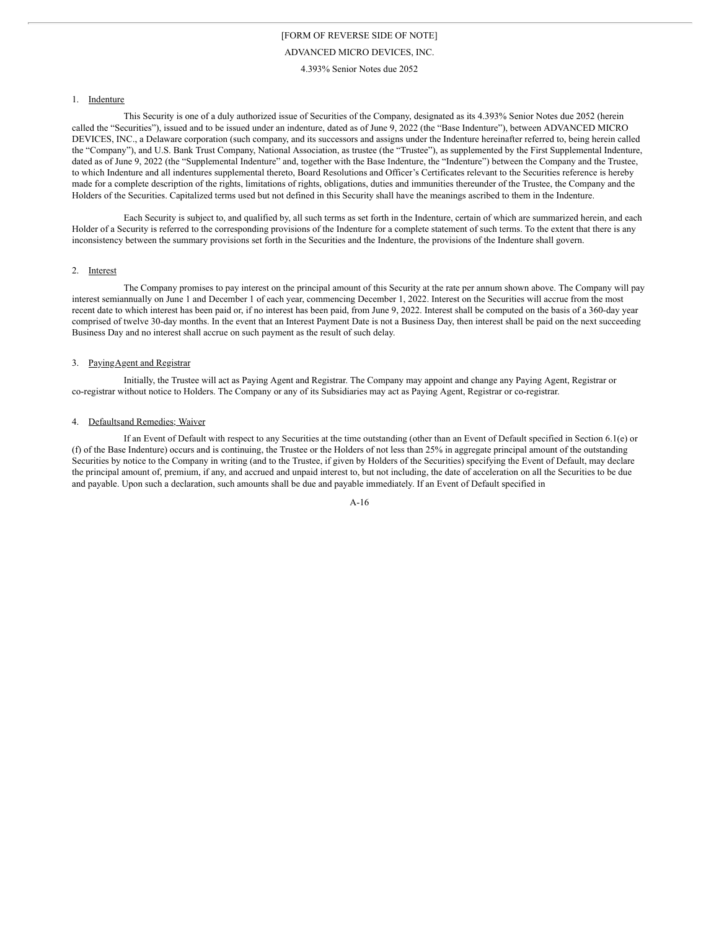4.393% Senior Notes due 2052

#### 1. Indenture

This Security is one of a duly authorized issue of Securities of the Company, designated as its 4.393% Senior Notes due 2052 (herein called the "Securities"), issued and to be issued under an indenture, dated as of June 9, 2022 (the "Base Indenture"), between ADVANCED MICRO DEVICES, INC., a Delaware corporation (such company, and its successors and assigns under the Indenture hereinafter referred to, being herein called the "Company"), and U.S. Bank Trust Company, National Association, as trustee (the "Trustee"), as supplemented by the First Supplemental Indenture, dated as of June 9, 2022 (the "Supplemental Indenture" and, together with the Base Indenture, the "Indenture") between the Company and the Trustee, to which Indenture and all indentures supplemental thereto, Board Resolutions and Officer's Certificates relevant to the Securities reference is hereby made for a complete description of the rights, limitations of rights, obligations, duties and immunities thereunder of the Trustee, the Company and the Holders of the Securities. Capitalized terms used but not defined in this Security shall have the meanings ascribed to them in the Indenture.

Each Security is subject to, and qualified by, all such terms as set forth in the Indenture, certain of which are summarized herein, and each Holder of a Security is referred to the corresponding provisions of the Indenture for a complete statement of such terms. To the extent that there is any inconsistency between the summary provisions set forth in the Securities and the Indenture, the provisions of the Indenture shall govern.

#### 2. Interest

The Company promises to pay interest on the principal amount of this Security at the rate per annum shown above. The Company will pay interest semiannually on June 1 and December 1 of each year, commencing December 1, 2022. Interest on the Securities will accrue from the most recent date to which interest has been paid or, if no interest has been paid, from June 9, 2022. Interest shall be computed on the basis of a 360-day year comprised of twelve 30-day months. In the event that an Interest Payment Date is not a Business Day, then interest shall be paid on the next succeeding Business Day and no interest shall accrue on such payment as the result of such delay.

### 3. PayingAgent and Registrar

Initially, the Trustee will act as Paying Agent and Registrar. The Company may appoint and change any Paying Agent, Registrar or co-registrar without notice to Holders. The Company or any of its Subsidiaries may act as Paying Agent, Registrar or co-registrar.

### 4. Defaultsand Remedies; Waiver

If an Event of Default with respect to any Securities at the time outstanding (other than an Event of Default specified in Section 6.1(e) or (f) of the Base Indenture) occurs and is continuing, the Trustee or the Holders of not less than 25% in aggregate principal amount of the outstanding Securities by notice to the Company in writing (and to the Trustee, if given by Holders of the Securities) specifying the Event of Default, may declare the principal amount of, premium, if any, and accrued and unpaid interest to, but not including, the date of acceleration on all the Securities to be due and payable. Upon such a declaration, such amounts shall be due and payable immediately. If an Event of Default specified in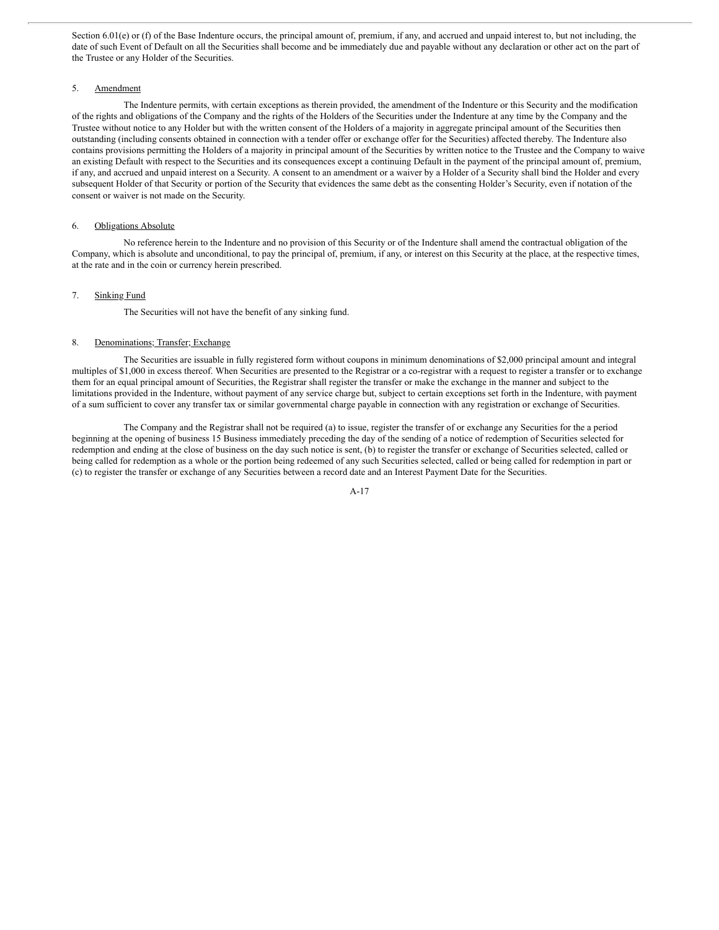Section 6.01(e) or (f) of the Base Indenture occurs, the principal amount of, premium, if any, and accrued and unpaid interest to, but not including, the date of such Event of Default on all the Securities shall become and be immediately due and payable without any declaration or other act on the part of the Trustee or any Holder of the Securities.

### 5. Amendment

The Indenture permits, with certain exceptions as therein provided, the amendment of the Indenture or this Security and the modification of the rights and obligations of the Company and the rights of the Holders of the Securities under the Indenture at any time by the Company and the Trustee without notice to any Holder but with the written consent of the Holders of a majority in aggregate principal amount of the Securities then outstanding (including consents obtained in connection with a tender offer or exchange offer for the Securities) affected thereby. The Indenture also contains provisions permitting the Holders of a majority in principal amount of the Securities by written notice to the Trustee and the Company to waive an existing Default with respect to the Securities and its consequences except a continuing Default in the payment of the principal amount of, premium, if any, and accrued and unpaid interest on a Security. A consent to an amendment or a waiver by a Holder of a Security shall bind the Holder and every subsequent Holder of that Security or portion of the Security that evidences the same debt as the consenting Holder's Security, even if notation of the consent or waiver is not made on the Security.

### 6. Obligations Absolute

No reference herein to the Indenture and no provision of this Security or of the Indenture shall amend the contractual obligation of the Company, which is absolute and unconditional, to pay the principal of, premium, if any, or interest on this Security at the place, at the respective times, at the rate and in the coin or currency herein prescribed.

### 7. Sinking Fund

The Securities will not have the benefit of any sinking fund.

#### 8. Denominations; Transfer; Exchange

The Securities are issuable in fully registered form without coupons in minimum denominations of \$2,000 principal amount and integral multiples of \$1,000 in excess thereof. When Securities are presented to the Registrar or a co-registrar with a request to register a transfer or to exchange them for an equal principal amount of Securities, the Registrar shall register the transfer or make the exchange in the manner and subject to the limitations provided in the Indenture, without payment of any service charge but, subject to certain exceptions set forth in the Indenture, with payment of a sum sufficient to cover any transfer tax or similar governmental charge payable in connection with any registration or exchange of Securities.

The Company and the Registrar shall not be required (a) to issue, register the transfer of or exchange any Securities for the a period beginning at the opening of business 15 Business immediately preceding the day of the sending of a notice of redemption of Securities selected for redemption and ending at the close of business on the day such notice is sent, (b) to register the transfer or exchange of Securities selected, called or being called for redemption as a whole or the portion being redeemed of any such Securities selected, called or being called for redemption in part or (c) to register the transfer or exchange of any Securities between a record date and an Interest Payment Date for the Securities.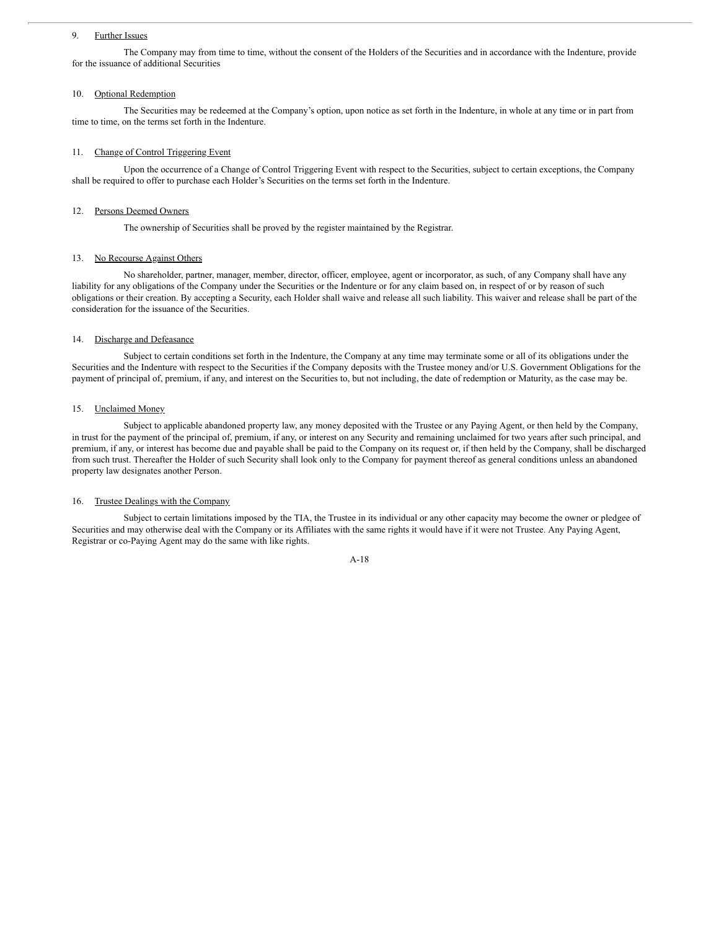### 9. Further Issues

The Company may from time to time, without the consent of the Holders of the Securities and in accordance with the Indenture, provide for the issuance of additional Securities

### 10. Optional Redemption

The Securities may be redeemed at the Company's option, upon notice as set forth in the Indenture, in whole at any time or in part from time to time, on the terms set forth in the Indenture.

### 11. Change of Control Triggering Event

Upon the occurrence of a Change of Control Triggering Event with respect to the Securities, subject to certain exceptions, the Company shall be required to offer to purchase each Holder's Securities on the terms set forth in the Indenture.

### 12. Persons Deemed Owners

The ownership of Securities shall be proved by the register maintained by the Registrar.

### 13. No Recourse Against Others

No shareholder, partner, manager, member, director, officer, employee, agent or incorporator, as such, of any Company shall have any liability for any obligations of the Company under the Securities or the Indenture or for any claim based on, in respect of or by reason of such obligations or their creation. By accepting a Security, each Holder shall waive and release all such liability. This waiver and release shall be part of the consideration for the issuance of the Securities.

# 14. Discharge and Defeasance

Subject to certain conditions set forth in the Indenture, the Company at any time may terminate some or all of its obligations under the Securities and the Indenture with respect to the Securities if the Company deposits with the Trustee money and/or U.S. Government Obligations for the payment of principal of, premium, if any, and interest on the Securities to, but not including, the date of redemption or Maturity, as the case may be.

### 15. Unclaimed Money

Subject to applicable abandoned property law, any money deposited with the Trustee or any Paying Agent, or then held by the Company, in trust for the payment of the principal of, premium, if any, or interest on any Security and remaining unclaimed for two years after such principal, and premium, if any, or interest has become due and payable shall be paid to the Company on its request or, if then held by the Company, shall be discharged from such trust. Thereafter the Holder of such Security shall look only to the Company for payment thereof as general conditions unless an abandoned property law designates another Person.

### 16. Trustee Dealings with the Company

Subject to certain limitations imposed by the TIA, the Trustee in its individual or any other capacity may become the owner or pledgee of Securities and may otherwise deal with the Company or its Affiliates with the same rights it would have if it were not Trustee. Any Paying Agent, Registrar or co-Paying Agent may do the same with like rights.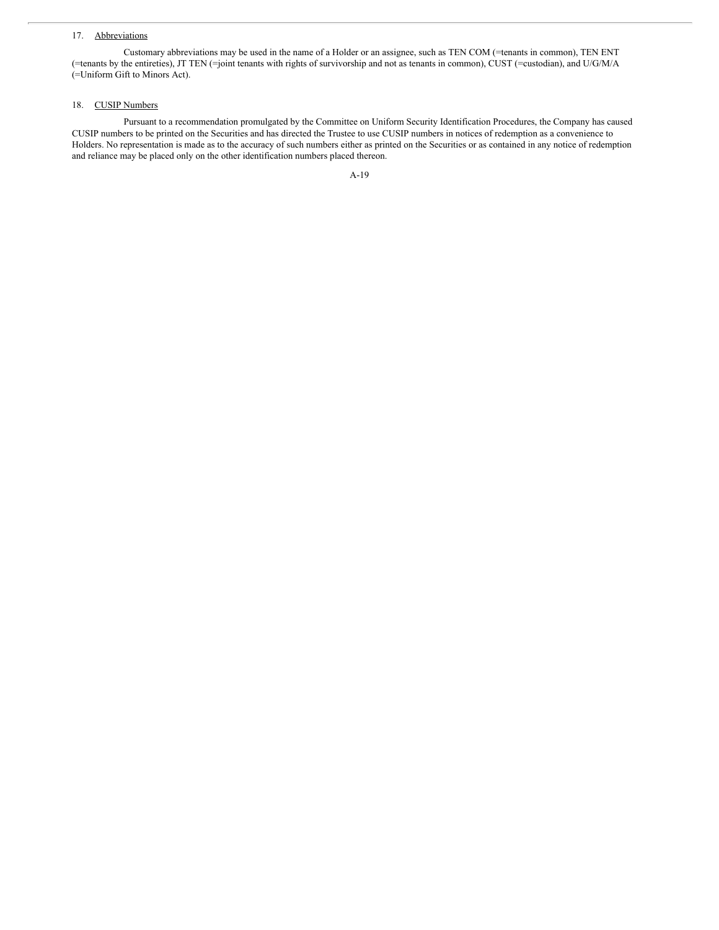## 17. Abbreviations

Customary abbreviations may be used in the name of a Holder or an assignee, such as TEN COM (=tenants in common), TEN ENT (=tenants by the entireties), JT TEN (=joint tenants with rights of survivorship and not as tenants in common), CUST (=custodian), and U/G/M/A (=Uniform Gift to Minors Act).

### 18. CUSIP Numbers

Pursuant to a recommendation promulgated by the Committee on Uniform Security Identification Procedures, the Company has caused CUSIP numbers to be printed on the Securities and has directed the Trustee to use CUSIP numbers in notices of redemption as a convenience to Holders. No representation is made as to the accuracy of such numbers either as printed on the Securities or as contained in any notice of redemption and reliance may be placed only on the other identification numbers placed thereon.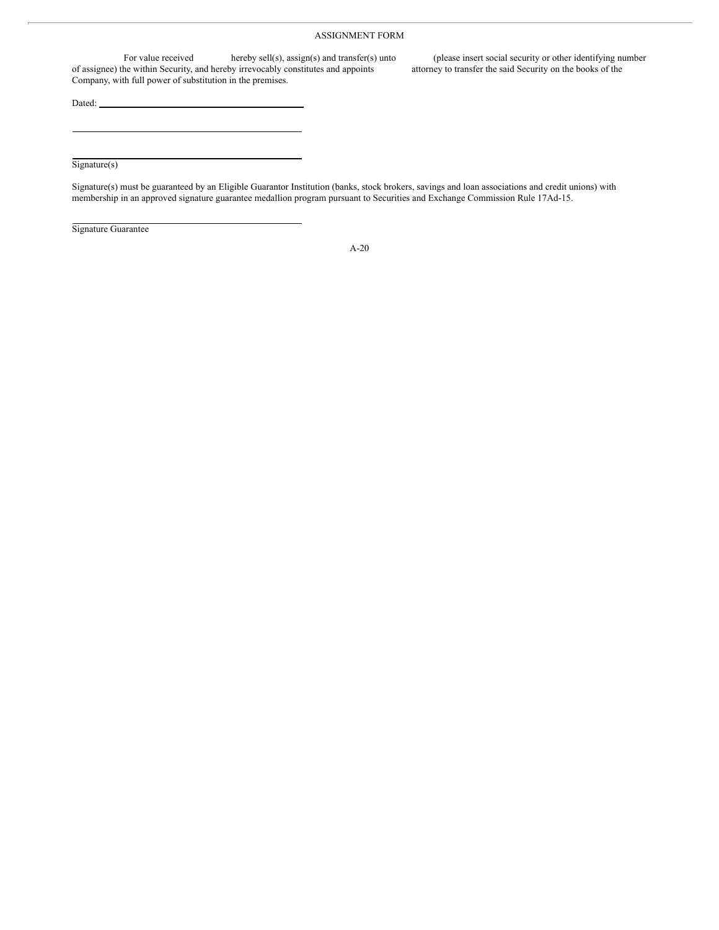# ASSIGNMENT FORM

For value received hereby sell(s), assign(s) and transfer(s) unto (please insert social security or other identifying number<br>he within Security, and hereby irrevocably constitutes and appoints attorney to transfer the said of assignee) the within Security, and hereby irrevocably constitutes and appoints Company, with full power of substitution in the premises.

Dated:

Signature(s)

Signature(s) must be guaranteed by an Eligible Guarantor Institution (banks, stock brokers, savings and loan associations and credit unions) with membership in an approved signature guarantee medallion program pursuant to Securities and Exchange Commission Rule 17Ad-15.

Signature Guarantee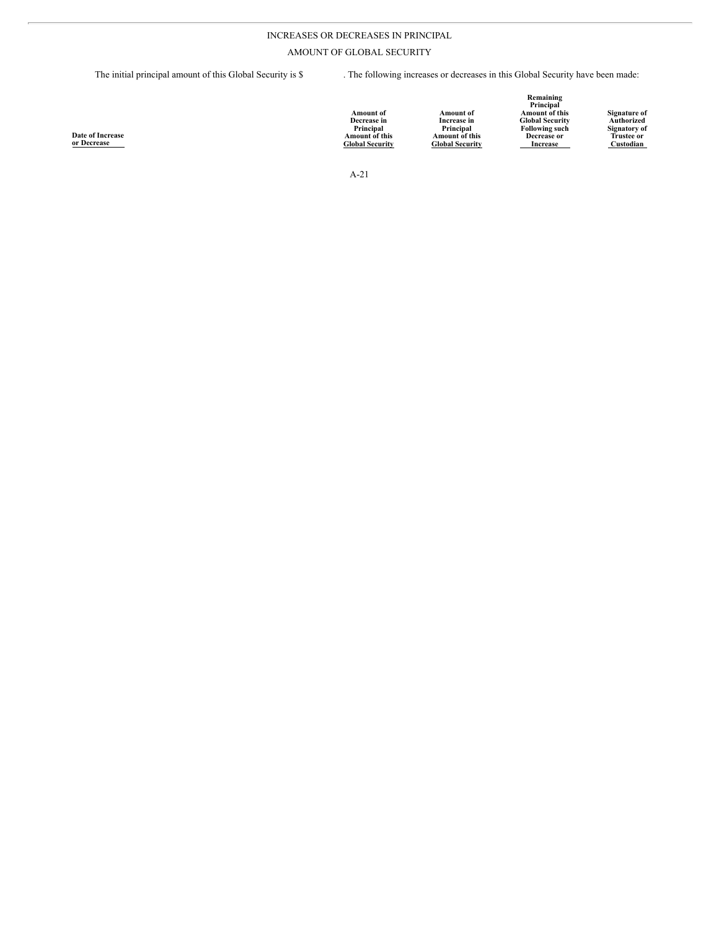# INCREASES OR DECREASES IN PRINCIPAL

AMOUNT OF GLOBAL SECURITY

The initial principal amount of this Global Security is \$ . The following increases or decreases in this Global Security have been made:

| <b>Date of Increase</b><br>r Decrease | <b>Amount</b> of<br>Decrease in<br>Principal<br><b>Amount of this</b><br><b>Global Security</b> | Amount of<br>Increase in<br>Principal<br>Amount of this<br><b>Global Security</b> | Remaining<br>Principal<br>Amount of this<br><b>Global Security</b><br><b>Following such</b><br>Decrease or<br>Increase | Signature of<br>Authorized<br><b>Signatory of</b><br><b>Trustee or</b><br>Custodian |
|---------------------------------------|-------------------------------------------------------------------------------------------------|-----------------------------------------------------------------------------------|------------------------------------------------------------------------------------------------------------------------|-------------------------------------------------------------------------------------|
|                                       |                                                                                                 |                                                                                   |                                                                                                                        |                                                                                     |

A-21

**Date of Increase or Decrease**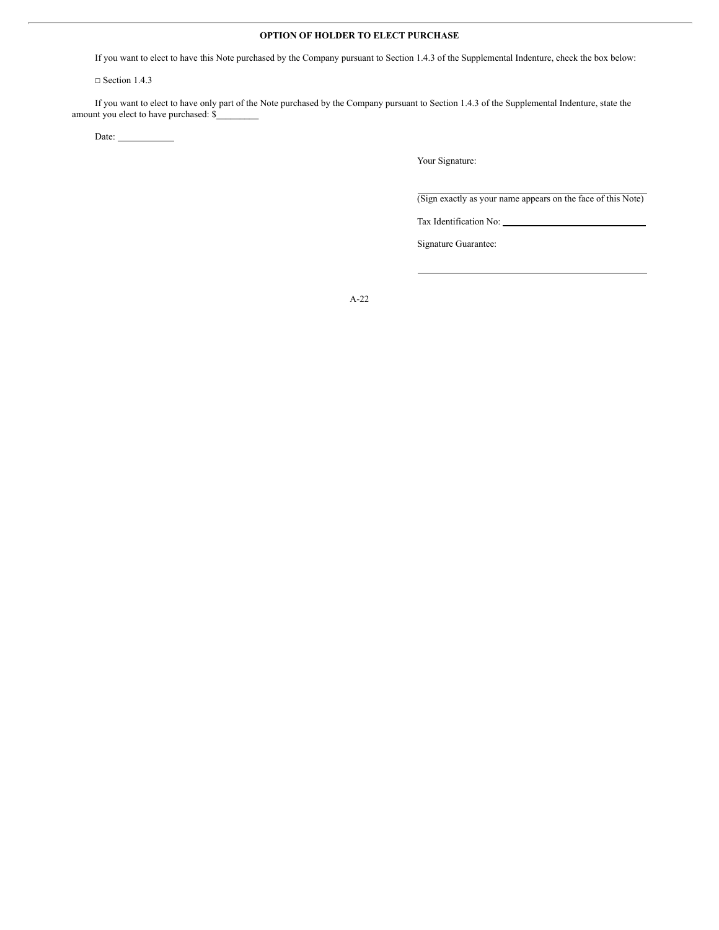# **OPTION OF HOLDER TO ELECT PURCHASE**

If you want to elect to have this Note purchased by the Company pursuant to Section 1.4.3 of the Supplemental Indenture, check the box below:

□ Section 1.4.3

If you want to elect to have only part of the Note purchased by the Company pursuant to Section 1.4.3 of the Supplemental Indenture, state the amount you elect to have purchased: \$\_

Date:

Your Signature:

(Sign exactly as your name appears on the face of this Note)

Tax Identification No:

Signature Guarantee: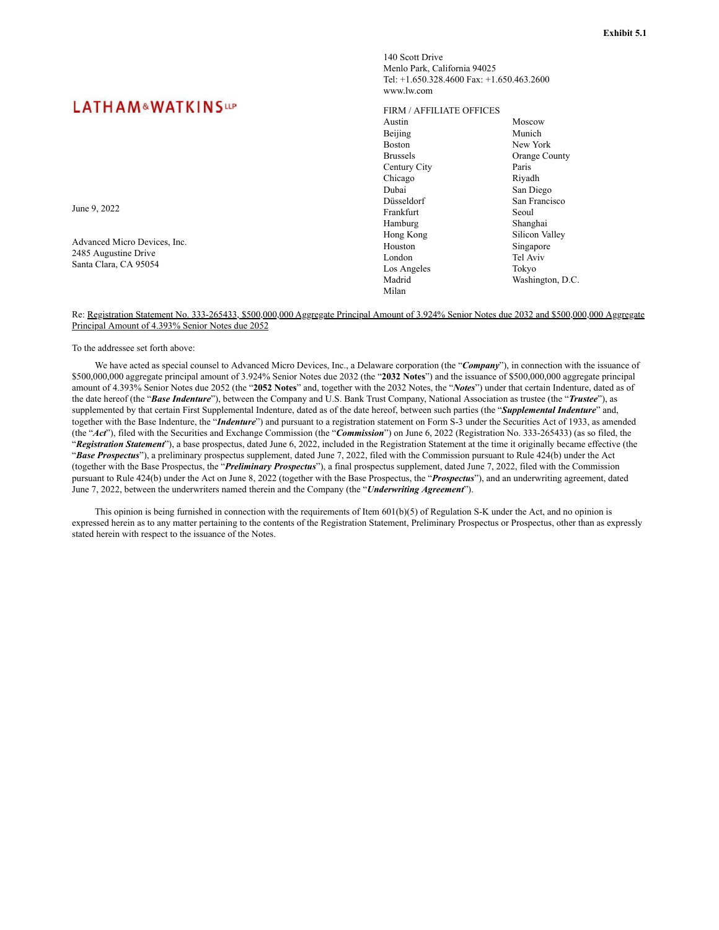# **LATHAM&WATKINSUP**

June 9, 2022

Advanced Micro Devices, Inc. 2485 Augustine Drive Santa Clara, CA 95054

### 140 Scott Drive Menlo Park, California 94025 Tel: +1.650.328.4600 Fax: +1.650.463.2600 www.lw.com

#### FIRM / AFFILIATE OFFICES

Austin Beijing Boston Brussels Century City Chicago Dubai Düsseldorf Frankfurt Hamburg Hong Kong Houston London Los Angeles Madrid Milan Moscow Munich New York Orange County Paris Riyadh San Diego San Francisco Seoul Shanghai Silicon Valley Singapore Tel Aviv Tokyo Washington, D.C.

Re: Registration Statement No. 333-265433, \$500,000,000 Aggregate Principal Amount of 3.924% Senior Notes due 2032 and \$500,000,000 Aggregate Principal Amount of 4.393% Senior Notes due 2052

To the addressee set forth above:

We have acted as special counsel to Advanced Micro Devices, Inc., a Delaware corporation (the "*Company*"), in connection with the issuance of \$500,000,000 aggregate principal amount of 3.924% Senior Notes due 2032 (the "**2032 Notes**") and the issuance of \$500,000,000 aggregate principal amount of 4.393% Senior Notes due 2052 (the "**2052 Notes**" and, together with the 2032 Notes, the "*Notes*") under that certain Indenture, dated as of the date hereof (the "*Base Indenture*"), between the Company and U.S. Bank Trust Company, National Association as trustee (the "*Trustee*"), as supplemented by that certain First Supplemental Indenture, dated as of the date hereof, between such parties (the "*Supplemental Indenture*" and, together with the Base Indenture, the "*Indenture*") and pursuant to a registration statement on Form S-3 under the Securities Act of 1933, as amended (the "*Act*"), filed with the Securities and Exchange Commission (the "*Commission*") on June 6, 2022 (Registration No. 333-265433) (as so filed, the "*Registration Statement*"), a base prospectus, dated June 6, 2022, included in the Registration Statement at the time it originally became effective (the "*Base Prospectus*"), a preliminary prospectus supplement, dated June 7, 2022, filed with the Commission pursuant to Rule 424(b) under the Act (together with the Base Prospectus, the "*Preliminary Prospectus*"), a final prospectus supplement, dated June 7, 2022, filed with the Commission pursuant to Rule 424(b) under the Act on June 8, 2022 (together with the Base Prospectus, the "*Prospectus*"), and an underwriting agreement, dated June 7, 2022, between the underwriters named therein and the Company (the "*Underwriting Agreement*").

This opinion is being furnished in connection with the requirements of Item 601(b)(5) of Regulation S-K under the Act, and no opinion is expressed herein as to any matter pertaining to the contents of the Registration Statement, Preliminary Prospectus or Prospectus, other than as expressly stated herein with respect to the issuance of the Notes.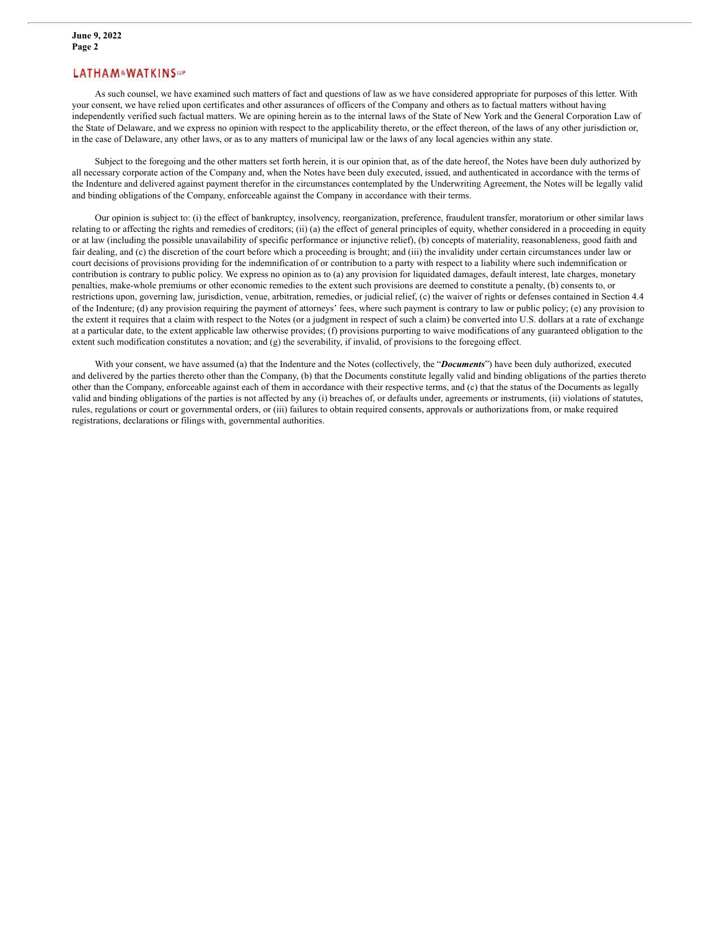# **LATHAM&WATKINSAP**

As such counsel, we have examined such matters of fact and questions of law as we have considered appropriate for purposes of this letter. With your consent, we have relied upon certificates and other assurances of officers of the Company and others as to factual matters without having independently verified such factual matters. We are opining herein as to the internal laws of the State of New York and the General Corporation Law of the State of Delaware, and we express no opinion with respect to the applicability thereto, or the effect thereon, of the laws of any other jurisdiction or, in the case of Delaware, any other laws, or as to any matters of municipal law or the laws of any local agencies within any state.

Subject to the foregoing and the other matters set forth herein, it is our opinion that, as of the date hereof, the Notes have been duly authorized by all necessary corporate action of the Company and, when the Notes have been duly executed, issued, and authenticated in accordance with the terms of the Indenture and delivered against payment therefor in the circumstances contemplated by the Underwriting Agreement, the Notes will be legally valid and binding obligations of the Company, enforceable against the Company in accordance with their terms.

Our opinion is subject to: (i) the effect of bankruptcy, insolvency, reorganization, preference, fraudulent transfer, moratorium or other similar laws relating to or affecting the rights and remedies of creditors; (ii) (a) the effect of general principles of equity, whether considered in a proceeding in equity or at law (including the possible unavailability of specific performance or injunctive relief), (b) concepts of materiality, reasonableness, good faith and fair dealing, and (c) the discretion of the court before which a proceeding is brought; and (iii) the invalidity under certain circumstances under law or court decisions of provisions providing for the indemnification of or contribution to a party with respect to a liability where such indemnification or contribution is contrary to public policy. We express no opinion as to (a) any provision for liquidated damages, default interest, late charges, monetary penalties, make-whole premiums or other economic remedies to the extent such provisions are deemed to constitute a penalty, (b) consents to, or restrictions upon, governing law, jurisdiction, venue, arbitration, remedies, or judicial relief, (c) the waiver of rights or defenses contained in Section 4.4 of the Indenture; (d) any provision requiring the payment of attorneys' fees, where such payment is contrary to law or public policy; (e) any provision to the extent it requires that a claim with respect to the Notes (or a judgment in respect of such a claim) be converted into U.S. dollars at a rate of exchange at a particular date, to the extent applicable law otherwise provides; (f) provisions purporting to waive modifications of any guaranteed obligation to the extent such modification constitutes a novation; and (g) the severability, if invalid, of provisions to the foregoing effect.

With your consent, we have assumed (a) that the Indenture and the Notes (collectively, the "*Documents*") have been duly authorized, executed and delivered by the parties thereto other than the Company, (b) that the Documents constitute legally valid and binding obligations of the parties thereto other than the Company, enforceable against each of them in accordance with their respective terms, and (c) that the status of the Documents as legally valid and binding obligations of the parties is not affected by any (i) breaches of, or defaults under, agreements or instruments, (ii) violations of statutes, rules, regulations or court or governmental orders, or (iii) failures to obtain required consents, approvals or authorizations from, or make required registrations, declarations or filings with, governmental authorities.